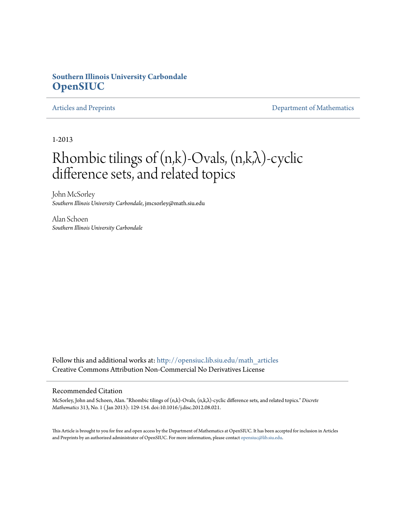# **Southern Illinois University Carbondale [OpenSIUC](http://opensiuc.lib.siu.edu?utm_source=opensiuc.lib.siu.edu%2Fmath_articles%2F115&utm_medium=PDF&utm_campaign=PDFCoverPages)**

[Articles and Preprints](http://opensiuc.lib.siu.edu/math_articles?utm_source=opensiuc.lib.siu.edu%2Fmath_articles%2F115&utm_medium=PDF&utm_campaign=PDFCoverPages) **[Department of Mathematics](http://opensiuc.lib.siu.edu/math?utm_source=opensiuc.lib.siu.edu%2Fmath_articles%2F115&utm_medium=PDF&utm_campaign=PDFCoverPages)** Department of Mathematics

1-2013

# Rhombic tilings of  $(n,k)$ -Ovals,  $(n,k,\lambda)$ -cyclic difference sets, and related topics

John McSorley *Southern Illinois University Carbondale*, jmcsorley@math.siu.edu

Alan Schoen *Southern Illinois University Carbondale*

Follow this and additional works at: [http://opensiuc.lib.siu.edu/math\\_articles](http://opensiuc.lib.siu.edu/math_articles?utm_source=opensiuc.lib.siu.edu%2Fmath_articles%2F115&utm_medium=PDF&utm_campaign=PDFCoverPages) Creative Commons Attribution Non-Commercial No Derivatives License

#### Recommended Citation

McSorley, John and Schoen, Alan. "Rhombic tilings of (n,k)-Ovals, (n,k,λ)-cyclic difference sets, and related topics." *Discrete Mathematics* 313, No. 1 ( Jan 2013): 129-154. doi:10.1016/j.disc.2012.08.021.

This Article is brought to you for free and open access by the Department of Mathematics at OpenSIUC. It has been accepted for inclusion in Articles and Preprints by an authorized administrator of OpenSIUC. For more information, please contact [opensiuc@lib.siu.edu](mailto:opensiuc@lib.siu.edu).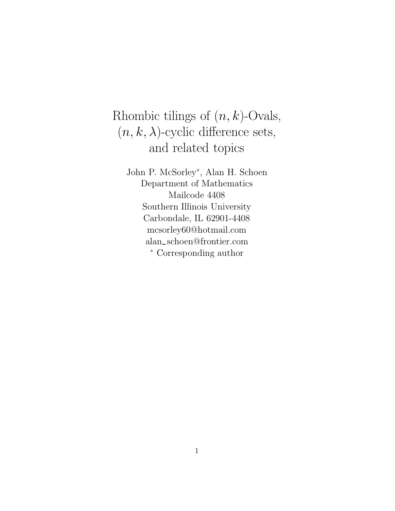# Rhombic tilings of (*n, k*)-Ovals,  $(n, k, \lambda)$ -cyclic difference sets, and related topics

John P. McSorley<sup>∗</sup>, Alan H. Schoen Department of Mathematics Mailcode 4408 Southern Illinois University Carbondale, IL 62901-4408 mcsorley60@hotmail.com alan schoen@frontier.com <sup>∗</sup> Corresponding author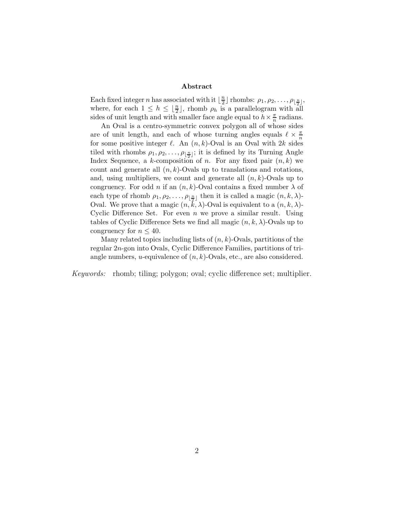#### **Abstract**

Each fixed integer *n* has associated with it  $\lfloor \frac{n}{2} \rfloor$  rhombs:  $\rho_1, \rho_2, \ldots, \rho_{\lfloor \frac{n}{2} \rfloor}$ , where, for each  $1 \leq h \leq \lfloor \frac{n}{2} \rfloor$ , rhomb  $\rho_h$  is a parallelogram with all sides of unit length and with smaller face angle equal to  $h \times \frac{\pi}{n}$  radians.

An Oval is a centro-symmetric convex polygon all of whose sides are of unit length, and each of whose turning angles equals  $\ell \times \frac{\pi}{n}$ for some positive integer  $\ell$ . An  $(n, k)$ -Oval is an Oval with 2k sides tiled with rhombs  $\rho_1, \rho_2, \ldots, \rho_{\lfloor \frac{n}{2} \rfloor}$ ; it is defined by its Turning Angle Index Sequence, a k-composition of n. For any fixed pair  $(n, k)$  we count and generate all  $(n, k)$ -Ovals up to translations and rotations, and, using multipliers, we count and generate all  $(n, k)$ -Ovals up to congruency. For odd n if an  $(n, k)$ -Oval contains a fixed number  $\lambda$  of each type of rhomb  $\rho_1, \rho_2, \ldots, \rho_{\lfloor \frac{n}{2} \rfloor}$  then it is called a magic  $(n, k, \lambda)$ -Oval. We prove that a magic  $(n, k, \lambda)$ -Oval is equivalent to a  $(n, k, \lambda)$ -Cyclic Difference Set. For even  $n$  we prove a similar result. Using tables of Cyclic Difference Sets we find all magic  $(n, k, \lambda)$ -Ovals up to congruency for  $n \leq 40$ .

Many related topics including lists of  $(n, k)$ -Ovals, partitions of the regular 2n-gon into Ovals, Cyclic Difference Families, partitions of triangle numbers, *u*-equivalence of  $(n, k)$ -Ovals, etc., are also considered.

*Keywords:* rhomb; tiling; polygon; oval; cyclic difference set; multiplier.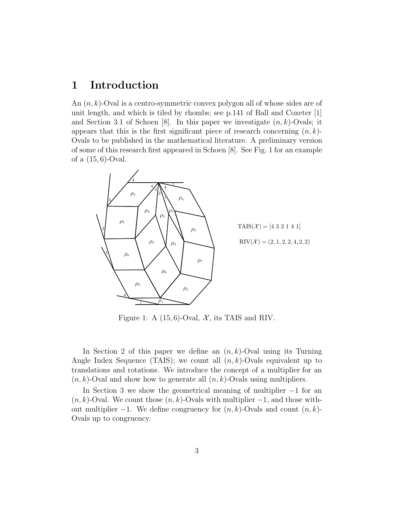# **1 Introduction**

An (*n, k*)-Oval is a centro-symmetric convex polygon all of whose sides are of unit length, and which is tiled by rhombs; see p.141 of Ball and Coxeter [1] and Section 3.1 of Schoen [8]. In this paper we investigate (*n, k*)-Ovals; it appears that this is the first significant piece of research concerning (*n, k*)- Ovals to be published in the mathematical literature. A preliminary version of some of this research first appeared in Schoen [8]. See Fig. 1 for an example of a (15*,* 6)-Oval.



Figure 1: A  $(15, 6)$ -Oval,  $\mathcal{X}$ , its TAIS and RIV.

In Section 2 of this paper we define an (*n, k*)-Oval using its Turning Angle Index Sequence (TAIS); we count all (*n, k*)-Ovals equivalent up to translations and rotations. We introduce the concept of a multiplier for an (*n, k*)-Oval and show how to generate all (*n, k*)-Ovals using multipliers.

In Section 3 we show the geometrical meaning of multiplier −1 for an  $(n, k)$ -Oval. We count those  $(n, k)$ -Ovals with multiplier  $-1$ , and those without multiplier −1. We define congruency for (*n, k*)-Ovals and count (*n, k*)- Ovals up to congruency.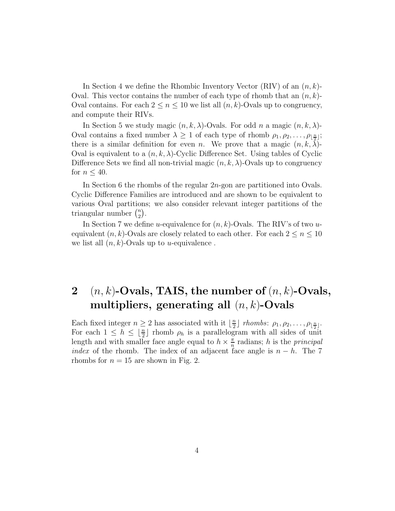In Section 4 we define the Rhombic Inventory Vector (RIV) of an (*n, k*)- Oval. This vector contains the number of each type of rhomb that an (*n, k*)- Oval contains. For each  $2 \leq n \leq 10$  we list all  $(n, k)$ -Ovals up to congruency, and compute their RIVs.

In Section 5 we study magic  $(n, k, \lambda)$ -Ovals. For odd *n* a magic  $(n, k, \lambda)$ -Oval contains a fixed number  $\lambda \geq 1$  of each type of rhomb  $\rho_1, \rho_2, \ldots, \rho_{\lfloor \frac{n}{2} \rfloor};$ there is a similar definition for even *n*. We prove that a magic  $(n, k, \lambda)$ -Oval is equivalent to a  $(n, k, \lambda)$ -Cyclic Difference Set. Using tables of Cyclic Difference Sets we find all non-trivial magic  $(n, k, \lambda)$ -Ovals up to congruency for  $n \leq 40$ .

In Section 6 the rhombs of the regular 2*n*-gon are partitioned into Ovals. Cyclic Difference Families are introduced and are shown to be equivalent to various Oval partitions; we also consider relevant integer partitions of the triangular number  $\binom{n}{2}$ .

In Section 7 we define *u*-equivalence for (*n, k*)-Ovals. The RIV's of two *u*equivalent  $(n, k)$ -Ovals are closely related to each other. For each  $2 \leq n \leq 10$ we list all (*n, k*)-Ovals up to *u*-equivalence .

# **2** (*n, k*)**-Ovals, TAIS, the number of** (*n, k*)**-Ovals, multipliers, generating all** (*n, k*)**-Ovals**

Each fixed integer  $n \geq 2$  has associated with it  $\lfloor \frac{n}{2} \rfloor$  *rhombs*:  $\rho_1, \rho_2, \ldots, \rho_{\lfloor \frac{n}{2} \rfloor}$ . For each  $1 \leq h \leq \lfloor \frac{n}{2} \rfloor$  rhomb  $\rho_h$  is a parallelogram with all sides of unit length and with smaller face angle equal to  $h \times \frac{\pi}{n}$  radians; *h* is the *principal index* of the rhomb. The index of an adjacent face angle is  $n - h$ . The 7 rhombs for  $n = 15$  are shown in Fig. 2.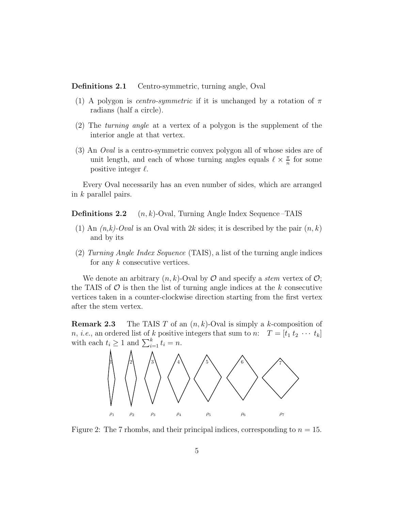**Definitions 2.1** Centro-symmetric, turning angle, Oval

- (1) A polygon is *centro-symmetric* if it is unchanged by a rotation of *π* radians (half a circle).
- (2) The *turning angle* at a vertex of a polygon is the supplement of the interior angle at that vertex.
- (3) An *Oval* is a centro-symmetric convex polygon all of whose sides are of unit length, and each of whose turning angles equals  $\ell \times \frac{\pi}{n}$  for some positive integer  $\ell$ .

Every Oval necessarily has an even number of sides, which are arranged in *k* parallel pairs.

**Definitions 2.2** (*n, k*)-Oval, Turning Angle Index Sequence –TAIS

- (1) An *(n,k)-Oval* is an Oval with 2*k* sides; it is described by the pair (*n, k*) and by its
- (2) *Turning Angle Index Sequence* (TAIS), a list of the turning angle indices for any *k* consecutive vertices.

We denote an arbitrary  $(n, k)$ -Oval by  $\mathcal O$  and specify a *stem* vertex of  $\mathcal O$ ; the TAIS of  $\mathcal O$  is then the list of turning angle indices at the  $k$  consecutive vertices taken in a counter-clockwise direction starting from the first vertex after the stem vertex.

**Remark 2.3** The TAIS *T* of an (*n, k*)-Oval is simply a *k*-composition of *n*, *i.e.*, an ordered list of *k* positive integers that sum to *n*:  $T = [t_1 t_2 \cdots t_k]$ with each  $t_i \geq 1$  and  $\sum_{i=1}^k t_i = n$ .



Figure 2: The 7 rhombs, and their principal indices, corresponding to *<sup>n</sup>* <sup>=</sup> 15.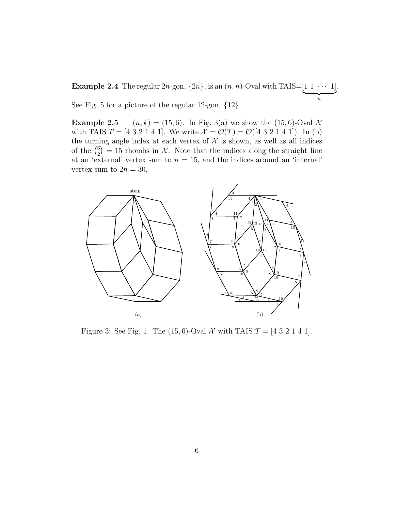**Example 2.4** The regular 2*n*-gon,  $\{2n\}$ , is an  $(n, n)$ -Oval with TAIS= $\underbrace{[1 \ 1 \ \cdots \ 1]}_{n}$ . See Fig. 5 for a picture of the regular 12-gon, {12}.

**Example 2.5**  $(n, k) = (15, 6)$ . In Fig. 3(a) we show the  $(15, 6)$ -Oval X with TAIS  $T = [4 \ 3 \ 2 \ 1 \ 4 \ 1]$ . We write  $\mathcal{X} = \mathcal{O}(T) = \mathcal{O}([4 \ 3 \ 2 \ 1 \ 4 \ 1])$ . In (b) the turning angle index at each vertex of  $X$  is shown, as well as all indices of the  $\binom{6}{2} = 15$  rhombs in X. Note that the indices along the straight line at an 'external' vertex sum to  $n = 15$ , and the indices around an 'internal' vertex sum to  $2n = 30$ .



Figure 3: See Fig. 1. The (15,6)-Oval  $\mathcal X$  with TAIS  $T = [4 \ 3 \ 2 \ 1 \ 4 \ 1]$ .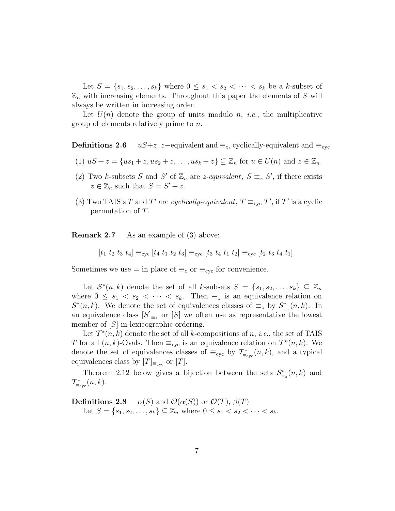Let  $S = \{s_1, s_2, \ldots, s_k\}$  where  $0 \leq s_1 < s_2 < \cdots < s_k$  be a *k*-subset of  $\mathbb{Z}_n$  with increasing elements. Throughout this paper the elements of  $S$  will always be written in increasing order.

Let  $U(n)$  denote the group of units modulo *n*, *i.e.*, the multiplicative group of elements relatively prime to *n*.

**Definitions 2.6** *uS*+*z*, *z*−equivalent and  $\equiv$ <sub>z</sub>, cyclically-equivalent and  $\equiv$ <sub>cyc</sub>

- (1)  $uS + z = \{us_1 + z, us_2 + z, \ldots, us_k + z \} \subseteq \mathbb{Z}_n$  for  $u \in U(n)$  and  $z \in \mathbb{Z}_n$ .
- (2) Two *k*-subsets *S* and *S'* of  $\mathbb{Z}_n$  are *z*-equivalent,  $S \equiv_z S'$ , if there exists  $z \in \mathbb{Z}_n$  such that  $S = S' + z$ .
- (3) Two TAIS's *T* and *T*<sup>*'*</sup> are *cyclically-equivalent*,  $T \equiv_{\text{cyc}} T'$ , if *T'* is a cyclic permutation of *T*.

**Remark 2.7** As an example of (3) above:

 $[t_1 \ t_2 \ t_3 \ t_4] \equiv_{\text{cyc}} [t_4 \ t_1 \ t_2 \ t_3] \equiv_{\text{cyc}} [t_3 \ t_4 \ t_1 \ t_2] \equiv_{\text{cyc}} [t_2 \ t_3 \ t_4 \ t_1].$ 

Sometimes we use = in place of  $\equiv_z$  or  $\equiv_{\rm cyc}$  for convenience.

Let  $\mathcal{S}^*(n,k)$  denote the set of all *k*-subsets  $S = \{s_1, s_2, \ldots, s_k\} \subseteq \mathbb{Z}_n$ where  $0 \leq s_1 < s_2 < \cdots < s_k$ . Then  $\equiv_z$  is an equivalence relation on  $\mathcal{S}^*(n,k)$ . We denote the set of equivalences classes of  $\equiv_z$  by  $\mathcal{S}^*_{\equiv_z}(n,k)$ . In an equivalence class  $[S]_{\equiv_z}$  or  $[S]$  we often use as representative the lowest member of [*S*] in lexicographic ordering.

Let  $\mathcal{T}^*(n,k)$  denote the set of all *k*-compositions of *n*, *i.e.*, the set of TAIS *T* for all  $(n, k)$ -Ovals. Then  $\equiv_{\text{cyc}}$  is an equivalence relation on  $\mathcal{T}^*(n, k)$ . We denote the set of equivalences classes of  $\equiv_{\text{cyc}}$  by  $\mathcal{T}^*_{\equiv_{\text{cyc}}}(n,k)$ , and a typical equivalences class by  $[T]_{\equiv_{\text{cyc}}}$  or  $[T]$ .

Theorem 2.12 below gives a bijection between the sets  $S^*_{\equiv z}(n, k)$  and  $\mathcal{T}^*_{\equiv_{\text{cyc}}}(n,k).$ 

**Definitions 2.8** *α*(*S*) and  $\mathcal{O}(\alpha(S))$  or  $\mathcal{O}(T)$ ,  $\beta(T)$ Let  $S = \{s_1, s_2, \ldots, s_k\} \subseteq \mathbb{Z}_n$  where  $0 \le s_1 < s_2 < \cdots < s_k$ .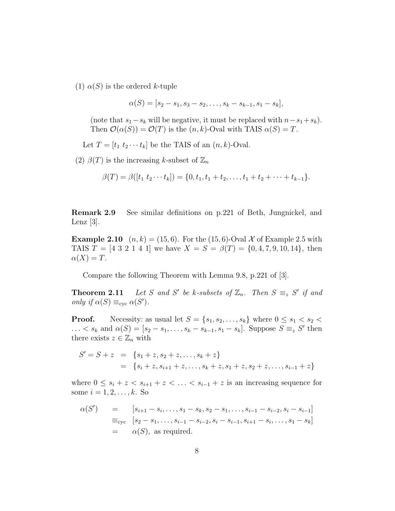(1)  $\alpha(S)$  is the ordered *k*-tuple

$$
\alpha(S) = [s_2 - s_1, s_3 - s_2, \dots, s_k - s_{k-1}, s_1 - s_k],
$$

(note that  $s_1 - s_k$  will be negative, it must be replaced with  $n - s_1 + s_k$ ). Then  $\mathcal{O}(\alpha(S)) = \mathcal{O}(T)$  is the  $(n, k)$ -Oval with TAIS  $\alpha(S) = T$ .

Let  $T = [t_1 \ t_2 \cdots t_k]$  be the TAIS of an  $(n, k)$ -Oval.

(2)  $\beta(T)$  is the increasing *k*-subset of  $\mathbb{Z}_n$ 

$$
\beta(T) = \beta([t_1 \ t_2 \cdots t_k]) = \{0, t_1, t_1 + t_2, \ldots, t_1 + t_2 + \cdots + t_{k-1}\}.
$$

**Remark 2.9** See similar definitions on p.221 of Beth, Jungnickel, and Lenz  $[3]$ .

**Example 2.10**  $(n, k) = (15, 6)$ . For the  $(15, 6)$ -Oval X of Example 2.5 with TAIS  $T = \{4 \ 3 \ 2 \ 1 \ 4 \ 1\}$  we have  $X = S = \beta(T) = \{0, 4, 7, 9, 10, 14\}$ , then  $\alpha(X) = T$ .

Compare the following Theorem with Lemma 9.8, p.221 of [3].

**Theorem 2.11** *Let S and S' be k-subsets of*  $\mathbb{Z}_n$ *. Then*  $S \equiv_z S'$  *if and only if*  $\alpha(S) \equiv_{\text{cyc}} \alpha(S')$ *.* 

**Proof.** Necessity: as usual let  $S = \{s_1, s_2, \ldots, s_k\}$  where  $0 \le s_1 < s_2 <$  $\ldots$  <  $s_k$  and  $\alpha(S) = [s_2 - s_1, \ldots, s_k - s_{k-1}, s_1 - s_k]$ . Suppose  $S \equiv_z S'$  then there exists  $z \in \mathbb{Z}_n$  with

$$
S' = S + z = \{s_1 + z, s_2 + z, \dots, s_k + z\}
$$
  
= 
$$
\{s_i + z, s_{i+1} + z, \dots, s_k + z, s_1 + z, s_2 + z, \dots, s_{i-1} + z\}
$$

where  $0 \leq s_i + z < s_{i+1} + z < \ldots < s_{i-1} + z$  is an increasing sequence for some  $i = 1, 2, ..., k$ . So

$$
\alpha(S') = [s_{i+1} - s_i, \dots, s_1 - s_k, s_2 - s_1, \dots, s_{i-1} - s_{i-2}, s_i - s_{i-1}]
$$
  
\n
$$
\equiv_{\text{cyc}} [s_2 - s_1, \dots, s_{i-1} - s_{i-2}, s_i - s_{i-1}, s_{i+1} - s_i, \dots, s_1 - s_k]
$$
  
\n
$$
= \alpha(S), \text{ as required.}
$$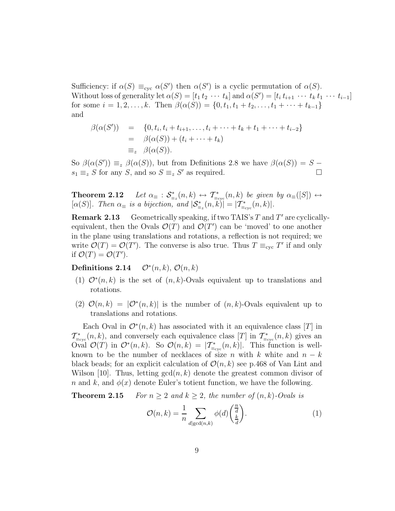Sufficiency: if  $\alpha(S) \equiv_{\text{cyc}} \alpha(S')$  then  $\alpha(S')$  is a cyclic permutation of  $\alpha(S)$ . Without loss of generality let  $\alpha(S) = [t_1 t_2 \cdots t_k]$  and  $\alpha(S') = [t_i t_{i+1} \cdots t_k t_1 \cdots t_{i-1}]$ for some  $i = 1, 2, ..., k$ . Then  $\beta(\alpha(S)) = \{0, t_1, t_1 + t_2, ..., t_1 + \cdots + t_{k-1}\}\$ and

$$
\beta(\alpha(S')) = \{0, t_i, t_i + t_{i+1}, \dots, t_i + \dots + t_k + t_1 + \dots + t_{i-2}\}\
$$
  
=  $\beta(\alpha(S)) + (t_i + \dots + t_k)$   
=  $z$   $\beta(\alpha(S)).$ 

So  $\beta(\alpha(S')) \equiv_z \beta(\alpha(S))$ , but from Definitions 2.8 we have  $\beta(\alpha(S)) = S$  $s_1 \equiv z S$  for any *S*, and so  $S \equiv z S'$  as required.

**Theorem 2.12** *Let*  $\alpha_{\equiv} : \mathcal{S}^*_{\equiv z}(n,k) \leftrightarrow \mathcal{T}^*_{\equiv_{\text{cyc}}}(n,k)$  *be given by*  $\alpha_{\equiv}([S]) \leftrightarrow$  $[\alpha(S)]$ *. Then*  $\alpha_{\equiv}$  *is a bijection, and*  $|\mathcal{S}_{\equiv_{z}}^{*}(n, k)| = |\mathcal{T}_{\equiv_{\text{cyc}}}^{*}(n, k)|$ *.* 

**Remark 2.13** Geometrically speaking, if two TAIS's  $T$  and  $T'$  are cyclicallyequivalent, then the Ovals  $\mathcal{O}(T)$  and  $\mathcal{O}(T')$  can be 'moved' to one another in the plane using translations and rotations, a reflection is not required; we write  $\mathcal{O}(T) = \mathcal{O}(T')$ . The converse is also true. Thus  $T \equiv_{\text{cyc}} T'$  if and only if  $\mathcal{O}(T) = \mathcal{O}(T')$ .

**Definitions 2.14**  $\mathcal{O}^*(n,k)$ ,  $\mathcal{O}(n,k)$ 

- (1) O<sup>∗</sup>(*n, k*) is the set of (*n, k*)-Ovals equivalent up to translations and rotations.
- (2)  $\mathcal{O}(n,k) = |\mathcal{O}^*(n,k)|$  is the number of  $(n,k)$ -Ovals equivalent up to translations and rotations.

Each Oval in  $\mathcal{O}^*(n,k)$  has associated with it an equivalence class [*T*] in  $\mathcal{T}^*_{\equiv_{\text{cyc}}}(n,k)$ , and conversely each equivalence class [*T*] in  $\mathcal{T}^*_{\equiv_{\text{cyc}}}(n,k)$  gives an Oval  $\mathcal{O}(T)$  in  $\mathcal{O}^*(n,k)$ . So  $\mathcal{O}(n,k) = |T^*_{\equiv_{\text{cyc}}}(n,k)|$ . This function is wellknown to be the number of necklaces of size *n* with  $k$  white and  $n - k$ black beads; for an explicit calculation of  $\mathcal{O}(n, k)$  see p.468 of Van Lint and Wilson [10]. Thus, letting  $gcd(n, k)$  denote the greatest common divisor of *n* and *k*, and  $\phi(x)$  denote Euler's totient function, we have the following.

**Theorem 2.15** *For*  $n \geq 2$  *and*  $k \geq 2$ *, the number of*  $(n, k)$ *-Ovals is* 

$$
\mathcal{O}(n,k) = \frac{1}{n} \sum_{d \mid \gcd(n,k)} \phi(d) \left(\frac{\frac{n}{d}}{\frac{k}{d}}\right).
$$
 (1)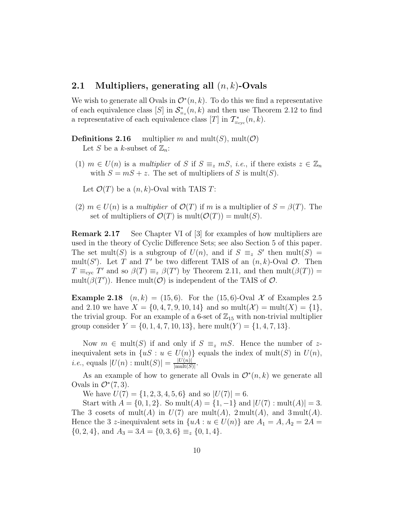### **2.1 Multipliers, generating all** (*n, k*)**-Ovals**

We wish to generate all Ovals in  $\mathcal{O}^*(n,k)$ . To do this we find a representative of each equivalence class [*S*] in  $S^*_{\equiv z}(n, k)$  and then use Theorem 2.12 to find a representative of each equivalence class [*T*] in  $\mathcal{T}^*_{\equiv_{\text{cyc}}}(n,k)$ .

**Definitions 2.16** multiplier *m* and mult(*S*), mult(*C*) Let *S* be a *k*-subset of  $\mathbb{Z}_n$ :

(1)  $m \in U(n)$  is a *multiplier* of *S* if  $S \equiv_{z} mS$ , *i.e.*, if there exists  $z \in \mathbb{Z}_n$ with  $S = mS + z$ . The set of multipliers of *S* is mult(*S*).

Let  $\mathcal{O}(T)$  be a  $(n, k)$ -Oval with TAIS *T*:

 $(2)$  *m*  $\in$  *U*(*n*) is a *multiplier* of  $\mathcal{O}(T)$  if *m* is a multiplier of  $S = \beta(T)$ . The set of multipliers of  $\mathcal{O}(T)$  is mult $(\mathcal{O}(T)) = \text{mult}(S)$ .

**Remark 2.17** See Chapter VI of [3] for examples of how multipliers are used in the theory of Cyclic Difference Sets; see also Section 5 of this paper. The set mult(*S*) is a subgroup of  $U(n)$ , and if  $S \equiv z S'$  then mult(*S*) = mult(*S*<sup> $\prime$ </sup>). Let *T* and *T*<sup> $\prime$ </sup> be two different TAIS of an  $(n, k)$ -Oval  $\mathcal{O}$ . Then  $T \equiv_{\text{cyc}} T'$  and so  $\beta(T) \equiv_z \beta(T')$  by Theorem 2.11, and then mult( $\beta(T)$ ) = mult $(\beta(T'))$ . Hence mult $(\mathcal{O})$  is independent of the TAIS of  $\mathcal{O}$ .

**Example 2.18**  $(n, k) = (15, 6)$ . For the  $(15, 6)$ -Oval X of Examples 2.5 and 2.10 we have  $X = \{0, 4, 7, 9, 10, 14\}$  and so mult $(X) = \text{mult}(X) = \{1\},\$ the trivial group. For an example of a 6-set of  $\mathbb{Z}_{15}$  with non-trivial multiplier group consider  $Y = \{0, 1, 4, 7, 10, 13\}$ , here mult $(Y) = \{1, 4, 7, 13\}$ .

Now  $m \in \text{mult}(S)$  if and only if  $S \equiv_{z} mS$ . Hence the number of zinequivalent sets in  $\{uS : u \in U(n)\}$  equals the index of mult(*S*) in  $U(n)$ , *i.e.*, equals  $|U(n) : \text{mult}(S)| = \frac{|U(n)|}{|\text{mult}(S)|}.$ 

As an example of how to generate all Ovals in  $\mathcal{O}^*(n,k)$  we generate all Ovals in  $\mathcal{O}^*(7,3)$ .

We have  $U(7) = \{1, 2, 3, 4, 5, 6\}$  and so  $|U(7)| = 6$ .

Start with  $A = \{0, 1, 2\}$ . So mult $(A) = \{1, -1\}$  and  $|U(7) : \text{mult}(A)| = 3$ . The 3 cosets of mult(*A*) in  $U(7)$  are mult(*A*), 2 mult(*A*), and 3 mult(*A*). Hence the 3 *z*-inequivalent sets in  $\{uA : u \in U(n)\}\$  are  $A_1 = A, A_2 = 2A =$  $\{0, 2, 4\}$ , and  $A_3 = 3A = \{0, 3, 6\} \equiv_z \{0, 1, 4\}.$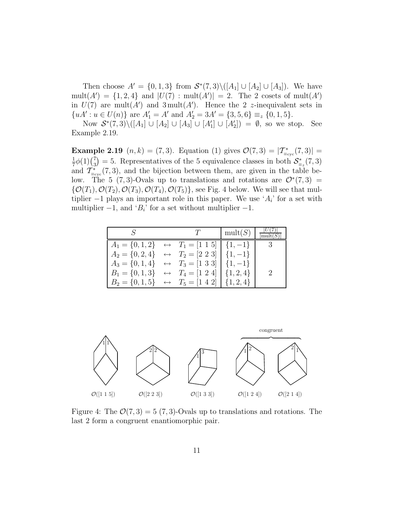Then choose  $A' = \{0, 1, 3\}$  from  $S^*(7, 3) \setminus ([A_1] \cup [A_2] \cup [A_3])$ . We have  $mult(A') = \{1, 2, 4\}$  and  $|U(7) : mult(A')| = 2$ . The 2 cosets of  $mult(A')$ in  $U(7)$  are mult $(A')$  and  $3 \text{ mult}(A')$ . Hence the 2 *z*-inequivalent sets in  ${uA' : u \in U(n)}$  are  $A'_1 = A'$  and  $A'_2 = 3A' = {3, 5, 6} \equiv_z {0, 1, 5}.$ 

Now  $S^*(7,3)\setminus([A_1] \cup [A_2] \cup [A_3] \cup [A'_1] \cup [A'_2]) = ∅$ , so we stop. See Example 2.19.

**Example 2.19**  $(n, k) = (7, 3)$ . Equation (1) gives  $\mathcal{O}(7, 3) = |\mathcal{T}^*_{\equiv_{\text{cyc}}}(7, 3)| =$  $\frac{1}{7}\phi(1)(\frac{7}{3})$ = 5. Representatives of the 5 equivalence classes in both  $S_{\equiv_z}^*(7,3)$ and  $\mathcal{T}^*_{\equiv_{\text{cyc}}}$  (7, 3), and the bijection between them, are given in the table below. The 5 (7,3)-Ovals up to translations and rotations are  $\mathcal{O}^*(7,3)$  =  $\{\mathcal{O}(T_1), \mathcal{O}(T_2), \mathcal{O}(T_3), \mathcal{O}(T_4), \mathcal{O}(T_5)\}\)$ , see Fig. 4 below. We will see that multiplier  $-1$  plays an important role in this paper. We use ' $A_i$ ' for a set with multiplier  $-1$ , and ' $B_i$ ' for a set without multiplier  $-1$ .

|                                                                                                                        |  | mult(S) | mult(S) |
|------------------------------------------------------------------------------------------------------------------------|--|---------|---------|
| $A_1 = \{0, 1, 2\} \leftrightarrow T_1 = \begin{bmatrix} 1 & 1 & 5 \end{bmatrix} \begin{bmatrix} 1, -1 \end{bmatrix}$  |  |         |         |
| $A_2 = \{0, 2, 4\} \leftrightarrow T_2 = [2 \ 2 \ 3] \mid \{1, -1\}$                                                   |  |         |         |
| $A_3 = \{0, 1, 4\} \leftrightarrow T_3 = \begin{bmatrix} 1 & 3 & 3 \end{bmatrix} \begin{bmatrix} 1 & -1 \end{bmatrix}$ |  |         |         |
| $B_1 = \{0, 1, 3\} \leftrightarrow T_4 = [1 \ 2 \ 4]   \{1, 2, 4\}$                                                    |  |         |         |
| $B_2 = \{0, 1, 5\} \leftrightarrow T_5 = [1 \ 4 \ 2]   \{1, 2, 4\}$                                                    |  |         |         |



Figure 4: The  $\mathcal{O}(7,3) = 5(7,3)$ -Ovals up to translations and rotations. The last 2 form a congruent enantiomorphic pair.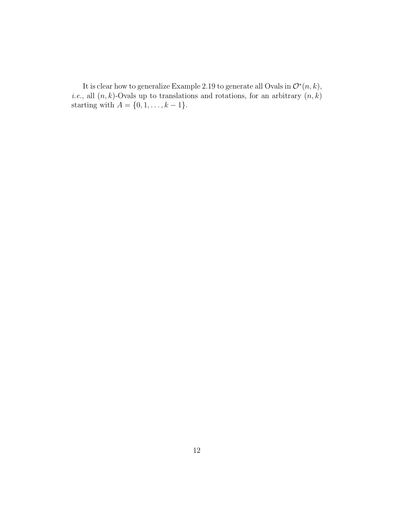It is clear how to generalize Example 2.19 to generate all Ovals in  $\mathcal{O}^*(n,k)$ , *i.e.*, all  $(n, k)$ -Ovals up to translations and rotations, for an arbitrary  $(n, k)$ starting with  $A = \{0, 1, ..., k - 1\}.$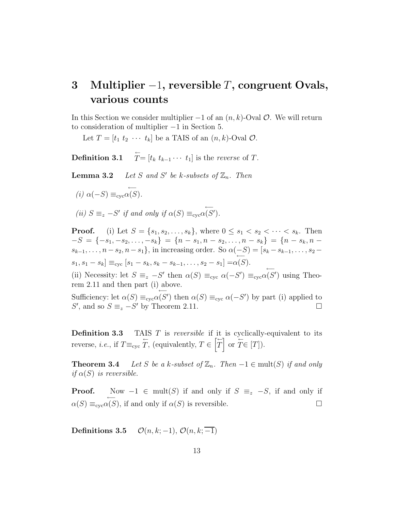# **3 Multiplier** −1**, reversible** *T***, congruent Ovals, various counts**

In this Section we consider multiplier −1 of an (*n, k*)-Oval O. We will return to consideration of multiplier −1 in Section 5.

Let  $T = [t_1 \ t_2 \ \cdots \ t_k]$  be a TAIS of an  $(n, k)$ -Oval  $\mathcal{O}$ .

Definition 3.1  $\overline{T}$ =  $[t_k \ t_{k-1} \cdots t_1]$  is the *reverse* of *T*.

**Lemma 3.2** *Let S and S' be k-subsets of*  $\mathbb{Z}_n$ *. Then* 

*(i) α*(−*S*) ≡cyc ←− *α*(*S*)*.*

*(ii)*  $S \equiv_z -S'$  *if and only if*  $\alpha(S) \equiv_{\text{cyc}} \alpha(S')$ *.* 

**Proof.** (i) Let  $S = \{s_1, s_2, \ldots, s_k\}$ , where  $0 \le s_1 < s_2 < \cdots < s_k$ . Then  $-S = \{-s_1, -s_2, \ldots, -s_k\} = \{n - s_1, n - s_2, \ldots, n - s_k\} = \{n - s_k, n - s_k\}$ *s*<sub>k−1</sub>*,...*, *n*−*s*<sub>2</sub>*, n*−*s*<sub>1</sub>}, in increasing order. So  $α(−S) = [s_k - s_{k-1},...,s_2$  $s_1, s_1 - s_k$  =  $s_{\text{cyc}}$   $[s_1 - s_k, s_k - s_{k-1}, \ldots, s_2 - s_1] = \alpha(S)$ .

(ii) Necessity: let  $S \equiv_z -S'$  then  $\alpha(S) \equiv_{\text{cyc}} \alpha(-S') \equiv_{\text{cyc}} \alpha(S')$  using Theorem 2.11 and then part (i) above.

Sufficiency: let  $\alpha(S) \equiv_{\text{cyc}}$  $\alpha(S')$  then  $\alpha(S) \equiv_{\text{cyc}} \alpha(-S')$  by part (i) applied to *S*<sup> $\prime$ </sup>, and so *S* ≡<sub>z</sub> −*S*<sup> $\prime$ </sup> by Theorem 2.11. □

**Definition 3.3** TAIS *T* is *reversible* if it is cyclically-equivalent to its reverse, *i.e.*, if  $T \equiv_{\text{cyc}} T$ , (equivalently,  $T \in [T]$ *T*  $\int$  or  $\overline{T} \in [T]$ ).

**Theorem 3.4** *Let S be a k-subset of*  $\mathbb{Z}_n$ *. Then*  $-1 \in \text{mult}(S)$  *if and only if*  $\alpha(S)$  *is reversible.* 

**Proof.** Now  $-1 \in \text{mult}(S)$  if and only if  $S \equiv_z -S$ , if and only if  $\alpha(S) \equiv_{\csc} \alpha(S)$  $\alpha(S)$ , if and only if  $\alpha(S)$  is reversible.

**Definitions 3.5**  $\mathcal{O}(n, k; -1), \mathcal{O}(n, k; -1)$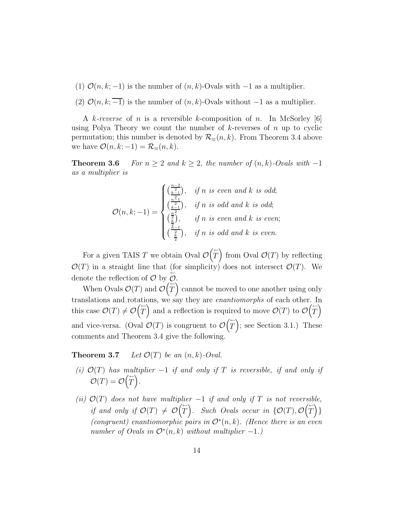- (1)  $\mathcal{O}(n, k; -1)$  is the number of  $(n, k)$ -Ovals with  $-1$  as a multiplier.
- (2)  $\mathcal{O}(n, k; -1)$  is the number of  $(n, k)$ -Ovals without −1 as a multiplier.

A *k-reverse* of *n* is a reversible *k*-composition of *n*. In McSorley [6] using Polya Theory we count the number of *k*-reverses of *n* up to cyclic permutation; this number is denoted by  $\mathcal{R}_{\equiv}(n,k)$ . From Theorem 3.4 above we have  $\mathcal{O}(n, k; -1) = \mathcal{R}_{\equiv}(n, k)$ .

**Theorem 3.6** *For*  $n \geq 2$  *and*  $k \geq 2$ *, the number of*  $(n, k)$ *-Ovals with* −1 *as a multiplier is*

$$
\mathcal{O}(n,k;-1) = \begin{cases} \left(\frac{\frac{n-2}{2}}{2}\right), & \text{if } n \text{ is even and } k \text{ is odd;}\\ \left(\frac{\frac{n-1}{2}}{2}\right), & \text{if } n \text{ is odd and } k \text{ is odd;}\\ \left(\frac{\frac{n}{2}}{2}\right), & \text{if } n \text{ is even and } k \text{ is even;}\\ \left(\frac{\frac{n-1}{2}}{2}\right), & \text{if } n \text{ is odd and } k \text{ is even.} \end{cases}
$$

For a given TAIS *T* we obtain Oval O  $\sqrt{\frac{2}{n}}$ *T* <sup>1</sup> from Oval  $\mathcal{O}(T)$  by reflecting  $\mathcal{O}(T)$  in a straight line that (for simplicity) does not intersect  $\mathcal{O}(T)$ . We denote the reflection of  $\mathcal{O}$  by  $\overleftarrow{\mathcal{O}}$ .  $\frac{1}{\sqrt{2}}$ 

When Ovals  $\mathcal{O}(T)$  and  $\mathcal{O}(T)$ *T* cannot be moved to one another using only translations and rotations, we say they are *enantiomorphs* of each other. In this case  $\mathcal{O}(T) \neq \mathcal{O}(\overline{T})$ *T* and a reflection is required to move  $\mathcal{O}(T)$  to  $\mathcal{O}(T)$ *T*  $\sqrt{ }$ and vice-versa. (Oval  $\mathcal{O}(T)$  is congruent to  $\mathcal{O}(T)$ *T*  $\overline{\mathcal{L}}$ ; see Section 3.1.) These comments and Theorem 3.4 give the following.

**Theorem 3.7** *Let*  $\mathcal{O}(T)$  *be an*  $(n, k)$ *-Oval.* 

- $(i)$   $O(T)$  *has multiplier*  $-1$  *if and only if*  $T$  *is reversible, if and only if*  $\mathcal{O}(T) = \mathcal{O}\left(\overline{T}\right)$ *T*  $\tilde{\setminus}$ *.*
- *(ii)*  $\mathcal{O}(T)$  *does not have multiplier* −1 *if and only if T is not reversible, if and only if*  $\mathcal{O}(T) \neq \mathcal{O}(T)$ *T*  $\overline{\mathcal{O}}$ . Such Ovals occur in  $\{\mathcal{O}(T), \mathcal{O}(T)\}$ *T* ) }<br>) } *(congruent) enantiomorphic pairs in* O<sup>∗</sup>(*n, k*)*. (Hence there is an even number of Ovals in*  $\mathcal{O}^*(n,k)$  *without multiplier*  $-1$ *.*)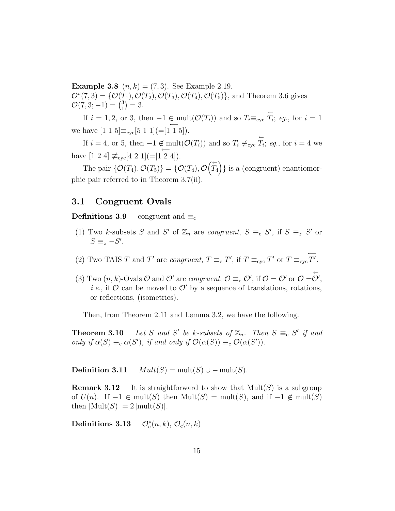**Example 3.8**  $(n, k) = (7, 3)$ . See Example 2.19.  $\mathcal{O}^*(7,3) = {\mathcal{O}(T_1), \mathcal{O}(T_2), \mathcal{O}(T_3), \mathcal{O}(T_4), \mathcal{O}(T_5)}$ , and Theorem 3.6 gives  $\mathcal{O}(7, 3; -1) = \binom{3}{1}$  $= 3.$ 

If  $i = 1, 2$ , or 3, then  $-1 \in \text{mult}(\mathcal{O}(T_i))$  and so  $T_i \equiv_{\text{cyc}} \overleftarrow{T_i}$  $T_i$ ; *eg.*, for  $i = 1$ we have  $[1\ 1\ 5] \equiv_{\text{cyc}} [5\ 1\ 1] (= [1\ 1\ 5]).$ 

If *i* = 4, or 5, then  $-1 \notin \text{mult}(\mathcal{O}(T_i))$  and so  $T_i \not\equiv_{\text{cyc}} \overleftarrow{T_i}$  $T_i$ ; *eg.*, for  $i = 4$  we have  $[1\ 2\ 4] \not\equiv_{\text{cyc}} [4\ 2\ 1] (= [1\ 2\ 4]).$ 

The pair  $\{\mathcal{O}(T_4), \mathcal{O}(T_5)\} = \{\mathcal{O}(T_4), \mathcal{O}$  $\sqrt{\frac{2}{m}}$ *T*4  $\overline{ }$ } is a (congruent) enantiomorphic pair referred to in Theorem 3.7(ii).

### **3.1 Congruent Ovals**

**Definitions 3.9** congruent and  $\equiv_c$ 

- (1) Two *k*-subsets *S* and *S'* of  $\mathbb{Z}_n$  are *congruent*,  $S \equiv_c S'$ , if  $S \equiv_z S'$  or  $S \equiv_z -S'.$
- (2) Two TAIS *T* and *T'* are *congruent*,  $T \equiv_c T'$ , if  $T \equiv_{\text{cyc}} T'$  or  $T \equiv_{\text{cyc}} \overleftarrow{T'}$ .
- (3) Two  $(n, k)$ -Ovals  $\mathcal O$  and  $\mathcal O'$  are *congruent*,  $\mathcal O \equiv_c \mathcal O'$ , if  $\mathcal O = \mathcal O'$  or  $\mathcal O = \overline{\mathcal O}'$ , *i.e.*, if  $\mathcal{O}$  can be moved to  $\mathcal{O}'$  by a sequence of translations, rotations, or reflections, (isometries).

Then, from Theorem 2.11 and Lemma 3.2, we have the following.

**Theorem 3.10** *Let S and S' be k*-subsets of  $\mathbb{Z}_n$ *. Then*  $S \equiv_c S'$  *if and only if*  $\alpha(S) \equiv_c \alpha(S')$ *, if and only if*  $\mathcal{O}(\alpha(S)) \equiv_c \mathcal{O}(\alpha(S'))$ *.* 

**Definition 3.11**  $Mult(S) = mult(S) \cup - mult(S)$ .

**Remark 3.12** It is straightforward to show that  $Mult(S)$  is a subgroup of  $U(n)$ . If  $-1 \in \text{mult}(S)$  then  $\text{Mult}(S) = \text{mult}(S)$ , and if  $-1 \notin \text{mult}(S)$ then  $|\text{Mult}(S)| = 2 |\text{mult}(S)|$ .

Definitions 3.13  $\mathcal{O}_c^*(n, k)$ ,  $\mathcal{O}_c(n, k)$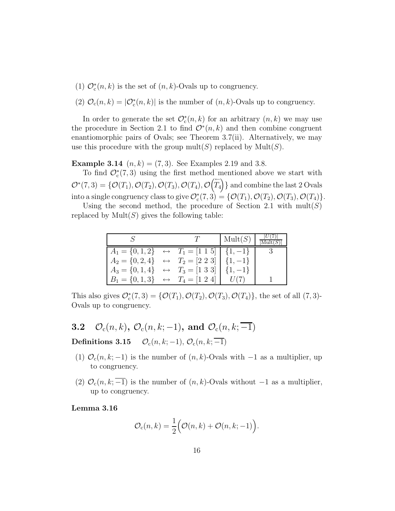- (1)  $\mathcal{O}_c^*(n,k)$  is the set of  $(n,k)$ -Ovals up to congruency.
- (2)  $\mathcal{O}_c(n,k) = |\mathcal{O}_c^*(n,k)|$  is the number of  $(n,k)$ -Ovals up to congruency.

In order to generate the set  $\mathcal{O}_c^*(n,k)$  for an arbitrary  $(n,k)$  we may use the procedure in Section 2.1 to find  $\mathcal{O}^*(n,k)$  and then combine congruent enantiomorphic pairs of Ovals; see Theorem 3.7(ii). Alternatively, we may use this procedure with the group  $mult(S)$  replaced by  $Mult(S)$ .

**Example 3.14**  $(n, k) = (7, 3)$ . See Examples 2.19 and 3.8.

To find  $\mathcal{O}_c^*(7,3)$  using the first method mentioned above we start with  $\mathcal{O}^*(7,3) = \{\mathcal{O}(T_1), \mathcal{O}(T_2), \mathcal{O}(T_3), \mathcal{O}(T_4), \mathcal{O}(\overline{T_4})\}$ *T*4  $\overline{ }$ } and combine the last 2 Ovals into a single congruency class to give  $\mathcal{O}_c^*(7,3) = \{ \mathcal{O}(T_1), \mathcal{O}(T_2), \mathcal{O}(T_3), \mathcal{O}(T_4) \}.$ 

Using the second method, the procedure of Section 2.1 with mult(*S*) replaced by  $Mult(S)$  gives the following table:

|                                                                                                                       |  | $\operatorname{Mult}(S)$ |  |
|-----------------------------------------------------------------------------------------------------------------------|--|--------------------------|--|
| $A_1 = \{0, 1, 2\} \leftrightarrow T_1 = \begin{bmatrix} 1 & 1 & 5 \end{bmatrix} \begin{bmatrix} 1, -1 \end{bmatrix}$ |  |                          |  |
| $A_2 = \{0, 2, 4\} \leftrightarrow T_2 = [2 \ 2 \ 3] \mid \{1, -1\}$                                                  |  |                          |  |
| $A_3 = \{0, 1, 4\} \leftrightarrow T_3 = \begin{bmatrix} 1 & 3 & 3 \end{bmatrix} \begin{bmatrix} 1, -1 \end{bmatrix}$ |  |                          |  |
| $B_1 = \{0, 1, 3\} \leftrightarrow T_4 = \begin{bmatrix} 1 & 2 & 4 \end{bmatrix}$                                     |  |                          |  |

This also gives  $\mathcal{O}_c^*(7,3) = \{ \mathcal{O}(T_1), \mathcal{O}(T_2), \mathcal{O}(T_3), \mathcal{O}(T_4) \},\$ the set of all  $(7,3)$ -Ovals up to congruency.

- **3.2**  $\mathcal{O}_c(n,k)$ ,  $\mathcal{O}_c(n,k;-1)$ , and  $\mathcal{O}_c(n,k;-1)$ **Definitions 3.15**  $\mathcal{O}_c(n, k; -1), \mathcal{O}_c(n, k; -1)$
- (1)  $\mathcal{O}_c(n,k;-1)$  is the number of  $(n, k)$ -Ovals with  $-1$  as a multiplier, up to congruency.
- (2)  $\mathcal{O}_c(n, k; -1)$  is the number of  $(n, k)$ -Ovals without  $-1$  as a multiplier, up to congruency.

**Lemma 3.16**

$$
\mathcal{O}_{\mathrm{c}}(n,k) = \frac{1}{2} \Big( \mathcal{O}(n,k) + \mathcal{O}(n,k;-1) \Big).
$$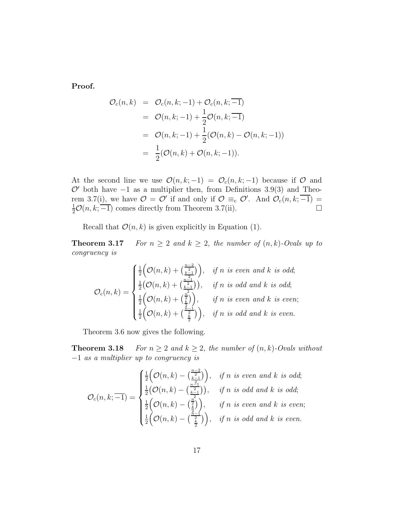**Proof.**

$$
\mathcal{O}_{c}(n,k) = \mathcal{O}_{c}(n,k;-1) + \mathcal{O}_{c}(n,k;\overline{-1})
$$
  
=  $\mathcal{O}(n,k;-1) + \frac{1}{2}\mathcal{O}(n,k;\overline{-1})$   
=  $\mathcal{O}(n,k;-1) + \frac{1}{2}(\mathcal{O}(n,k) - \mathcal{O}(n,k;-1))$   
=  $\frac{1}{2}(\mathcal{O}(n,k) + \mathcal{O}(n,k;-1)).$ 

At the second line we use  $\mathcal{O}(n,k;-1) = \mathcal{O}_c(n,k;-1)$  because if  $\mathcal O$  and  $\mathcal{O}'$  both have  $-1$  as a multiplier then, from Definitions 3.9(3) and Theorem 3.7(i), we have  $\mathcal{O} = \mathcal{O}'$  if and only if  $\mathcal{O} \equiv_{c} \mathcal{O}'$ . And  $\mathcal{O}_{c}(n,k;\overline{-1}) =$  $\frac{1}{2}\mathcal{O}(n, k; \overline{-1})$  comes directly from Theorem 3.7(ii).

Recall that  $\mathcal{O}(n, k)$  is given explicitly in Equation (1).

**Theorem 3.17** *For*  $n \geq 2$  *and*  $k \geq 2$ *, the number of*  $(n, k)$ *-Ovals up to congruency is*

$$
\mathcal{O}_{\mathrm{c}}(n,k) = \begin{cases} \frac{1}{2} \Big( \mathcal{O}(n,k) + \left(\frac{n-2}{\underline{k-1}}\right) \Big), & \text{if } n \text{ is even and } k \text{ is odd;}\\ \frac{1}{2} \Big( \mathcal{O}(n,k) + \left(\frac{n-1}{\underline{k-1}}\right) \Big), & \text{if } n \text{ is odd and } k \text{ is odd;}\\ \frac{1}{2} \Big( \mathcal{O}(n,k) + \left(\frac{n}{\underline{k}}\right) \Big), & \text{if } n \text{ is even and } k \text{ is even;}\\ \frac{1}{2} \Big( \mathcal{O}(n,k) + \left(\frac{n-1}{\underline{k}}\right) \Big), & \text{if } n \text{ is odd and } k \text{ is even.} \end{cases}
$$

Theorem 3.6 now gives the following.

**Theorem 3.18** *For*  $n \geq 2$  *and*  $k \geq 2$ *, the number of*  $(n, k)$ *-Ovals without* −1 *as a multiplier up to congruency is*

$$
\mathcal{O}_{\mathrm{c}}(n,k;\overline{-1}) = \begin{cases} \frac{1}{2} \Big( \mathcal{O}(n,k) - \left(\frac{n-2}{\underline{k-1}}\right) \Big), & \text{if } n \text{ is even and } k \text{ is odd;}\\ \frac{1}{2} \Big( \mathcal{O}(n,k) - \left(\frac{n-2}{\underline{k-1}}\right) \Big), & \text{if } n \text{ is odd and } k \text{ is odd;}\\ \frac{1}{2} \Big( \mathcal{O}(n,k) - \left(\frac{n}{\underline{k}}\right) \Big), & \text{if } n \text{ is even and } k \text{ is even;}\\ \frac{1}{2} \Big( \mathcal{O}(n,k) - \left(\frac{n-1}{\underline{k}}\right) \Big), & \text{if } n \text{ is odd and } k \text{ is even.} \end{cases}
$$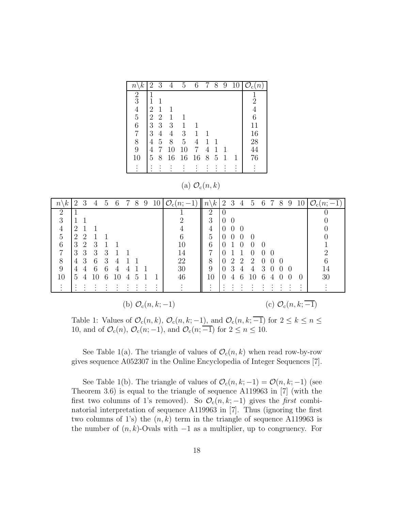| $\kappa$<br>$\, n$ | $\overline{2}$ | 3              | 4              | 5  | 6              | 7 | 8 | 9 | 10 | $\mathcal{O}_{\rm c}$<br>$\,n$ |
|--------------------|----------------|----------------|----------------|----|----------------|---|---|---|----|--------------------------------|
| $\frac{2}{3}$      |                |                |                |    |                |   |   |   |    | $\frac{1}{2}$                  |
|                    |                | 1              |                |    |                |   |   |   |    |                                |
| $\frac{4}{5}$      | $\overline{2}$ | 1              |                |    |                |   |   |   |    | $\overline{4}$                 |
|                    | $\overline{2}$ | $\overline{2}$ | 1              |    |                |   |   |   |    | 6                              |
| 6                  | 3              | 3              | 3              | 1  | 1              |   |   |   |    | 11                             |
| 7                  | 3              | $\overline{4}$ | $\overline{4}$ | 3  | 1              |   |   |   |    | 16                             |
| 8                  | 4              | 5              | 8              | 5  | $\overline{4}$ | 1 |   |   |    | 28                             |
| 9                  | 4              |                | 10             | 10 | 7              | 4 | 1 |   |    | 44                             |
| 10                 | 5              | 8              | 16             | 16 | 16             | 8 | 5 | 1 |    | 76                             |
|                    |                |                |                |    |                |   |   |   |    |                                |

(a)  $\mathcal{O}_c(n,k)$ 

| $\kappa$<br>$\, n$ | 2              | 3              | 4  | 5 | 6  | 7 | 8 | 9 | 10                            | $\mathcal{O}_{\mathrm{c}}(n;$<br>$-1)$ | $\kappa$<br>$n\setminus$ | 2        | 3        | $\overline{4}$   | $5^{\circ}$      | -6       | 7 | 8 | 9 | 10                                 | $\mathcal{O}_{\rm c}(n; \overline{-1})$ |
|--------------------|----------------|----------------|----|---|----|---|---|---|-------------------------------|----------------------------------------|--------------------------|----------|----------|------------------|------------------|----------|---|---|---|------------------------------------|-----------------------------------------|
| 2                  |                |                |    |   |    |   |   |   |                               |                                        | 2                        |          |          |                  |                  |          |   |   |   |                                    |                                         |
| 3                  |                |                |    |   |    |   |   |   |                               | റ                                      | 3                        |          | $\Omega$ |                  |                  |          |   |   |   |                                    |                                         |
| $\overline{4}$     | $\overline{2}$ |                |    |   |    |   |   |   |                               |                                        | 4                        | $\theta$ | 0        | $\left( \right)$ |                  |          |   |   |   |                                    |                                         |
| 5                  | $\overline{2}$ |                |    |   |    |   |   |   |                               | 6                                      | 5                        |          | 0        | $\Omega$         | $\Omega$         |          |   |   |   |                                    |                                         |
| 6                  | 3              | $\overline{2}$ | 3  |   |    |   |   |   |                               | 10                                     | 6                        |          |          |                  | $\left( \right)$ | $\Omega$ |   |   |   |                                    |                                         |
| $\overline{7}$     | 3              | 3              | 3  | 3 |    |   |   |   |                               | 14                                     | 7                        |          |          |                  | 0                | ∩        |   |   |   |                                    | റ                                       |
| 8                  | 4              | 3              | 6  | 3 | 4  |   |   |   |                               | 22                                     | 8                        |          | റ        | $\mathcal{D}$    | 2                | $\Omega$ |   |   |   |                                    | 6                                       |
| 9                  | 4              |                | 6  | 6 | 4  | 4 |   |   |                               | 30                                     | 9                        |          | 3        | 4                | 4                | З        |   |   |   |                                    | 14                                      |
| 10                 | 5              |                | 10 | 6 | 10 | 4 | 5 |   |                               | 46                                     | 10                       |          |          |                  | Ю                | 6        | 4 |   |   |                                    | 30                                      |
|                    |                |                |    |   |    |   |   |   | $\bullet$                     |                                        |                          |          |          |                  |                  |          |   |   |   |                                    |                                         |
|                    |                |                |    |   |    |   |   |   | (b) $\mathcal{O}_{c}(n,k;-1)$ |                                        |                          |          |          |                  |                  |          |   |   |   | (c) $\mathcal{O}_{\rm c}(n,k; -1)$ |                                         |

Table 1: Values of  $\mathcal{O}_c(n, k)$ ,  $\mathcal{O}_c(n, k; -1)$ , and  $\mathcal{O}_c(n, k; -1)$  for  $2 \leq k \leq n \leq$ 10, and of  $\mathcal{O}_c(n)$ ,  $\mathcal{O}_c(n;-1)$ , and  $\mathcal{O}_c(n;-1)$  for  $2 \leq n \leq 10$ .

See Table 1(a). The triangle of values of  $\mathcal{O}_c(n,k)$  when read row-by-row gives sequence A052307 in the Online Encyclopedia of Integer Sequences [7].

See Table 1(b). The triangle of values of  $\mathcal{O}_{c}(n, k; -1) = \mathcal{O}(n, k; -1)$  (see Theorem 3.6) is equal to the triangle of sequence A119963 in [7] (with the first two columns of 1's removed). So  $\mathcal{O}_c(n, k; -1)$  gives the *first* combinatorial interpretation of sequence A119963 in [7]. Thus (ignoring the first two columns of 1's) the  $(n, k)$  term in the triangle of sequence A119963 is the number of  $(n, k)$ -Ovals with  $-1$  as a multiplier, up to congruency. For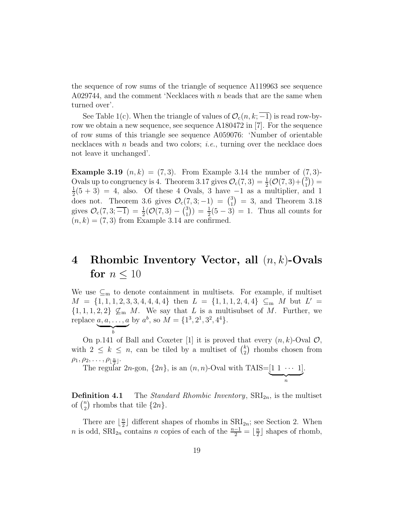the sequence of row sums of the triangle of sequence A119963 see sequence A029744, and the comment 'Necklaces with *n* beads that are the same when turned over'.

See Table 1(c). When the triangle of values of  $\mathcal{O}_c(n, k; -1)$  is read row-byrow we obtain a new sequence, see sequence A180472 in [7]. For the sequence of row sums of this triangle see sequence A059076: 'Number of orientable necklaces with *n* beads and two colors; *i.e.*, turning over the necklace does not leave it unchanged'.

**Example 3.19**  $(n, k) = (7, 3)$ . From Example 3.14 the number of  $(7, 3)$ -Ovals up to congruency is 4. Theorem 3.17 gives  $\mathcal{O}_c(7,3) = \frac{1}{2}(\mathcal{O}(7,3)+\binom{3}{1})$  $)) =$  $\frac{1}{2}(5+3) = 4$ , also. Of these 4 Ovals, 3 have -1 as a multiplier, and 1 does not. Theorem 3.6 gives  $\mathcal{O}_{c}(7, 3, -1) = {3 \choose 1} = 3$ , and Theorem 3.18 gives  $\mathcal{O}_c(7, 3; \overline{-1}) = \frac{1}{2}(\mathcal{O}(7, 3) - \binom{3}{1}$  $() = \frac{1}{2}(5-3) = 1.$  Thus all counts for  $(n, k) = (7, 3)$  from Example 3.14 are confirmed.

# **4 Rhombic Inventory Vector, all** (*n, k*)**-Ovals for**  $n < 10$

We use  $\subseteq_m$  to denote containment in multisets. For example, if multiset  $M = \{1, 1, 1, 2, 3, 3, 4, 4, 4, 4\}$  then  $L = \{1, 1, 1, 2, 4, 4\} \subseteq M$  but  $L' =$  $\{1, 1, 1, 2, 2\} \nsubseteq M$ . We say that *L* is a multisubset of *M*. Further, we replace *a, a, . . ., a*  $\overbrace{b}$ by  $a^b$ , so  $M = \{1^3, 2^1, 3^2, 4^4\}.$ 

On p.141 of Ball and Coxeter [1] it is proved that every  $(n, k)$ -Oval  $\mathcal{O}$ , with  $2 \leq k \leq n$ , can be tiled by a multiset of  $\binom{k}{2}$  rhombs chosen from  $\rho_1, \rho_2, \ldots, \rho_{\lfloor \frac{n}{2} \rfloor}.$ 

The regular 2*n*-gon,  $\{2n\}$ , is an  $(n, n)$ -Oval with TAIS= $\underbrace{[1 \ 1 \ \cdots \ 1]}_{n}$ .

**Definition 4.1** The *Standard Rhombic Inventory*,  $\text{SRI}_{2n}$ , is the multiset of  $\binom{n}{2}$ ) rhombs that tile  $\{2n\}$ .

There are  $\lfloor \frac{n}{2} \rfloor$  different shapes of rhombs in  $\text{SRI}_{2n}$ ; see Section 2. When *n* is odd,  $SRI_{2n}$  contains *n* copies of each of the  $\frac{n-1}{2} = \lfloor \frac{n}{2} \rfloor$  shapes of rhomb,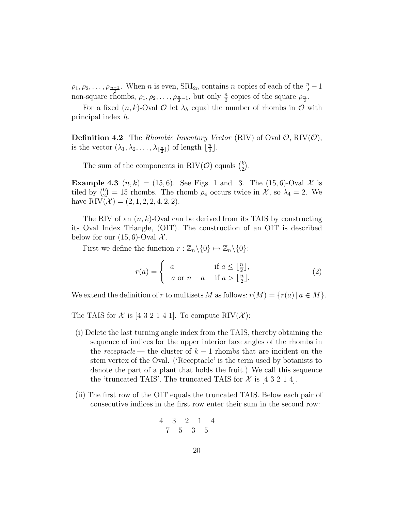$\rho_1, \rho_2, \ldots, \rho_{\frac{n-1}{2}}$ . When *n* is even,  $\text{SRI}_{2n}$  contains *n* copies of each of the  $\frac{n}{2} - 1$ non-square rhombs,  $\rho_1, \rho_2, \ldots, \rho_{\frac{n}{2}-1}$ , but only  $\frac{n}{2}$  copies of the square  $\rho_{\frac{n}{2}}$ .

For a fixed  $(n, k)$ -Oval  $\mathcal O$  let  $\lambda_h$  equal the number of rhombs in  $\mathcal O$  with principal index *h*.

**Definition 4.2** The *Rhombic Inventory Vector* (RIV) of Oval  $\mathcal{O}$ , RIV $(\mathcal{O})$ , is the vector  $(\lambda_1, \lambda_2, \ldots, \lambda_{\lfloor \frac{n}{2} \rfloor})$  of length  $\lfloor \frac{n}{2} \rfloor$ .

The sum of the components in RIV( $\mathcal{O}$ ) equals  $\binom{k}{2}$  $).$ 

**Example 4.3**  $(n, k) = (15, 6)$ . See Figs. 1 and 3. The  $(15, 6)$ -Oval X is tiled by  $\binom{6}{2}$  $= 15$  rhombs. The rhomb  $\rho_4$  occurs twice in X, so  $\lambda_4 = 2$ . We have  $\text{RIV}(\mathcal{X}) = (2, 1, 2, 2, 4, 2, 2).$ 

The RIV of an (*n, k*)-Oval can be derived from its TAIS by constructing its Oval Index Triangle, (OIT). The construction of an OIT is described below for our  $(15, 6)$ -Oval X.

First we define the function  $r : \mathbb{Z}_n \backslash \{0\} \mapsto \mathbb{Z}_n \backslash \{0\}$ :

$$
r(a) = \begin{cases} a & \text{if } a \le \lfloor \frac{n}{2} \rfloor, \\ -a \text{ or } n - a & \text{if } a > \lfloor \frac{n}{2} \rfloor. \end{cases}
$$
 (2)

We extend the definition of *r* to multisets *M* as follows:  $r(M) = \{r(a) | a \in M\}$ .

The TAIS for  $\mathcal X$  is [4 3 2 1 4 1]. To compute RIV( $\mathcal X$ ):

- (i) Delete the last turning angle index from the TAIS, thereby obtaining the sequence of indices for the upper interior face angles of the rhombs in the *receptacle* — the cluster of  $k-1$  rhombs that are incident on the stem vertex of the Oval. ('Receptacle' is the term used by botanists to denote the part of a plant that holds the fruit.) We call this sequence the 'truncated TAIS'. The truncated TAIS for  $\mathcal X$  is [4 3 2 1 4].
- (ii) The first row of the OIT equals the truncated TAIS. Below each pair of consecutive indices in the first row enter their sum in the second row:

$$
\begin{array}{ccccc}\n4 & 3 & 2 & 1 & 4 \\
7 & 5 & 3 & 5\n\end{array}
$$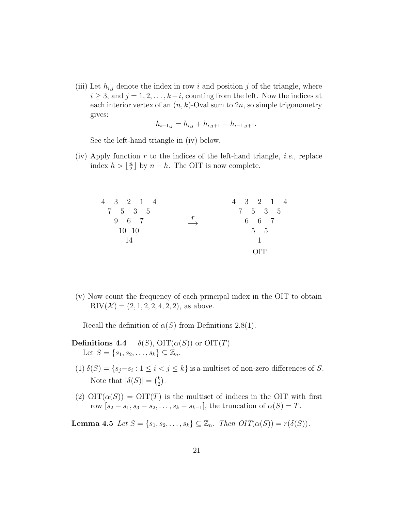(iii) Let  $h_{i,j}$  denote the index in row i and position j of the triangle, where  $i \geq 3$ , and  $j = 1, 2, \ldots, k - i$ , counting from the left. Now the indices at each interior vertex of an  $(n, k)$ -Oval sum to  $2n$ , so simple trigonometry gives:

$$
h_{i+1,j} = h_{i,j} + h_{i,j+1} - h_{i-1,j+1}.
$$

See the left-hand triangle in (iv) below.

(iv) Apply function *r* to the indices of the left-hand triangle, *i.e.*, replace index  $h > \lfloor \frac{n}{2} \rfloor$  by  $n - h$ . The OIT is now complete.

| 4 3 2 1 4 |                   | $4 \t3 \t2 \t1 \t4$ |
|-----------|-------------------|---------------------|
| 7 5 3 5   |                   | 7 5 3 5             |
| 9 6 7     | $\longrightarrow$ | 6 6 7               |
| 10 10     |                   | $5\quad 5$          |
| -14       |                   | 1                   |
|           |                   | OIT                 |

(v) Now count the frequency of each principal index in the OIT to obtain RIV $(X) = (2, 1, 2, 2, 4, 2, 2)$ , as above.

Recall the definition of  $\alpha(S)$  from Definitions 2.8(1).

# **Definitions 4.4**  $\delta(S)$ ,  $\text{OIT}(\alpha(S))$  or  $\text{OIT}(T)$ Let  $S = \{s_1, s_2, \ldots, s_k\} \subseteq \mathbb{Z}_n$ .

- (1)  $\delta(S) = \{s_j s_i : 1 \leq i < j \leq k\}$  is a multiset of non-zero differences of *S*. Note that  $|\delta(S)| = {k \choose 2}$  $).$
- (2)  $\text{OIT}(\alpha(S)) = \text{OIT}(T)$  is the multiset of indices in the OIT with first row  $[s_2 - s_1, s_3 - s_2, \ldots, s_k - s_{k-1}]$ , the truncation of  $\alpha(S) = T$ .

**Lemma 4.5** *Let*  $S = \{s_1, s_2, ..., s_k\} \subseteq \mathbb{Z}_n$ *. Then*  $OIT(\alpha(S)) = r(\delta(S))$ *.*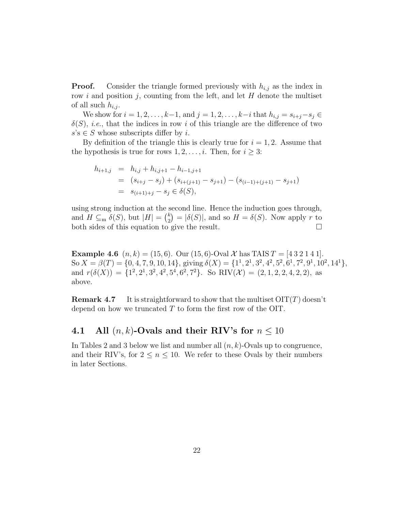**Proof.** Consider the triangle formed previously with  $h_{i,j}$  as the index in row *i* and position *j*, counting from the left, and let *H* denote the multiset of all such  $h_{i,j}$ .

We show for  $i = 1, 2, ..., k-1$ , and  $j = 1, 2, ..., k-i$  that  $h_{i,j} = s_{i+j} - s_j$  ∈  $\delta(S)$ , *i.e.*, that the indices in row *i* of this triangle are the difference of two  $s$ 's  $\in$  *S* whose subscripts differ by *i*.

By definition of the triangle this is clearly true for  $i = 1, 2$ . Assume that the hypothesis is true for rows  $1, 2, \ldots, i$ . Then, for  $i \geq 3$ :

$$
h_{i+1,j} = h_{i,j} + h_{i,j+1} - h_{i-1,j+1}
$$
  
=  $(s_{i+j} - s_j) + (s_{i+(j+1)} - s_{j+1}) - (s_{(i-1)+(j+1)} - s_{j+1})$   
=  $s_{(i+1)+j} - s_j \in \delta(S)$ ,

using strong induction at the second line. Hence the induction goes through, and  $H \subseteq_{\text{m}} \delta(S)$ , but  $|H| = \binom{k}{2}$  $\hat{\sigma}$  =  $|\delta(S)|$ , and so  $H = \delta(S)$ . Now apply *r* to both sides of this equation to give the result.

**Example 4.6**  $(n, k) = (15, 6)$ . Our  $(15, 6)$ -Oval X has TAIS  $T = [4 3 2 1 4 1]$ . So  $X = \beta(T) = \{0, 4, 7, 9, 10, 14\}$ , giving  $\delta(X) = \{1^1, 2^1, 3^2, 4^2, 5^2, 6^1, 7^2, 9^1, 10^2, 14^1\}$ , and  $r(\delta(X)) = \{1^2, 2^1, 3^2, 4^2, 5^4, 6^2, 7^2\}$ . So RIV(X) = (2, 1, 2, 2, 4, 2, 2), as above.

**Remark 4.7** It is straightforward to show that the multiset OIT(*T*) doesn't depend on how we truncated *T* to form the first row of the OIT.

### **4.1** All  $(n, k)$ -Ovals and their RIV's for  $n \leq 10$

In Tables 2 and 3 below we list and number all (*n, k*)-Ovals up to congruence, and their RIV's, for  $2 \leq n \leq 10$ . We refer to these Ovals by their numbers in later Sections.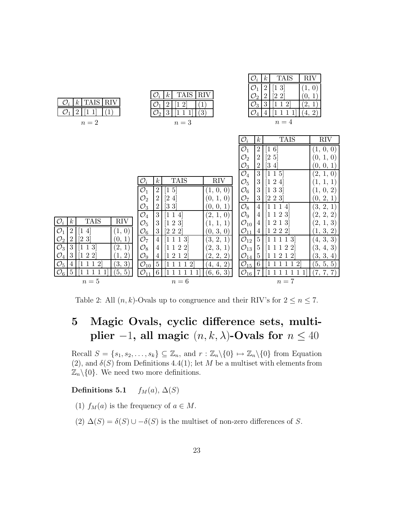| <b>TAIS</b><br><b>RIV</b><br>$\mathcal{O}_i$<br>$\boldsymbol{k}$<br>O<br>$\overline{2}$<br>$\mathbf{1}$<br>$\left(1\right)$<br>$\mathbf 1$<br>$\sqrt{n}=2$                    | <b>TAIS</b><br>$\mathcal{O}_i$<br><b>RIV</b><br>$\boldsymbol{k}$<br>$\mathcal{O}_1$<br>$\overline{2}$<br>$\overline{2}$<br>1<br>$\left( 1\right)$<br>$\mathcal{O}_2$<br>3<br>(3)<br>11<br>$\mathbf{1}$<br>$n=3$                                                                                                                                  | $\mathcal{O}_i$<br><b>TAIS</b><br>$\boldsymbol{k}$<br><b>RIV</b><br>$\mathcal{O}_1$<br>$\left\lceil 1 \right\rceil 3$<br>2<br>(1,<br>$\overline{0}$<br>$[2\ 2]$<br>$\mathcal{O}_2$<br>$\overline{2}$<br>(0, 1)<br>$\mathcal{O}_3$<br>3<br>(2,<br>11<br>$\overline{2}$<br>$\ket{1}$<br>$\mathcal{O}_4$<br>(4, 2)<br>111<br>$\overline{4}$<br>-1<br>$n=4$ |
|-------------------------------------------------------------------------------------------------------------------------------------------------------------------------------|--------------------------------------------------------------------------------------------------------------------------------------------------------------------------------------------------------------------------------------------------------------------------------------------------------------------------------------------------|---------------------------------------------------------------------------------------------------------------------------------------------------------------------------------------------------------------------------------------------------------------------------------------------------------------------------------------------------------|
|                                                                                                                                                                               |                                                                                                                                                                                                                                                                                                                                                  | <b>TAIS</b><br>$\mathcal{O}_i$<br><b>RIV</b><br>$\boldsymbol{k}$<br>$\mathcal{O}_1$<br>$\overline{2}$<br>$6^{\circ}$<br>$(1,\,0,\,0)$<br>1<br>$\mathcal{O}_2$<br>$\overline{2}$<br>$\left[ 2\;5\right]$<br>$(0,\,1,\,0)$                                                                                                                                |
|                                                                                                                                                                               | <b>TAIS</b><br>$\mathcal{O}_i$<br><b>RIV</b><br>$k_{\parallel}$                                                                                                                                                                                                                                                                                  | $\mathcal{O}_3$<br>$\overline{2}$<br>$\left\lceil 3\right\rceil 4 \right\rceil$<br>(0, 0, 1)<br>$\mathcal{O}_4$<br>3<br>$\overline{5}$<br>(2, 1,<br>1<br>$\vert 0 \vert$<br>$\mathcal{O}_5$<br>3<br>$\overline{2}$                                                                                                                                      |
|                                                                                                                                                                               | $\mathcal{O}_1$<br>2<br>$\overline{5}$<br>$(1,\,0,\,0)$<br>1<br>$\mathcal{O}_2$<br>$\overline{2}$<br>$\left\lceil 2\right\rceil$<br>$\overline{4}$<br>(0, 1, 0)<br>$\left[3\;3\right]$<br>$\overline{2}$<br>$\mathcal{O}_3$<br>[0, 0,<br>-1<br>$\mathcal{O}_4$<br>3<br>$(2, \, 1, \,$<br>$\mathbf{1}$<br>$\vert 0 \vert$<br>11<br>$\overline{4}$ | 3<br>$\mathcal{O}_6$<br>3 3<br>2)<br>1, 0,<br>3<br>$\mathcal{O}_7$<br>$\left[2\;2\;3\right]$<br>(0, 2, 1)<br>$\mathcal{O}_8$<br>(3, 2, 1)<br>4<br>4<br>$\mathcal{O}_9$<br>$\overline{2}$<br>2, 2)<br>2,<br>4<br>3                                                                                                                                       |
| <b>TAIS</b><br>$\mathcal{O}_i$<br>$\boldsymbol{k}$<br><b>RIV</b><br>$\mathcal{O}_1$<br>$\overline{2}$<br>$\left 0\right\rangle$<br>$\overline{4}$<br>(1,                      | 3<br>2 3<br>$\mathcal{O}_5$<br>1<br>$\perp$ ,<br>(0, 3, 0)<br>$\mathcal{O}_6$<br>$[2\;2\;2]$<br>3                                                                                                                                                                                                                                                | $\mathcal{O}_{10}$<br>3<br>[2,<br>$ 3\rangle$<br>4<br>$\mathcal{O}_{\underline{1}\underline{1}}$<br>1, 3, 2)<br>222<br>4                                                                                                                                                                                                                                |
| $[2\,\,3]$<br>$\boldsymbol{2}$<br>$\mathcal{O}_2$<br>(0, 1)<br>$\mathcal{O}_3$<br>3<br>(2,<br>3<br>$\mathbf{1}$<br>$\mathcal{O}_4$<br>3<br>$\left( \frac{1}{2} \right)$<br>22 | $\mathcal{O}_7$<br>(3, 2, 1)<br>$\overline{4}$<br>$\overline{3}$<br>3,<br>$\mathcal{O}_8$<br>$\overline{2}$<br>$\overline{2}$<br>4<br>2,<br>$\mathcal{O}_9$<br>(2, 2, 2)<br>212<br>4                                                                                                                                                             | $\mathcal{O}_{12}$<br>(4, 3, 3)<br>$\bf 5$<br> 3 <br>$\mathcal{O}_{13}$<br>$5\,$<br>(3, 4, 3)<br>2<br>$\overline{2}$<br>$\mathcal{O}_{14}$<br>$\overline{5}$<br>(3, 3, 4)<br>$\overline{2}$<br>1                                                                                                                                                        |
| $\mathcal{O}_5$<br>3)<br>(3,<br>$\overline{2}$<br>$\overline{4}$<br>$\mathcal{O}_6$<br>5<br>(5, 5)<br>$\sqrt{n}=5$                                                            | $\bf 5$<br>$\mathcal{O}_{\underline{10}}$<br>(4, 4, 2)<br>12<br>$\mathbf{1}$<br>$\mathcal{O}_{11}$<br>6<br>$(6,\,6,\,3)$<br>$n=6$                                                                                                                                                                                                                | $\mathcal{O}_{15}$<br>6<br>(5, 5, 5)<br>$\mathcal{D}$<br>$\mathcal{O}_{\underline{16}}$<br>(7, 7, 7)<br>7<br>$n=7$                                                                                                                                                                                                                                      |

Table 2: All  $(n, k)$ -Ovals up to congruence and their RIV's for  $2 \le n \le 7$ .

# **5 Magic Ovals, cyclic difference sets, multiplier**  $-1$ **, all magic**  $(n, k, \lambda)$ **-Ovals for**  $n \leq 40$

Recall  $S = \{s_1, s_2, \ldots, s_k\} \subseteq \mathbb{Z}_n$ , and  $r : \mathbb{Z}_n \setminus \{0\} \mapsto \mathbb{Z}_n \setminus \{0\}$  from Equation (2), and  $\delta(S)$  from Definitions 4.4(1); let *M* be a multiset with elements from  $\mathbb{Z}_n\backslash\{0\}$ . We need two more definitions.

### **Definitions 5.1** *f*<sub>M</sub> $(a)$ ,  $\Delta(S)$

(1)  $f_M(a)$  is the frequency of  $a \in M$ .

(2)  $\Delta(S) = \delta(S) \cup -\delta(S)$  is the multiset of non-zero differences of *S*.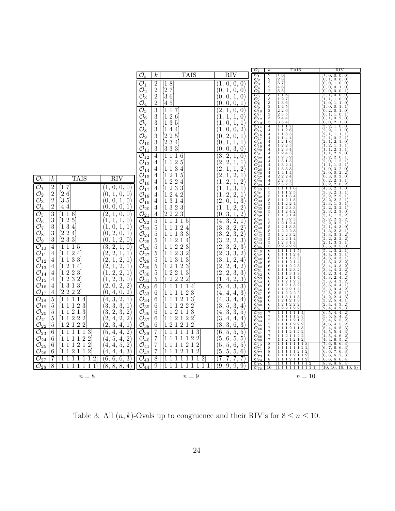|                                                                                                                                                                                                                                                                                       |                                                                   |                                                                      |                                                                           | $\mathcal{O}_3$<br>$\boldsymbol{k}$                                                                     | TAIS                                                                                                                                                                                                                                                                                                  | RIV                                                                                                                                                                                                                                                                                                                                                                                                                                                                                      |
|---------------------------------------------------------------------------------------------------------------------------------------------------------------------------------------------------------------------------------------------------------------------------------------|-------------------------------------------------------------------|----------------------------------------------------------------------|---------------------------------------------------------------------------|---------------------------------------------------------------------------------------------------------|-------------------------------------------------------------------------------------------------------------------------------------------------------------------------------------------------------------------------------------------------------------------------------------------------------|------------------------------------------------------------------------------------------------------------------------------------------------------------------------------------------------------------------------------------------------------------------------------------------------------------------------------------------------------------------------------------------------------------------------------------------------------------------------------------------|
|                                                                                                                                                                                                                                                                                       | $\mathcal{O}_i$<br>$\kappa$                                       | TAIS                                                                 | RIV                                                                       | $\overline{\mathcal{O}}_1$<br>2<br>$\mathcal{O}_2$                                                      | 19                                                                                                                                                                                                                                                                                                    | $\begin{smallmatrix} (1,\ 0,\ 0,\ 0,\ 0)\ (0,\ 1,\ 0,\ 0,\ 0) \end{smallmatrix}$                                                                                                                                                                                                                                                                                                                                                                                                         |
|                                                                                                                                                                                                                                                                                       | $\overline{\mathcal{O}}_1$<br>$\overline{c}$                      | 18                                                                   | 0,<br>0,<br>$\left( 0 \right)$<br>$\left 1\right\rangle$                  | $\begin{smallmatrix}2\\2\\2\\2\end{smallmatrix}$                                                        | $\begin{bmatrix} 2 & 8 \\ 3 & 7 \\ 4 & 6 \\ 5 & 5 \end{bmatrix}$                                                                                                                                                                                                                                      |                                                                                                                                                                                                                                                                                                                                                                                                                                                                                          |
|                                                                                                                                                                                                                                                                                       | $\mathcal{O}_2$<br>$\overline{2}$                                 | $\overline{2}$<br>7                                                  | 1,<br>(0,<br>0,<br>$\overline{0}$                                         | $\overset{\circ}{\mathcal{O}_{3}}\overset{\circ}{\mathcal{O}_{4}}\ \overset{\circ}{\mathcal{O}_{5}}$    |                                                                                                                                                                                                                                                                                                       | $(0, 0, 1, 0, 0)$<br>$(0, 0, 0, 1, 0)$<br>$(0, 0, 0, 1, 0)$                                                                                                                                                                                                                                                                                                                                                                                                                              |
|                                                                                                                                                                                                                                                                                       | $\mathcal{O}^\mathsf{-}_3$<br>$\overline{2}$                      | 36                                                                   | $\overline{0}$ ,<br>1,<br>(0,<br>$\vert 0 \vert$                          | $\frac{66}{60}$                                                                                         |                                                                                                                                                                                                                                                                                                       |                                                                                                                                                                                                                                                                                                                                                                                                                                                                                          |
|                                                                                                                                                                                                                                                                                       | $\overline{2}$<br>$\mathcal{O}_4$                                 | 45                                                                   | $\overline{0}$<br>(0)<br>$\overline{0}$ .<br>1                            | 3333                                                                                                    | $\begin{bmatrix} 1 & 1 & 8 \\ 1 & 2 & 7 \\ 1 & 3 & 6 \end{bmatrix}$                                                                                                                                                                                                                                   |                                                                                                                                                                                                                                                                                                                                                                                                                                                                                          |
|                                                                                                                                                                                                                                                                                       | $\overline{\mathcal{O}_5}$<br>$\overline{3}$                      | 1<br>$\mathbf{1}$<br>7                                               | $\mathbf 2$<br>$\overline{0}$ ,<br>$\theta$                               | $\mathcal{O}_9$<br>$\mathcal{O}_{10}$                                                                   |                                                                                                                                                                                                                                                                                                       |                                                                                                                                                                                                                                                                                                                                                                                                                                                                                          |
|                                                                                                                                                                                                                                                                                       | $\boldsymbol{3}$<br>$\mathcal{O}_6$                               | $\sqrt{2}$<br>6<br>1                                                 | 1,<br>(1,<br>1,<br>$\theta$                                               | $\mathcal{O}_{11}$                                                                                      |                                                                                                                                                                                                                                                                                                       |                                                                                                                                                                                                                                                                                                                                                                                                                                                                                          |
|                                                                                                                                                                                                                                                                                       | 3<br>$\mathcal{O}_7$                                              | $\sqrt{3}$<br>5<br>1                                                 | 1,<br>0,<br>1<br>Ί,                                                       | $\begin{smallmatrix} 3\\3\\3\\3 \end{smallmatrix}$<br>$\overset{\circ}{\mathcal{O}}_{12}^{11}$          | $\begin{bmatrix} 1 & 4 & 5 \\ 2 & 2 & 6 \\ 2 & 3 & 5 \\ 2 & 4 & 4 \\ 3 & 3 & 4 \end{bmatrix}$                                                                                                                                                                                                         | $(2, 1, 0, 0, 0)$<br>$(1, 1, 1, 0, 0)$<br>$(1, 1, 1, 0, 0)$<br>$(1, 0, 1, 1, 0)$<br>$(1, 0, 0, 1, 1)$<br>$(0, 2, 1, 0, 1)$<br>$(0, 1, 1, 0, 1)$<br>$(0, 1, 0, 2, 0)$<br>$(0, 0, 2, 1, 0)$                                                                                                                                                                                                                                                                                                |
|                                                                                                                                                                                                                                                                                       | 3<br>$\mathcal{O}_8$                                              | $\overline{1}$<br>$\overline{4}$<br>4                                | 0,<br>$\left\{ 0,\right.$<br>$\overline{2}$<br>(1,                        | $\frac{O_{14}}{O_{15}}$<br>4<br>$\overline{4}$                                                          | $\begin{array}{ c c c c }\n\hline\n1 & 1 & 1 & 7 \\ 1 & 1 & 2 & 6 \\ 1 & 1 & 3 & 5 \\ 1 & 1 & 4 & 4 \\ \hline\n\end{array}$                                                                                                                                                                           |                                                                                                                                                                                                                                                                                                                                                                                                                                                                                          |
|                                                                                                                                                                                                                                                                                       | $\mathcal{O}_9$<br>3                                              | $\overline{2}$<br>$\sqrt{2}$<br>5                                    | 2,<br>0,<br>$\mathbf{1}$<br>(0,                                           | $\overline{4}$                                                                                          |                                                                                                                                                                                                                                                                                                       | $\begin{array}{c} (3, \\ (2, \\ (2, \\ (2, \\ (1, \\ (1, \\ (1, \\ (1,$                                                                                                                                                                                                                                                                                                                                                                                                                  |
|                                                                                                                                                                                                                                                                                       | $\mathcal{O}_{10}$<br>3                                           | $\overline{2}$<br>$\sqrt{3}$<br>$\overline{4}$                       | 1,<br>(0,<br>1,<br>$\mathbf{1}$                                           | $\overline{\mathcal{O}}_{17}^{10}$<br>$\overline{4}$<br>$\overline{\mathcal{O}_{18}}$<br>$\overline{4}$ |                                                                                                                                                                                                                                                                                                       |                                                                                                                                                                                                                                                                                                                                                                                                                                                                                          |
|                                                                                                                                                                                                                                                                                       | $\mathcal{O}_{11}$<br>3                                           | 33<br>3                                                              | 3,<br>$\overline{0}$ ,<br>(0.<br>$\theta$                                 | $\mathcal{O}_{19}$<br>$\overline{4}$<br>$\overline{4}$                                                  |                                                                                                                                                                                                                                                                                                       |                                                                                                                                                                                                                                                                                                                                                                                                                                                                                          |
|                                                                                                                                                                                                                                                                                       | 4                                                                 | 1<br>1<br>1                                                          | $\overline{(3)}$<br>$\overline{0}$                                        | $\mathcal{O}^{\tau\tau}_{20}$<br>$\overset{\circ}{\mathcal{O}}_{21}^{20}$<br>$\overline{4}$             | $\begin{array}{cccc}\n1 & 1 & 2 & 1 & 6 \\ 1 & 2 & 2 & 5 & 1 \\ 1 & 2 & 3 & 4 & 3 \\ 1 & 2 & 5 & 2 & 1 \\ 1 & 3 & 1 & 5 & 1\n\end{array}$                                                                                                                                                             | ì.,                                                                                                                                                                                                                                                                                                                                                                                                                                                                                      |
|                                                                                                                                                                                                                                                                                       | $\overline{\mathcal{O}_{12}}$                                     | 6<br>$\boldsymbol{2}$<br>$\mathbf{1}$<br>5<br>1                      | $\frac{2}{2}$ , 1,<br>1,<br>1,                                            | $\overline{4}$<br>$\overline{\mathcal{O}}_{23}$<br>$\overline{4}$                                       |                                                                                                                                                                                                                                                                                                       | $\begin{pmatrix} 1 \\ 2 \\ 1 \end{pmatrix}$                                                                                                                                                                                                                                                                                                                                                                                                                                              |
|                                                                                                                                                                                                                                                                                       | $\mathcal{O}_{13}$<br>4                                           | 3<br>$\mathbf{1}$<br>1                                               | $\langle 2 \rangle \ \langle 2 \rangle$<br>$\mathbf{1}$<br>$\overline{2}$ | $\mathcal{O}_{24}$<br>$\overline{4}$<br>$\overline{4}$                                                  | 1324                                                                                                                                                                                                                                                                                                  |                                                                                                                                                                                                                                                                                                                                                                                                                                                                                          |
|                                                                                                                                                                                                                                                                                       | $\mathcal{O}_{14}$<br>4                                           | 4                                                                    | 1,<br>1,<br>$^{2}2$                                                       | $\mathcal{O}_{25}$<br>$\mathcal{O}_{26}$<br>$\overline{4}$                                              |                                                                                                                                                                                                                                                                                                       | $\begin{pmatrix} 1 \\ 2 \\ 0 \\ 0 \\ 0 \\ 0 \\ 0 \\ 0 \\ 0 \\ 0 \\ 0$                                                                                                                                                                                                                                                                                                                                                                                                                    |
| <b>TAIS</b><br>$\overline{\mathcal{O}}_i$<br>$\overline{RIV}$<br>$_{k}$                                                                                                                                                                                                               | $\mathcal{O}_{15}$<br>4                                           | $\overline{2}$<br>$\mathbf{1}$<br>5<br>1<br>$\sqrt{2}$               | 2,<br>$\mathbf{1}$<br>2,<br>1,<br>$\overline{2}$                          | $\mathcal{O}_{27}$<br>$\overline{4}$<br>$\overline{\mathcal{O}}_{28}$<br>$\,4\,$                        | $\begin{bmatrix} 1 & 3 & 3 & 3 \\ 1 & 4 & 1 & 4 \\ 2 & 2 & 2 & 4 \\ 2 & 2 & 3 & 3 \\ 2 & 3 & 2 & 3 \end{bmatrix}$                                                                                                                                                                                     | (0,                                                                                                                                                                                                                                                                                                                                                                                                                                                                                      |
| $\mathcal{O}_1$<br>$\overline{2}$<br>0,<br>7<br>0,<br>1<br>Ω,                                                                                                                                                                                                                         | $\mathcal{O}_{16}$<br>4<br>$\mathcal{O}_{17}$<br>$\theta$<br>4    | $\boldsymbol{2}$<br>1<br>4<br>$\sqrt{2}$<br>$\,3$<br>1<br>3          | (1)<br>3,<br>1,<br>$\mathbf{1}$<br>(1,                                    | $\overline{\mathcal{O}_{29}}$<br>$\overline{4}$                                                         |                                                                                                                                                                                                                                                                                                       | $0, 2, 1, 0)$<br>$2, 1, 0, 0$<br>$2, 1, 1, 0, 0$<br>$1, 1, 1, 1, 1$<br>$1, 0, 2, 1, 0$<br>$1, 0, 2, 1, 0$<br>$1, 2, 1, 1, 1$<br>$1, 2, 2, 0, 0$<br>$1, 2, 2, 1, 1$<br>$1, 2, 2, 0, 1$<br>$1, 2, 2, 0$<br>$0, 0, 2, 2, 2, 0$<br>$0, 0, 2, 2, 2, 0$<br>$0$<br>Ό.                                                                                                                                                                                                                           |
| $\overline{c}$<br>$\overline{2}$<br>1,<br>6<br>(θ,<br>0,                                                                                                                                                                                                                              | $\mathcal{O}_{18}$<br>$\theta$<br>4                               | $\sqrt{2}$<br>$\overline{2}$<br>4<br>1                               | 2,<br>2,<br>$\mathbf{1}$<br>(1,                                           | $\mathcal{O}_{30}$<br>$\frac{5}{5}$<br>$\overline{\mathcal{O}_{31}}$                                    |                                                                                                                                                                                                                                                                                                       |                                                                                                                                                                                                                                                                                                                                                                                                                                                                                          |
| $\mathcal{O}_2$ <sub>2</sub><br>$\overline{2}$<br>0,<br>$ 3\>5$<br>1,<br>(0,                                                                                                                                                                                                          | $\left 0\right\rangle$<br>$\overline{\mathcal{O}_{19}}$<br>4      | $\sqrt{3}$<br>1<br>1<br>4                                            | $^{\prime}2$<br>$\overline{0}$ ,<br>1,<br>3                               | $\mathcal{O}_{32}$                                                                                      |                                                                                                                                                                                                                                                                                                       |                                                                                                                                                                                                                                                                                                                                                                                                                                                                                          |
| $\mathcal{O}_4$<br>$\overline{2}$<br>$\overline{0}$ ,<br>ÍΟ,<br>$\theta$<br>44                                                                                                                                                                                                        | 1<br>$\mathcal{O}_{20}$<br>4                                      | $\sqrt{3}$<br>$\boldsymbol{2}$<br>3<br>1                             | 2,<br>$\sqrt{2}$<br>(1,<br>1,                                             | $\mathcal{O}_{33}^{52}$                                                                                 |                                                                                                                                                                                                                                                                                                       |                                                                                                                                                                                                                                                                                                                                                                                                                                                                                          |
| 3<br>$\overline{(2)}$<br>1,<br>116<br>0,                                                                                                                                                                                                                                              | $\mathcal{O}_{21}$<br>4<br>$\theta$                               | $\overline{2}$<br>$\overline{2}$<br>$\overline{2}$<br>$\overline{3}$ | 3<br>$\overline{2}$<br>1,<br>(0.                                          | $555555$<br>$\overset{\circ}{\mathcal{O}}_{35}^{35}$<br>$\overset{\circ}{\mathcal{O}}_{37}^{36}$        |                                                                                                                                                                                                                                                                                                       |                                                                                                                                                                                                                                                                                                                                                                                                                                                                                          |
| $\overline{\mathcal{O}_5}$<br>$\overline{\mathcal{O}_6}$<br>$\overline{\mathcal{O}_7}$<br>$\sqrt{2}$<br>1,<br>$\boldsymbol{3}$<br>$\langle 1,$<br>5<br>1,<br>1                                                                                                                        | $\overline{5}$<br>$\theta$<br>$\overline{\mathcal{O}}_{22}$       | $\mathbf{1}$<br>1<br>1<br>1<br>5                                     | 3,<br>2,<br>$\overline{4,}$<br>$\mathbf{1}$                               | $\mathcal{O}$<br>38                                                                                     |                                                                                                                                                                                                                                                                                                       |                                                                                                                                                                                                                                                                                                                                                                                                                                                                                          |
| 3<br>$\overline{0}$ ,<br>1,<br>$\sqrt{3}$<br>$\langle 1,$<br>$\mathbf{1}$<br>4                                                                                                                                                                                                        | 1<br>$\overline{5}$<br>$\mathcal{O}_{23}$                         | $\boldsymbol{2}$<br>$\mathbf{1}$<br>1<br>4                           | $\langle 3,$<br>$\overline{2}$                                            | $\mathcal{O}_{39}$<br>$\overline{\mathcal{O}}_{40}^{3}$                                                 |                                                                                                                                                                                                                                                                                                       |                                                                                                                                                                                                                                                                                                                                                                                                                                                                                          |
| 2,<br>3<br>$\overline{2}$<br>$\,2$<br>$\overline{0}$ ,<br>(0,<br>$\overline{4}$                                                                                                                                                                                                       | $\mathbf{1}$<br>$\overline{5}$<br>$\mathcal{O}_{24}$              | 3<br>3<br>1<br>1<br>1                                                | $\frac{3}{2}$<br>$\frac{2}{3}$<br>$2^{^{\prime}}$<br>(3,                  | $\overline{\mathcal{O}}_{41}^{40}$                                                                      |                                                                                                                                                                                                                                                                                                       |                                                                                                                                                                                                                                                                                                                                                                                                                                                                                          |
| $\overline{\mathcal{O}}_9$ <sup>'</sup><br>$\mathbf{1}$<br>2,<br>3<br>$\overline{3}$<br>$\overline{2}$<br>3<br>$\wr$ 0.                                                                                                                                                               | $\overline{5}$<br>$\overline{0}$<br>$\mathcal{O}_{25}$            | 1<br>2<br>$\mathbf{1}$<br>1<br>4                                     | 2,<br>$3^{\circ}$<br>(3,                                                  | $\frac{\mathcal{O}_{42}^{41}}{\mathcal{O}_{43}}$                                                        |                                                                                                                                                                                                                                                                                                       |                                                                                                                                                                                                                                                                                                                                                                                                                                                                                          |
| $\overline{3}$<br>$\overline{1}$<br>4<br>1<br>-5<br>1<br>1                                                                                                                                                                                                                            | $\overline{5}$<br>$\mathcal{O}_{26}$<br>$\overline{0}$            | $\sqrt{2}$<br>$\mathbf{1}$<br>$\overline{2}$<br>$\overline{3}$<br>1  | $\frac{2}{2}$<br>3,<br>$\langle 2$<br>$\mathbf{3}^{\prime}$               | $\begin{array}{c} 5 \\ 5 \\ 5 \end{array}$<br>$O_{44}^{4}$<br>$O_{45}$                                  | $\begin{array}{c cccc} 2&3&2&3&\\[-1.2em] 1&1&1&2&5\\[-1.2em] 1&1&1&2&4&5\\[-1.2em] 1&1&2&2&4&5\\[-1.2em] 1&1&2&2&4&2\\[-1.2em] 1&1&2&4&2&4\\[-1.2em] 1&1&3&2&4&3\\[-1.2em] 1&2&2&2&3&2\\[-1.2em] 2&2&2&2&3&2\\[-1.2em] 2&2&2&2&2&2\\[-1.2em] 2&2&2&2&2&2\\[-1.2em] 2&2&2&$                           | $(0, 2, 2, 0, 2)$<br>$(4, 3, 2, 1, 0)$<br>$(3, 3, 2, 2, 2, 1, 1)$<br>$(3, 2, 2, 2, 2, 1)$<br>$(2, 3, 1, 3, 1)$<br>$(2, 3, 2, 3, 2, 1)$<br>$(2, 3, 2, 3, 2, 1)$<br>$(3, 1, 1, 3, 2, 2)$<br>$(2, 2, 3, 3, 2, 1)$<br>$(1, 3, 3, 2, 1, 2)$<br>$(2, 2,$                                                                                                                                                                                                                                       |
| $\overline{\frac{2}{2}}$<br>$\begin{array}{c} {\mathcal{O}}_{10} \ {\mathcal{O}}_{11} \ {\mathcal{O}}_{12} \ {\mathcal{O}}_{13} \ {\mathcal{O}}_{14} \ {\mathcal{O}}_{15} \ {\mathcal{O}}_{16} \end{array}$<br>$\langle 2 \rangle$<br>$\sqrt{2}$<br>1,<br>$\mathbf{1}$<br>1<br>4<br>4 | $\overline{5}$<br>$\mathcal{O}_{27}$<br>$\mathbf 1$               | $\sqrt{3}$<br>$\overline{2}$<br>$\overline{2}$<br>$\mathbf{1}$<br>1  | 3,<br>$^{2}2$<br>3,<br>$\overline{2}$                                     | $\overline{\mathcal{O}_{46}}$<br>6<br>6                                                                 |                                                                                                                                                                                                                                                                                                       | $\overline{5}$                                                                                                                                                                                                                                                                                                                                                                                                                                                                           |
| 1,<br>$\overline{3}$<br>$\overline{2}$<br>2,<br>3<br>4<br>11                                                                                                                                                                                                                          | $\overline{5}$<br>$\mathcal{O}_{28}$<br>$\mathbf{1}$              | $\overline{3}$<br>3<br>$\mathbf{1}$<br>1<br>1                        | $\zeta$<br>2,<br>1,<br>4                                                  | $\mathcal{O}_{47}$<br>$\mathcal{O}_{48}$<br>6                                                           |                                                                                                                                                                                                                                                                                                       | $\begin{pmatrix} 4 \\ 4 \\ 4 \end{pmatrix}$                                                                                                                                                                                                                                                                                                                                                                                                                                              |
| 2,<br>[2]<br>1,<br>$\sqrt{2}$<br>4<br>$\mathbf{1}$<br>1<br>4                                                                                                                                                                                                                          | $\overline{5}$<br>$\mathbf{1}$<br>$\mathcal{O}_{29}$              | $\overline{2}$<br>$\overline{2}$<br>$\overline{3}$<br>1              | 2,<br>$\langle 2,$<br>$\overline{4},$<br>$\overline{2}$                   | $\overline{\mathcal{O}_{49}}$<br>$\,6\,$<br>$\mathcal{O}_{50}$<br>6                                     |                                                                                                                                                                                                                                                                                                       |                                                                                                                                                                                                                                                                                                                                                                                                                                                                                          |
| $\sqrt{2}$<br>$\sqrt{2}$<br>$\overline{3}$<br>$\dot{1},$<br>4<br>1                                                                                                                                                                                                                    | $\overline{5}$<br>$\mathcal{O}_{30}$<br>$\mathbf 1$               | $\overline{2}$<br>$\sqrt{2}$<br>$\,1$<br>$\overline{3}$              | 2,<br>3,<br>$^{2}2$<br>$\sqrt{3}$                                         | $\overline{\mathcal{O}}_{51}$<br>$\,6$<br>$\overline{\mathcal{O}_{52}}$<br>$\,6$                        |                                                                                                                                                                                                                                                                                                       |                                                                                                                                                                                                                                                                                                                                                                                                                                                                                          |
| $\frac{2}{2}$<br>$\frac{2}{3}$<br>$\overline{2}$<br>3<br>(1,<br>$\overline{2}$<br>$\overline{4}$<br>1                                                                                                                                                                                 | $\overline{5}$<br>$\left 0\right\rangle$<br>$\mathcal{O}_{31}$    | $\overline{2}$<br>$\overline{2}$<br>$\overline{2}$<br>2              | 4,<br>$\overline{2}$<br>$\overline{3}$<br>(1,                             | $\overline{\mathcal{O}}_{53}$<br>6                                                                      |                                                                                                                                                                                                                                                                                                       |                                                                                                                                                                                                                                                                                                                                                                                                                                                                                          |
| 0,<br>2,<br>$\overline{3}$<br>$\langle 2,$<br>$\,3$<br>$\overline{4}$<br>$\,1\,$<br>1                                                                                                                                                                                                 | $2^{^{\circ}}$<br>$\overline{\mathcal{O}_{32}}$<br>$\overline{6}$ | 1<br>4                                                               | $\overline{5,}$<br>3,<br>4,<br>$\overline{3}$                             | $\mathcal{O}_{54}$<br>6<br>$\overline{\mathcal{O}_{55}}$<br>6                                           |                                                                                                                                                                                                                                                                                                       |                                                                                                                                                                                                                                                                                                                                                                                                                                                                                          |
| $\overline{\mathcal{O}_{17}}$<br>$\overline{0}$<br>$\overline{2}$<br>$\overline{2}$<br>$\overline{2}$<br>$\wr$ 0.<br>$\overline{4}$<br>$\overline{4}$<br>$\overline{2}$                                                                                                               | $2^{^{\prime}}$<br>$\mathcal{O}_{33}$<br>6                        | 2<br>3<br>1<br>1                                                     | $\overline{4},$<br>4,<br>$\mathbf{3}$<br>$\left( 4, \right.$              | $\frac{0.56}{0.57}$<br>$\,6$<br>6                                                                       |                                                                                                                                                                                                                                                                                                       |                                                                                                                                                                                                                                                                                                                                                                                                                                                                                          |
| 3,<br>2,<br>5<br>$\mathbf 1$<br>$\left( 4, \right.$<br>1<br>4                                                                                                                                                                                                                         | $\mathcal{O}_{34}$<br>$1^{\circ}$<br>6                            | $\overline{2}$<br>3<br>$\mathbf{1}$                                  | $\overline{3}$ ,<br>4,<br>΄4,<br>$\sqrt{4}$                               | $\overline{\mathcal{O}}_{58}$<br>$\,6$<br>$\,6\,$                                                       |                                                                                                                                                                                                                                                                                                       |                                                                                                                                                                                                                                                                                                                                                                                                                                                                                          |
| $\wr$ 3,<br>3,<br>3,<br>$\overline{5}$<br>$\overline{2}$<br>3<br>11<br>1                                                                                                                                                                                                              | $\mathcal{O}_{35}$<br>6<br>$\mathbf{1}$                           | $\overline{2}$<br>$\overline{2}$<br>$\overline{2}$<br>1              | 5,<br>3,<br>(3,<br>4                                                      | $\mathcal{O}_{59}$<br>$\widetilde{\mathcal{O}}_{60}$<br>6                                               | $\begin{array}{c} 1\  \  1\  \  1\  \  3\  \  1\  \  4\ \\ 1\  \  1\  \  2\  \  1\  \  4\ \\ 1\  \  1\  \  2\  \  1\  \  3\  \  2\end{array}$ $\begin{array}{c} 1\  \  1\  \  2\  \  1\  \  3\  \  2\end{array}$ $\begin{array}{c} 1\  \  1\  \  2\  \  2\  \  2\  \  3\  \  2\  \  2\  \  2\  \  2\$ | $\begin{array}{c} 1) \\ 1) \\ 2) \\ 2) \\ 2) \\ 2) \\ 1) \\ 3) \\ 1) \\ 3) \\ 1) \\ 2) \\ 3) \end{array}$                                                                                                                                                                                                                                                                                                                                                                                |
| 2,<br>3,<br>$\overline{5}$<br>$\wr 3,$<br>$\overline{2}$<br>3<br>$\mathbf 1$<br>1<br>1                                                                                                                                                                                                | $\overline{2}$<br>$\mathcal{O}_{36}$<br>6                         | $3\overline{)}$<br>2<br>1<br>1<br>1<br>1                             | 3,<br>3,<br>$\langle 4,$<br>$\overline{5}$                                | $O_{61}^{0}$<br>$\,6$<br>$\mathcal{O}_{62}$                                                             | $\mathbf{1}$                                                                                                                                                                                                                                                                                          |                                                                                                                                                                                                                                                                                                                                                                                                                                                                                          |
| $\overline{5}$<br>2,<br>$\overline{4}$ ,<br>$\sqrt{2}$<br>$\sqrt{2}$<br>$\overline{2}$<br>11                                                                                                                                                                                          | $2^{^{\prime}}$<br>$\mathcal{O}_{37}$<br>6                        | $\overline{2}$<br>$\boldsymbol{2}$<br>$\mathbf{1}$<br>11<br>2        | (3,<br>$\overline{4}$ ,<br>4,<br>4                                        | $\overline{\mathcal{O}_{63}}$                                                                           | $1\,$<br>11                                                                                                                                                                                                                                                                                           |                                                                                                                                                                                                                                                                                                                                                                                                                                                                                          |
| $\frac{2}{2}$<br>$\overline{5}$<br>3,<br>$\overline{4}$<br>$\overline{2}$<br>$\overline{2}$<br>$\sqrt{2}$<br>$\mathbf{1}$<br>1                                                                                                                                                        | $\mathbf 1$<br>$\mathcal{O}_{38}$<br>6                            | $\overline{2}$<br>$\overline{2}$<br>$\overline{2}$<br>1<br>1         | 3,<br>$\wr 3,$<br>6,<br>$\sqrt{3}$                                        | $\mathcal{O}_{64}$<br>$\mathcal{O}_{65}$                                                                | [1 1                                                                                                                                                                                                                                                                                                  |                                                                                                                                                                                                                                                                                                                                                                                                                                                                                          |
| 4,<br>$\overline{6}$<br>(5,<br>4,<br>1<br>3                                                                                                                                                                                                                                           | $\overline{2}$<br>$\overline{\mathcal{O}}_{39}$<br>7              | 1<br>3                                                               | 5,<br>5,<br>$\overline{5}$<br>(6,                                         | $\widetilde{\mathcal{O}_{66}}$<br>$\overline{\mathcal{O}_{67}}$                                         | [1 1<br>$\begin{bmatrix} 1 & 1 \end{bmatrix}$                                                                                                                                                                                                                                                         |                                                                                                                                                                                                                                                                                                                                                                                                                                                                                          |
| 5,<br>$\overline{2}$<br>6<br>$\overline{2}$<br>(4,<br>4,<br>1                                                                                                                                                                                                                         | $\overline{c}$<br>$\mathcal{O}_{40}$<br>$\overline{7}$            | $\overline{2}$<br>$\overline{2}$<br>1<br>1<br>1                      | 5,<br>6,<br>(5,<br>$5^{\degree}$                                          | 7777777<br>$\mathcal{O}_{68}$                                                                           | $\begin{array}{c cccc} 1&1&1&1\\ \hline 1&1&1&2&3\\ 1&1&2&3&3\\ 1&1&2&2&2\\ 1&2&1&1&3\\ 2&1&2&2&2\\ 2&1&2&1&2\\ 2&1&2&1&2\\ \hline \end{array}$<br>$\begin{bmatrix} 1 & 1 \end{bmatrix}$<br>$\mathbf{1}$                                                                                              | $\frac{4}{5}, \frac{4}{5}, \frac{4}{5}, \frac{4}{5}, \frac{4}{5}, \frac{4}{5}, \frac{4}{5}, \frac{5}{5}, \frac{4}{5}, \frac{4}{5}, \frac{5}{5}, \frac{4}{5}, \frac{4}{5}, \frac{6}{5}, \frac{5}{5}, \frac{4}{5}, \frac{6}{5}, \frac{5}{5}, \frac{4}{5}, \frac{6}{5}, \frac{5}{5}, \frac{6}{5}, \frac{7}{5}, \frac{8}{5}, \frac{1}{5}, \frac{1}{5}, \frac{1}{5}, \frac{1}{5}, \frac{1}{5}, \frac{1}{5}, \frac{1}{5}, \frac{$<br>$\begin{smallmatrix}2\2\2\2\3\3\3\0\2\2\end{smallmatrix}$ |
| $\overline{\mathcal{O}_{18}}\ \mathcal{O}_{19}\ \mathcal{O}_{20}\ \mathcal{O}_{21}\ \mathcal{O}_{22}\ \mathcal{O}_{23}\ \mathcal{O}_{24}\ \mathcal{O}_{25}$<br>$\overline{2}$<br>$\sqrt{2}$<br>$\,1\,$<br>5,<br>6<br>$\,1\,$<br>(4,<br>$\overline{4}$ ,<br>1<br>$\mathbf{1}$          | $\mathcal{O}_{41}$<br>$\overline{c}$<br>$\overline{7}$            | $\overline{2}$<br>$\,1$<br>$\mathbf{1}$<br>$\overline{2}$<br>1<br>1  | 5,<br>$5^{\circ}$<br>(5,<br>6,                                            | $\mathcal{O}_{69}$<br>$\mathcal{O}_{70}$<br>$\frac{8}{8}$                                               | $\mathbf{1}$<br>113                                                                                                                                                                                                                                                                                   | $\overline{\begin{array}{c} \langle 7, \ 6, \end{array}}$                                                                                                                                                                                                                                                                                                                                                                                                                                |
| $\overline{\mathcal{O}_{26}}$<br>$\,6$<br>$\overline{2}$<br>$\overline{2}$<br>΄4,<br>$\overline{4}$<br>4,<br>1<br>1<br>1                                                                                                                                                              | $\mathcal{O}_{42}$<br>7<br>$\mathbf{3}^{\circ}$                   | $\overline{2}$<br>$\mathbf{1}$<br>$\overline{2}$<br>1<br>1<br>1<br>1 | 5 <sub>1</sub><br>5,<br>ί5.<br>6                                          | $\overline{\mathcal{O}_{71}}$<br>$\mathcal{O}_{72}$                                                     | $\begin{array}{c} 1\ 1\ 1\ 1\ 1\ 2\ 2 \\ 1\ 1\ 1\ 2\ 1\ 2 \\ 1\ 1\ 2\ 1\ 1\ 2 \end{array}$<br>T1 1<br>「1 1                                                                                                                                                                                            | $\begin{matrix} 6, 6, 6, \\ 7, 6, 6, \\ 6, 7, 6, \\ 6, 6, 7, \\ 6, 6, 7, \\ 7, 7, 7, \\ 8, 9, 10, \\ 10, 10, \\ 10, 10, \\ 10, 10, \\ 10, 10, \\ 10, 10, \\ 10, 10, \\ 10, 10, \\ 10, 10, \\ 10, 10, \\ 10, 10, \\ 10, 10, 10, \\ 10, 10, 10, \\ 10, 10, 10, \\ 10, 10, 10, 10$<br>$\frac{1}{3}$<br>$\frac{3}{3}$<br>$\frac{3}{3}$<br>(6,                                                                                                                                                |
| $\overline{\mathcal{O}}_{27}$<br>$\overline{6}$<br>$6\phantom{.}6$<br>2<br>(6,<br>1<br>1                                                                                                                                                                                              | $^{3}$<br>$\overline{\mathcal{O}}_{43}$<br>8                      | 2<br>1<br>1<br>1<br>1<br>1                                           | 7<br>7<br>7                                                               | $\begin{array}{c} 8 \\ 8 \\ 8 \end{array}$<br>$\frac{O_{73}^{12}}{O_{74}}$                              | $\begin{bmatrix} 1 & 1 & 1 & 1 & 2 & 1 & 1 & 2 \\ 1 & 1 & 1 & 2 & 1 & 1 & 1 & 2 \end{bmatrix}$                                                                                                                                                                                                        | (6,<br>Ì6,<br>6,<br>6,<br>$4\overline{)}$<br>6.                                                                                                                                                                                                                                                                                                                                                                                                                                          |
| 8<br>8<br>$\overline{\mathcal{O}}_{28}$<br>8<br>(8,                                                                                                                                                                                                                                   | $\overline{\mathcal{O}_{44}}$<br>9<br>4                           | 1                                                                    | 9,<br>9.<br>9<br>(9)                                                      | 9<br>${\cal O}_{75}$                                                                                    | 111111112                                                                                                                                                                                                                                                                                             | 8,<br>8,<br>8,<br>4)<br>(8,                                                                                                                                                                                                                                                                                                                                                                                                                                                              |
|                                                                                                                                                                                                                                                                                       |                                                                   |                                                                      |                                                                           | $\mathcal{O}_{76}$<br>10                                                                                | 1111111111                                                                                                                                                                                                                                                                                            | (10, 10, 10, 10,                                                                                                                                                                                                                                                                                                                                                                                                                                                                         |
| $n=8$                                                                                                                                                                                                                                                                                 |                                                                   | $n=9$                                                                |                                                                           |                                                                                                         | $n=10$                                                                                                                                                                                                                                                                                                |                                                                                                                                                                                                                                                                                                                                                                                                                                                                                          |

Table 3: All  $(n, k)$ -Ovals up to congruence and their RIV's for  $8 \leq n \leq 10$ .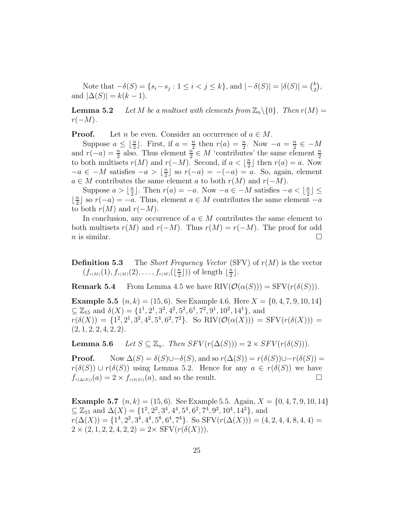Note that  $-\delta(S) = \{s_i - s_j : 1 \le i < j \le k\}$ , and  $|-\delta(S)| = |\delta(S)| = \binom{k}{2}$  , and  $|\Delta(S)| = k(k-1)$ .

**Lemma 5.2** *Let M be a multiset with elements from*  $\mathbb{Z}_n \setminus \{0\}$ *. Then*  $r(M) =$ *r*(−*M*)*.*

**Proof.** Let *n* be even. Consider an occurrence of  $a \in M$ .

Suppose  $a \leq \lfloor \frac{n}{2} \rfloor$ . First, if  $a = \frac{n}{2}$  then  $r(a) = \frac{n}{2}$ . Now  $-a = \frac{n}{2} \in -M$ and  $r(-a) = \frac{n}{2}$  also. Thus element  $\frac{n}{2} \in M$  'contributes' the same element  $\frac{n}{2}$ to both multisets  $r(M)$  and  $r(-M)$ . Second, if  $a < \lfloor \frac{n}{2} \rfloor$  then  $r(a) = a$ . Now  $-a \in -M$  satisfies  $-a > \lfloor \frac{n}{2} \rfloor$  so  $r(-a) = -(-a) = a$ . So, again, element *a* ∈ *M* contributes the same element *a* to both *r*(*M*) and *r*(−*M*).

Suppose  $a > \lfloor \frac{n}{2} \rfloor$ . Then  $r(a) = -a$ . Now  $-a \in -M$  satisfies  $-a < \lfloor \frac{n}{2} \rfloor \le$  $\lfloor \frac{n}{2} \rfloor$  so  $r(-a) = -a$ . Thus, element  $a \in M$  contributes the same element −*a* to both  $r(M)$  and  $r(-M)$ .

In conclusion, any occurrence of  $a \in M$  contributes the same element to both multisets  $r(M)$  and  $r(-M)$ . Thus  $r(M) = r(-M)$ . The proof for odd *n* is similar.

**Definition 5.3** The *Short Frequency Vector* (SFV) of  $r(M)$  is the vector  $(f_{r(M)}(1), f_{r(M)}(2), \ldots, f_{r(M)}(\lfloor \frac{n}{2} \rfloor))$  of length  $\lfloor \frac{n}{2} \rfloor$ .

**Remark 5.4** From Lemma 4.5 we have RIV $(\mathcal{O}(\alpha(S))) = \text{SFV}(r(\delta(S))).$ 

**Example 5.5**  $(n, k) = (15, 6)$ . See Example 4.6. Here  $X = \{0, 4, 7, 9, 10, 14\}$  $\subseteq \mathbb{Z}_{15}$  and  $\delta(X) = \{1^1, 2^1, 3^2, 4^2, 5^2, 6^1, 7^2, 9^1, 10^2, 14^1\}$ , and  $r(\delta(X)) = \{1^2, 2^1, 3^2, 4^2, 5^4, 6^2, 7^2\}.$  So RIV $(\mathcal{O}(\alpha(X))) = \text{SFV}(r(\delta(X))) =$ (2*,* 1*,* 2*,* 2*,* 4*,* 2*,* 2).

**Lemma 5.6** *Let*  $S \subseteq \mathbb{Z}_n$ *. Then*  $SFV(r(\Delta(S))) = 2 \times SFV(r(\delta(S)))$ *.* 

**Proof.** Now  $\Delta(S) = \delta(S) \cup -\delta(S)$ , and so  $r(\Delta(S)) = r(\delta(S)) \cup -r(\delta(S)) =$ *r*( $\delta(S)$ ) ∪ *r*( $\delta(S)$ ) using Lemma 5.2. Hence for any *a* ∈ *r*( $\delta(S)$ ) we have  $f_{r(\Delta(S))}(a)=2 \times f_{r(\delta(S))}(a)$ , and so the result.

**Example 5.7**  $(n, k) = (15, 6)$ . See Example 5.5. Again,  $X = \{0, 4, 7, 9, 10, 14\}$ ⊆ Z<sup>15</sup> and ∆(*X*) = {1<sup>2</sup>*,* 2<sup>2</sup>*,* 3<sup>4</sup>*,* 4<sup>4</sup>*,* 5<sup>4</sup>*,* 6<sup>2</sup>*,* 7<sup>4</sup>*,* 9<sup>2</sup>*,* 10<sup>4</sup>*,* 14<sup>2</sup>}, and  $r(\Delta(X)) = \{1^4, 2^2, 3^4, 4^4, 5^8, 6^4, 7^4\}$ . So  $SFV(r(\Delta(X))) = (4, 2, 4, 4, 8, 4, 4)$  $2 \times (2, 1, 2, 2, 4, 2, 2) = 2 \times \text{SFV}(r(\delta(X))).$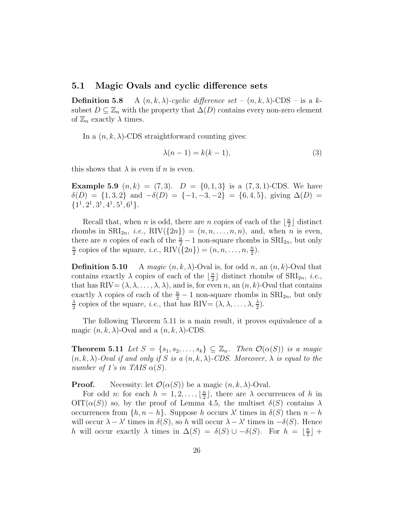#### **5.1 Magic Ovals and cyclic difference sets**

**Definition 5.8** A  $(n, k, \lambda)$ -cyclic difference set  $-(n, k, \lambda)$ -CDS – is a ksubset  $D \subseteq \mathbb{Z}_n$  with the property that  $\Delta(D)$  contains every non-zero element of  $\mathbb{Z}_n$  exactly  $\lambda$  times.

In a  $(n, k, \lambda)$ -CDS straightforward counting gives:

$$
\lambda(n-1) = k(k-1),\tag{3}
$$

this shows that  $\lambda$  is even if *n* is even.

**Example 5.9**  $(n, k) = (7, 3)$ .  $D = \{0, 1, 3\}$  is a  $(7, 3, 1)$ -CDS. We have  $\delta(D) = \{1, 3, 2\}$  and  $-\delta(D) = \{-1, -3, -2\} = \{6, 4, 5\}$ , giving  $\Delta(D) =$  ${1^1, 2^1, 3^1, 4^1, 5^1, 6^1}.$ 

Recall that, when *n* is odd, there are *n* copies of each of the  $\lfloor \frac{n}{2} \rfloor$  distinct rhombs in  $\text{SRI}_{2n}$ , *i.e.*,  $\text{RIV}(\{2n\})=(n, n, \ldots, n, n)$ , and, when *n* is even, there are *n* copies of each of the  $\frac{n}{2} - 1$  non-square rhombs in  $\text{SRI}_{2n}$ , but only  $\frac{n}{2}$  copies of the square *i.e.*  $\text{BIV}(f_2, y_1) - (n, n, n, n)$  $\frac{n}{2}$  copies of the square, *i.e.*, RIV $(\lbrace 2n \rbrace) = (n, n, \ldots, n, \frac{n}{2}).$ 

**Definition 5.10** A *magic*  $(n, k, \lambda)$ -Oval is, for odd *n*, an  $(n, k)$ -Oval that contains exactly  $\lambda$  copies of each of the  $\lfloor \frac{n}{2} \rfloor$  distinct rhombs of  $\text{SRI}_{2n}$ , *i.e.*, that has  $\text{RIV}=(\lambda, \lambda, \ldots, \lambda, \lambda)$ , and is, for even *n*, an  $(n, k)$ -Oval that contains exactly  $\lambda$  copies of each of the  $\frac{n}{2} - 1$  non-square rhombs in  $\text{SRI}_{2n}$ , but only  $\frac{\lambda}{2}$  copies of the square, *i.e.*, that has RIV=  $(\lambda, \lambda, ..., \lambda, \frac{\lambda}{2})$ .

The following Theorem 5.11 is a main result, it proves equivalence of a magic  $(n, k, \lambda)$ -Oval and a  $(n, k, \lambda)$ -CDS.

**Theorem 5.11** *Let*  $S = \{s_1, s_2, \ldots, s_k\} \subseteq \mathbb{Z}_n$ *. Then*  $\mathcal{O}(\alpha(S))$  *is a magic*  $(n, k, \lambda)$ -Oval if and only if S is a  $(n, k, \lambda)$ -CDS. Moreover,  $\lambda$  is equal to the *number of 1's in TAIS*  $\alpha(S)$ *.* 

**Proof.** Necessity: let  $\mathcal{O}(\alpha(S))$  be a magic  $(n, k, \lambda)$ -Oval.

For odd *n*: for each  $h = 1, 2, \ldots, \lfloor \frac{n}{2} \rfloor$ , there are  $\lambda$  occurrences of *h* in  $\text{OIT}(\alpha(S))$  so, by the proof of Lemma 4.5, the multiset  $\delta(S)$  contains  $\lambda$ occurrences from  $\{h, n-h\}$ . Suppose *h* occurs  $\lambda'$  times in  $\delta(S)$  then  $n-h$ will occur  $\lambda - \lambda'$  times in  $\delta(S)$ , so *h* will occur  $\lambda - \lambda'$  times in  $-\delta(S)$ . Hence *h* will occur exactly  $\lambda$  times in  $\Delta(S) = \delta(S) \cup -\delta(S)$ . For  $h = \lfloor \frac{n}{2} \rfloor +$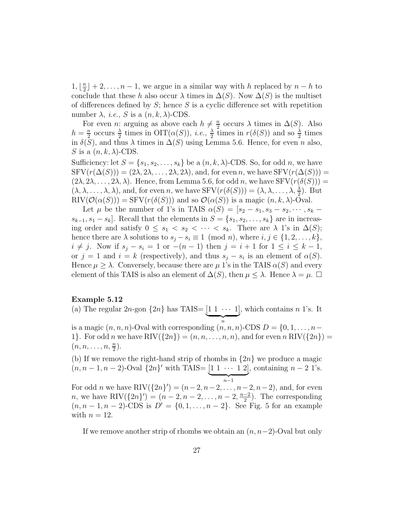1,  $\lfloor \frac{n}{2} \rfloor + 2, ..., n - 1$ , we argue in a similar way with *h* replaced by *n* − *h* to conclude that these *h* also occur  $\lambda$  times in  $\Delta(S)$ . Now  $\Delta(S)$  is the multiset of differences defined by *S*; hence *S* is a cyclic difference set with repetition number  $\lambda$ , *i.e.*, *S* is a  $(n, k, \lambda)$ -CDS.

For even *n*: arguing as above each  $h \neq \frac{n}{2}$  occurs  $\lambda$  times in  $\Delta(S)$ . Also  $h = \frac{n}{2}$  occurs  $\frac{\lambda}{2}$  times in OIT( $\alpha(S)$ ), *i.e.*,  $\frac{\lambda}{2}$  times in  $r(\delta(S))$  and so  $\frac{\lambda}{2}$  times in  $\delta(S)$ , and thus  $\lambda$  times in  $\Delta(S)$  using Lemma 5.6. Hence, for even *n* also, *S* is a  $(n, k, \lambda)$ -CDS.

Sufficiency: let  $S = \{s_1, s_2, \ldots, s_k\}$  be a  $(n, k, \lambda)$ -CDS. So, for odd *n*, we have  $SFV(r(\Delta(S))) = (2\lambda, 2\lambda, \dots, 2\lambda, 2\lambda)$ , and, for even *n*, we have  $SFV(r(\Delta(S)))$  =  $(2\lambda, 2\lambda, \ldots, 2\lambda, \lambda)$ . Hence, from Lemma 5.6, for odd *n*, we have SFV $(r(\delta(S)))$  =  $(\lambda, \lambda, \ldots, \lambda, \lambda)$ , and, for even *n*, we have SFV $(r(\delta(S))) = (\lambda, \lambda, \ldots, \lambda, \frac{\lambda}{2})$ . But  $\text{RIV}(\mathcal{O}(\alpha(S))) = \text{SFV}(r(\delta(S)))$  and so  $\mathcal{O}(\alpha(S))$  is a magic  $(n, k, \lambda)$ -Oval.

Let  $\mu$  be the number of 1's in TAIS  $\alpha(S) = [s_2 - s_1, s_3 - s_2, \cdots, s_k - s_k]$  $s_{k-1}, s_1 - s_k$ . Recall that the elements in  $S = \{s_1, s_2, \ldots, s_k\}$  are in increasing order and satisfy  $0 \leq s_1 < s_2 < \cdots < s_k$ . There are  $\lambda$  1's in  $\Delta(S)$ ; hence there are  $\lambda$  solutions to  $s_j - s_i \equiv 1 \pmod{n}$ , where  $i, j \in \{1, 2, ..., k\}$ , *i* ≠ *j*. Now if  $s_j - s_i = 1$  or  $-(n-1)$  then  $j = i+1$  for  $1 \le i \le k-1$ , or  $j = 1$  and  $i = k$  (respectively), and thus  $s_j - s_i$  is an element of  $\alpha(S)$ . Hence  $\mu \geq \lambda$ . Conversely, because there are  $\mu$  1's in the TAIS  $\alpha(S)$  and every element of this TAIS is also an element of  $\Delta(S)$ , then  $\mu \leq \lambda$ . Hence  $\lambda = \mu$ .

#### **Example 5.12**

(a) The regular  $2n$ -gon  $\{2n\}$  has TAIS=  $\underbrace{[1 \ 1 \ \cdots \ 1]}_{n}$ , which contains *n* 1's. It is a magic  $(n, n, n)$ -Oval with corresponding  $(n, n, n)$ -CDS  $D = \{0, 1, \ldots, n-1\}$ 1}. For odd *n* we have RIV( $\{2n\}$ ) =  $(n, n, \ldots, n, n)$ , and for even *n* RIV( $\{2n\}$ ) =  $(n, n, \ldots, n, \frac{n}{2}).$ 

(b) If we remove the right-hand strip of rhombs in {2*n*} we produce a magic  $(n, n - 1, n - 2)$ -Oval  $\{2n\}^{\prime}$  with TAIS=  $\underbrace{[1 \ 1 \ \cdots \ 1 \ 2]}_{n-1}$ , containing  $n - 2 \ 1$ 's. For odd *n* we have RIV( $\{2n\}'$ ) =  $(n-2, n-2, ..., n-2, n-2)$ , and, for even *n*, we have RIV $(\{2n\}') = (n-2, n-2, \ldots, n-2, \frac{n-2}{2})$ . The corresponding  $(n, n-1, n-2)$ -CDS is  $D' = \{0, 1, ..., n-2\}$ . See Fig. 5 for an example with  $n = 12$ .

If we remove another strip of rhombs we obtain an (*n, n*−2)-Oval but only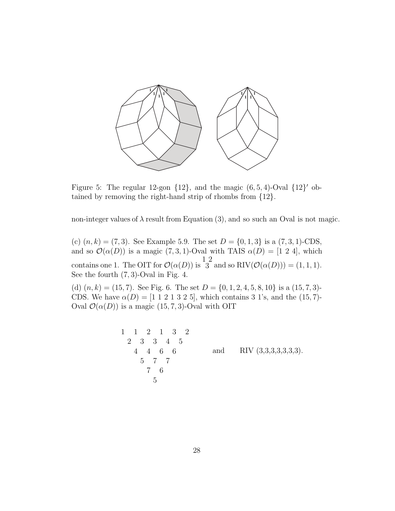

Figure 5: The regular 12-gon  $\{12\}$ , and the magic  $(6, 5, 4)$ -Oval  $\{12\}'$  obtained by removing the right-hand strip of rhombs from {12}.

non-integer values of  $\lambda$  result from Equation (3), and so such an Oval is not magic.

(c)  $(n, k) = (7, 3)$ . See Example 5.9. The set  $D = \{0, 1, 3\}$  is a  $(7, 3, 1)$ -CDS, and so  $\mathcal{O}(\alpha(D))$  is a magic (7, 3, 1)-Oval with TAIS  $\alpha(D) = [1 \ 2 \ 4]$ , which contains one 1. The OIT for  $\mathcal{O}(\alpha(D))$  is 1 2  $3^{\text{-}}$  and so RIV $(\mathcal{O}(\alpha(D))) = (1, 1, 1).$ See the fourth (7*,* 3)-Oval in Fig. 4.

(d)  $(n, k) = (15, 7)$ . See Fig. 6. The set  $D = \{0, 1, 2, 4, 5, 8, 10\}$  is a  $(15, 7, 3)$ -CDS. We have  $\alpha(D) = [1 \ 1 \ 2 \ 1 \ 3 \ 2 \ 5]$ , which contains 3 1's, and the (15, 7)-Oval  $\mathcal{O}(\alpha(D))$  is a magic (15*, 7, 3*)-Oval with OIT

$$
\begin{array}{cccccc}\n1 & 1 & 2 & 1 & 3 & 2 \\
2 & 3 & 3 & 4 & 5 \\
4 & 4 & 6 & 6 \\
5 & 7 & 7 \\
7 & 6\n\end{array}
$$
 and RIV (3,3,3,3,3,3,3).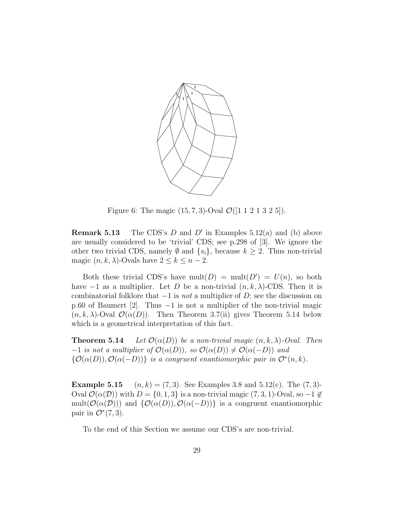

Figure 6: The magic  $(15, 7, 3)$ -Oval  $\mathcal{O}([1\ 1\ 2\ 1\ 3\ 2\ 5])$ .

**Remark 5.13** The CDS's *D* and *D'* in Examples 5.12(a) and (b) above are usually considered to be 'trivial' CDS; see p.298 of [3]. We ignore the other two trivial CDS, namely  $\emptyset$  and  $\{s_i\}$ , because  $k \geq 2$ . Thus non-trivial magic  $(n, k, \lambda)$ -Ovals have  $2 \leq k \leq n-2$ .

Both these trivial CDS's have mult(*D*) = mult(*D'*) =  $U(n)$ , so both have  $-1$  as a multiplier. Let *D* be a non-trivial  $(n, k, \lambda)$ -CDS. Then it is combinatorial folklore that −1 is *not* a multiplier of *D*; see the discussion on p.60 of Baumert [2]. Thus −1 is not a multiplier of the non-trivial magic  $(n, k, \lambda)$ -Oval  $\mathcal{O}(\alpha(D))$ . Then Theorem 3.7(ii) gives Theorem 5.14 below which is a geometrical interpretation of this fact.

**Theorem 5.14** *Let*  $\mathcal{O}(\alpha(D))$  *be a non-trivial magic*  $(n, k, \lambda)$ *-Oval. Then*  $-1$  *is not a multiplier of*  $\mathcal{O}(\alpha(D))$ *, so*  $\mathcal{O}(\alpha(D)) \neq \mathcal{O}(\alpha(-D))$  *and*  ${\mathcal{O}}(\alpha(D)), {\mathcal{O}}(\alpha(-D))$ } *is a congruent enantiomorphic pair in*  ${\mathcal{O}}^*(n, k)$ *.* 

**Example 5.15**  $(n, k) = (7, 3)$ . See Examples 3.8 and 5.12(c). The  $(7, 3)$ -Oval  $\mathcal{O}(\alpha(\mathcal{D}))$  with  $D = \{0, 1, 3\}$  is a non-trivial magic  $(7, 3, 1)$ -Oval, so  $-1 \notin$ mult( $\mathcal{O}(\alpha(\mathcal{D}))$ ) and  $\{\mathcal{O}(\alpha(D)), \mathcal{O}(\alpha(-D))\}$  is a congruent enantiomorphic pair in  $\mathcal{O}^*(7,3)$ .

To the end of this Section we assume our CDS's are non-trivial.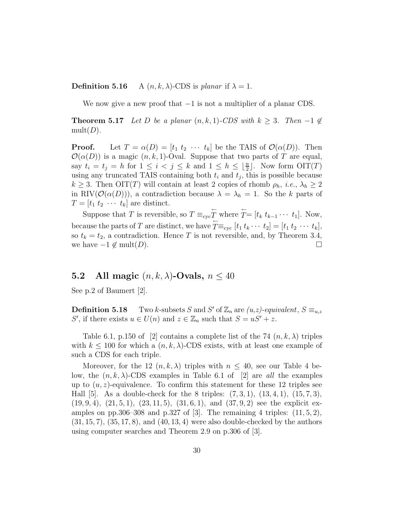**Definition 5.16** A  $(n, k, \lambda)$ -CDS is *planar* if  $\lambda = 1$ .

We now give a new proof that  $-1$  is not a multiplier of a planar CDS.

**Theorem 5.17** *Let D be a planar*  $(n, k, 1)$ *-CDS with*  $k \geq 3$ *. Then* −1  $\notin$  $mult(D)$ *.* 

**Proof.** Let  $T = \alpha(D) = [t_1 \ t_2 \ \cdots \ t_k]$  be the TAIS of  $\mathcal{O}(\alpha(D))$ . Then  $\mathcal{O}(\alpha(D))$  is a magic  $(n, k, 1)$ -Oval. Suppose that two parts of *T* are equal, say  $t_i = t_j = h$  for  $1 \leq i < j \leq k$  and  $1 \leq h \leq \lfloor \frac{n}{2} \rfloor$ . Now form  $\text{OIT}(T)$ using any truncated TAIS containing both  $t_i$  and  $t_j$ , this is possible because  $k \geq 3$ . Then OIT(*T*) will contain at least 2 copies of rhomb  $\rho_h$ , *i.e.*,  $\lambda_h \geq 2$ in RIV( $\mathcal{O}(\alpha(D))$ ), a contradiction because  $\lambda = \lambda_h = 1$ . So the *k* parts of  $T = [t_1 \ t_2 \ \cdots \ t_k]$  are distinct.

Suppose that *T* is reversible, so  $T \equiv_{\text{cyc}} \overleftarrow{T}$  where  $\overleftarrow{T} = [t_k \ t_{k-1} \cdots \ t_1]$ . Now, because the parts of *T* are distinct, we have  $\overline{T} \equiv_{\text{cyc}} [t_1 t_k \cdots t_2] = [t_1 t_2 \cdots t_k],$ so  $t_k = t_2$ , a contradiction. Hence *T* is not reversible, and, by Theorem 3.4, we have  $-1 \notin \text{mult}(D)$ .  $□$ 

### **5.2** All magic  $(n, k, \lambda)$ -Ovals,  $n \leq 40$

See p.2 of Baumert [2].

**Definition 5.18** Two *k*-subsets *S* and *S'* of  $\mathbb{Z}_n$  are  $(u,z)$ -equivalent,  $S \equiv_{u,z}$ *S*<sup> $\prime$ </sup>, if there exists  $u \in U(n)$  and  $z \in \mathbb{Z}_n$  such that  $S = uS' + z$ .

Table 6.1, p.150 of [2] contains a complete list of the 74  $(n, k, \lambda)$  triples with  $k \leq 100$  for which a  $(n, k, \lambda)$ -CDS exists, with at least one example of such a CDS for each triple.

Moreover, for the 12  $(n, k, \lambda)$  triples with  $n \leq 40$ , see our Table 4 below, the  $(n, k, \lambda)$ -CDS examples in Table 6.1 of [2] are *all* the examples up to  $(u, z)$ -equivalence. To confirm this statement for these 12 triples see Hall [5]. As a double-check for the 8 triples: (7*,* 3*,* 1), (13*,* 4*,* 1), (15*,* 7*,* 3), (19*,* 9*,* 4), (21*,* 5*,* 1), (23*,* 11*,* 5), (31*,* 6*,* 1), and (37*,* 9*,* 2) see the explicit examples on pp.306–308 and p.327 of [3]. The remaining 4 triples: (11*,* 5*,* 2), (31*,* 15*,* 7), (35*,* 17*,* 8), and (40*,* 13*,* 4) were also double-checked by the authors using computer searches and Theorem 2.9 on p.306 of [3].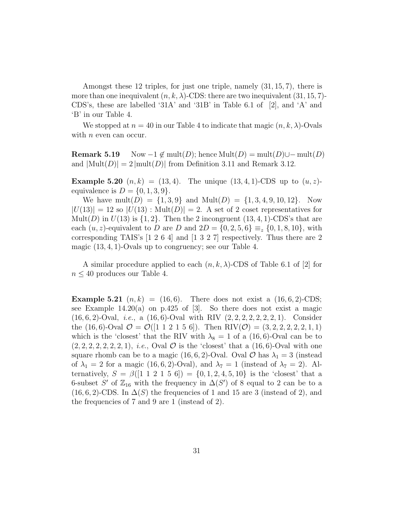Amongst these 12 triples, for just one triple, namely (31*,* 15*,* 7), there is more than one inequivalent  $(n, k, \lambda)$ -CDS: there are two inequivalent  $(31, 15, 7)$ -CDS's, these are labelled '31A' and '31B' in Table 6.1 of [2], and 'A' and 'B' in our Table 4.

We stopped at  $n = 40$  in our Table 4 to indicate that magic  $(n, k, \lambda)$ -Ovals with *n* even can occur.

**Remark 5.19** Now  $-1 \notin \text{mult}(D)$ ; hence Mult $(D) = \text{mult}(D) \cup -\text{mult}(D)$ and  $|\text{Mult}(D)| = 2 |\text{mult}(D)|$  from Definition 3.11 and Remark 3.12.

**Example 5.20**  $(n, k) = (13, 4)$ . The unique  $(13, 4, 1)$ -CDS up to  $(u, z)$ equivalence is  $D = \{0, 1, 3, 9\}.$ 

We have mult(*D*) = {1, 3, 9} and Mult(*D*) = {1, 3, 4, 9, 10, 12}. Now  $|U(13)| = 12$  so  $|U(13)|$ : Mult $(D)| = 2$ . A set of 2 coset representatives for Mult(*D*) in  $U(13)$  is  $\{1, 2\}$ . Then the 2 incongruent  $(13, 4, 1)$ -CDS's that are each  $(u, z)$ -equivalent to *D* are *D* and  $2D = \{0, 2, 5, 6\} \equiv_z \{0, 1, 8, 10\}$ , with corresponding TAIS's [1 2 6 4] and [1 3 2 7] respectively. Thus there are 2 magic (13*,* 4*,* 1)-Ovals up to congruency; see our Table 4.

A similar procedure applied to each  $(n, k, \lambda)$ -CDS of Table 6.1 of [2] for  $n \leq 40$  produces our Table 4.

**Example 5.21**  $(n, k) = (16, 6)$ . There does not exist a  $(16, 6, 2)$ -CDS; see Example  $14.20(a)$  on p.425 of [3]. So there does not exist a magic (16*,* 6*,* 2)-Oval, *i.e.*, a (16*,* 6)-Oval with RIV (2*,* 2*,* 2*,* 2*,* 2*,* 2*,* 2*,* 1). Consider the  $(16, 6)$ -Oval  $\mathcal{O} = \mathcal{O}([1 \ 1 \ 2 \ 1 \ 5 \ 6])$ . Then RIV $(\mathcal{O}) = (3, 2, 2, 2, 2, 2, 1, 1)$ which is the 'closest' that the RIV with  $\lambda_8 = 1$  of a (16,6)-Oval can be to  $(2, 2, 2, 2, 2, 2, 2, 1), i.e.,$  Oval  $\mathcal O$  is the 'closest' that a  $(16, 6)$ -Oval with one square rhomb can be to a magic  $(16, 6, 2)$ -Oval. Oval  $\mathcal{O}$  has  $\lambda_1 = 3$  (instead of  $\lambda_1 = 2$  for a magic (16, 6, 2)-Oval), and  $\lambda_7 = 1$  (instead of  $\lambda_7 = 2$ ). Alternatively,  $S = \beta([1 \ 1 \ 2 \ 1 \ 5 \ 6]) = \{0, 1, 2, 4, 5, 10\}$  is the 'closest' that a 6-subset *S'* of  $\mathbb{Z}_{16}$  with the frequency in  $\Delta(S')$  of 8 equal to 2 can be to a (16, 6, 2)-CDS. In  $\Delta(S)$  the frequencies of 1 and 15 are 3 (instead of 2), and the frequencies of 7 and 9 are 1 (instead of 2).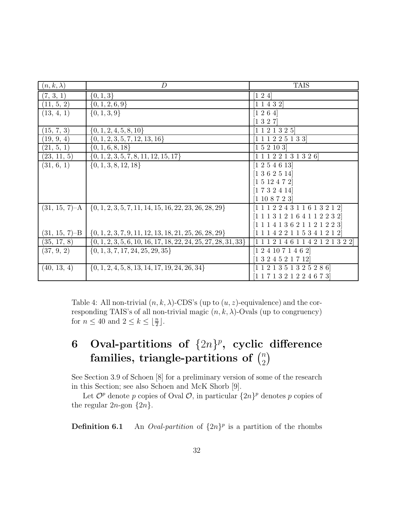| $(n,k,\lambda)$  | $\overline{D}$                                                     | <b>TAIS</b>                                                          |
|------------------|--------------------------------------------------------------------|----------------------------------------------------------------------|
| (7, 3, 1)        | $\{0, 1, 3\}$                                                      | $\begin{bmatrix} 1 & 2 & 4 \end{bmatrix}$                            |
| (11, 5, 2)       | $\{0, 1, 2, 6, 9\}$                                                | [1 1 4 3 2]                                                          |
| (13, 4, 1)       | $\{0, 1, 3, 9\}$                                                   | [1 2 6 4]                                                            |
|                  |                                                                    | $[1\ 3\ 2\ 7]$                                                       |
| (15, 7, 3)       | $\{0, 1, 2, 4, 5, 8, 10\}$                                         | [1 1 2 1 3 2 5]                                                      |
| (19, 9, 4)       | $\{0, 1, 2, 3, 5, 7, 12, 13, 16\}$                                 | [1 1 1 2 2 5 1 3 3]                                                  |
| (21, 5, 1)       | $\{0, 1, 6, 8, 18\}$                                               | [1 5 2 10 3]                                                         |
| (23, 11, 5)      | $\{0, 1, 2, 3, 5, 7, 8, 11, 12, 15, 17\}$                          | 1 1 1 2 2 1 3 1 3 2 6                                                |
| (31, 6, 1)       | $\{0, 1, 3, 8, 12, 18\}$                                           | [1 2 5 4 6 13]                                                       |
|                  |                                                                    | [1 3 6 2 5 14]                                                       |
|                  |                                                                    | [1 5 12 4 7 2]                                                       |
|                  |                                                                    | [1 7 3 2 4 14]                                                       |
|                  |                                                                    | $[1\;10\;8\;7\;2\;3]$                                                |
| $(31, 15, 7)-A$  | $\{0, 1, 2, 3, 5, 7, 11, 14, 15, 16, 22, 23, 26, 28, 29\}$         | $[1 1 1 2 2 4 3 1 1 6 1 3 2 1 2]$                                    |
|                  |                                                                    | $[1\;1\;1\;3\;1\;2\;1\;6\;4\;1\;1\;2\;2\;3\;2]$                      |
|                  |                                                                    | $[1 1 1 4 1 3 6 2 1 1 2 1 2 2 3]$                                    |
| $(31, 15, 7)$ -B | $\{0, 1, 2, 3, 7, 9, 11, 12, 13, 18, 21, 25, 26, 28, 29\}$         | 1 1 1 4 2 2 1 1 5 3 4 1 2 1 2                                        |
| (35, 17, 8)      | $\{0, 1, 2, 3, 5, 6, 10, 16, 17, 18, 22, 24, 25, 27, 28, 31, 33\}$ | $1\; 1\; 1\; 2\; 1\; 4\; 6\; 1\; 1\; 4\; 2\; 1\; 2\; 1\; 3\; 2\; 2]$ |
| (37, 9, 2)       | $\{0, 1, 3, 7, 17, 24, 25, 29, 35\}$                               | [1 2 4 10 7 1 4 6 2]                                                 |
|                  |                                                                    | 1324521712                                                           |
| (40, 13, 4)      | $\{0, 1, 2, 4, 5, 8, 13, 14, 17, 19, 24, 26, 34\}$                 | [1 1 2 1 3 5 1 3 2 5 2 8 6]                                          |
|                  |                                                                    | [1 1 7 1 3 2 1 2 2 4 6 7 3]                                          |

Table 4: All non-trivial  $(n, k, \lambda)$ -CDS's (up to  $(u, z)$ -equivalence) and the corresponding TAIS's of all non-trivial magic  $(n, k, \lambda)$ -Ovals (up to congruency) for  $n \leq 40$  and  $2 \leq k \leq \lfloor \frac{n}{2} \rfloor$ .

# **6** Oval-partitions of  $\{2n\}^p$ , cyclic difference  $\frac{1}{2}$  families, triangle-partitions of  $\binom{n}{2}$  $\overline{ }$

See Section 3.9 of Schoen [8] for a preliminary version of some of the research in this Section; see also Schoen and McK Shorb [9].

Let  $\mathcal{O}^p$  denote p copies of Oval  $\mathcal{O}$ , in particular  $\{2n\}^p$  denotes p copies of the regular  $2n$ -gon  $\{2n\}$ .

**Definition 6.1** An *Oval-partition* of  $\{2n\}^p$  is a partition of the rhombs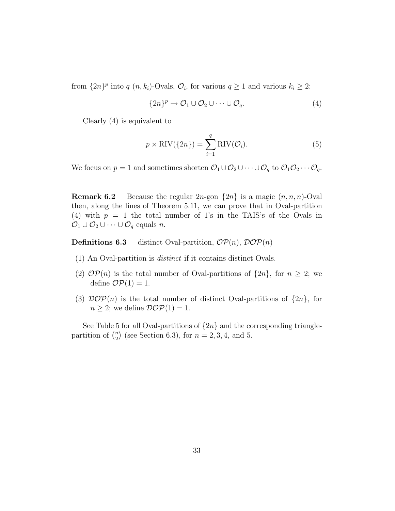from  $\{2n\}^p$  into  $q$   $(n, k_i)$ -Ovals,  $\mathcal{O}_i$ , for various  $q \geq 1$  and various  $k_i \geq 2$ :

$$
\{2n\}^p \to \mathcal{O}_1 \cup \mathcal{O}_2 \cup \cdots \cup \mathcal{O}_q. \tag{4}
$$

Clearly (4) is equivalent to

$$
p \times \text{RIV}(\{2n\}) = \sum_{i=1}^{q} \text{RIV}(\mathcal{O}_i).
$$
 (5)

We focus on  $p = 1$  and sometimes shorten  $\mathcal{O}_1 \cup \mathcal{O}_2 \cup \cdots \cup \mathcal{O}_q$  to  $\mathcal{O}_1 \mathcal{O}_2 \cdots \mathcal{O}_q$ .

**Remark 6.2** Because the regular  $2n$ -gon  $\{2n\}$  is a magic  $(n, n, n)$ -Oval then, along the lines of Theorem 5.11, we can prove that in Oval-partition (4) with  $p = 1$  the total number of 1's in the TAIS's of the Ovals in  $\mathcal{O}_1 \cup \mathcal{O}_2 \cup \cdots \cup \mathcal{O}_q$  equals *n*.

**Definitions 6.3** distinct Oval-partition,  $OP(n)$ ,  $DOP(n)$ 

- (1) An Oval-partition is *distinct* if it contains distinct Ovals.
- (2)  $\mathcal{OP}(n)$  is the total number of Oval-partitions of  $\{2n\}$ , for  $n \geq 2$ ; we define  $\mathcal{OP}(1) = 1$ .
- (3)  $\mathcal{D}OP(n)$  is the total number of distinct Oval-partitions of  $\{2n\}$ , for  $n \geq 2$ ; we define  $\mathcal{DOP}(1) = 1$ .

See Table 5 for all Oval-partitions of  $\{2n\}$  and the corresponding trianglepartition of  $\binom{n}{2}$ (see Section 6.3), for  $n = 2, 3, 4$ , and 5.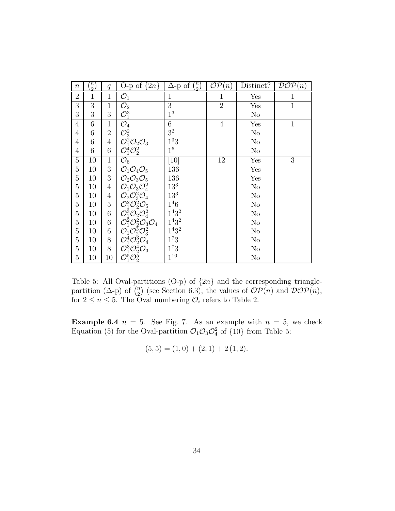| $\boldsymbol{n}$ | $\scriptstyle{'}$<br>$\overline{2}$ | q              | O-p of $\{2n\}$                                                                                                                                                                                                                                                    | $\binom{n}{2}$<br>$\Delta$ -p of | $\mathcal{OP}(n)$ | Distinct? | DOP(n)       |
|------------------|-------------------------------------|----------------|--------------------------------------------------------------------------------------------------------------------------------------------------------------------------------------------------------------------------------------------------------------------|----------------------------------|-------------------|-----------|--------------|
| $\overline{2}$   | $\mathbf{1}$                        | $\mathbf{1}$   | $\mathcal{O}_1$                                                                                                                                                                                                                                                    | $\mathbf{1}$                     | $\mathbf{1}$      | Yes       | $\mathbf{1}$ |
| 3                | 3                                   | 1              | $\mathcal{O}_2$                                                                                                                                                                                                                                                    | 3                                | $\overline{2}$    | Yes       | $\mathbf{1}$ |
| 3                | 3                                   | 3              | $\mathcal{O}_1^3$                                                                                                                                                                                                                                                  | 1 <sup>3</sup>                   |                   | No        |              |
| $\overline{4}$   | 6                                   | 1              | $\overline{\mathcal{O}_4}$                                                                                                                                                                                                                                         | 6                                | $\overline{4}$    | Yes       | $\mathbf{1}$ |
| 4                | 6                                   | $\overline{2}$ |                                                                                                                                                                                                                                                                    | 3 <sup>2</sup>                   |                   | $\rm No$  |              |
| $\overline{4}$   | 6                                   | 4              | $\mathcal{O}^2_3$<br>$\mathcal{O}^2_1\mathcal{O}^2_2\mathcal{O}^3_3$                                                                                                                                                                                               | 1 <sup>3</sup> 3                 |                   | $\rm No$  |              |
| $\overline{4}$   | 6                                   | 6              | $\mathcal{O}_1^{\bar{4}}\mathcal{O}_2^2$                                                                                                                                                                                                                           | $1^6$                            |                   | $\rm No$  |              |
| $\overline{5}$   | 10                                  | 1              | $\mathcal{O}_6$                                                                                                                                                                                                                                                    | $\left[10\right]$                | 12                | Yes       | 3            |
| $\overline{5}$   | 10                                  | 3              | $\mathcal{O}_1\mathcal{O}_4\mathcal{O}_5$                                                                                                                                                                                                                          | 136                              |                   | Yes       |              |
| $\overline{5}$   | 10                                  | 3              | $\mathcal{O}_2\mathcal{O}_3\mathcal{O}_5$                                                                                                                                                                                                                          | 136                              |                   | Yes       |              |
| $\overline{5}$   | 10                                  | 4              | $\mathcal{O}_1\mathcal{O}_3\mathcal{O}_4^2$                                                                                                                                                                                                                        | $13^{3}$                         |                   | No        |              |
| $\overline{5}$   | 10                                  | $\overline{4}$ |                                                                                                                                                                                                                                                                    | $13^3\,$                         |                   | No        |              |
| $\overline{5}$   | 10                                  | 5              |                                                                                                                                                                                                                                                                    | $1^{4}6$                         |                   | $\rm No$  |              |
| $\overline{5}$   | 10                                  | 6              | $\mathcal{O}_2 \mathcal{O}_3^2 \mathcal{O}_4$<br>$\mathcal{O}_1^2 \mathcal{O}_2^2 \mathcal{O}_5$<br>$\mathcal{O}_1^3 \mathcal{O}_2 \mathcal{O}_4^2$                                                                                                                | $1^4 3^2$                        |                   | $\rm No$  |              |
| $\overline{5}$   | 10                                  | 6              |                                                                                                                                                                                                                                                                    | $1^{4}3^{2}$                     |                   | $\rm No$  |              |
| $\overline{5}$   | 10                                  | 6              |                                                                                                                                                                                                                                                                    | $1^4 3^2$                        |                   | No        |              |
| $\overline{5}$   | 10                                  | 8              |                                                                                                                                                                                                                                                                    | $1^73$                           |                   | No        |              |
| $\overline{5}$   | 10                                  | 8              |                                                                                                                                                                                                                                                                    | $1^73$                           |                   | $\rm No$  |              |
| $\overline{5}$   | 10                                  | 10             | $\begin{array}{l} {\cal O}^1_1{\cal O}^2_2{\cal O}^4_3\\ {\cal O}^2_1{\cal O}^2_2{\cal O}^3_3{\cal O}^4_4\ {\cal O}^1_1{\cal O}^3_2{\cal O}^2_3\ {\cal O}^4_1{\cal O}^3_2{\cal O}^4_3\ {\cal O}^1_1{\cal O}^4_2{\cal O}^3_3\ {\cal O}^4_1{\cal O}^5_2 \end{array}$ | $1^{10}$                         |                   | No        |              |

Table 5: All Oval-partitions (O-p) of {2*n*} and the corresponding trianglepartition ( $\Delta$ -p) of  $\binom{n}{2}$ (see Section 6.3); the values of  $\mathcal{OP}(n)$  and  $\mathcal{DOP}(n)$ , for  $2 \leq n \leq 5$ . The Oval numbering  $\mathcal{O}_i$  refers to Table 2.

**Example 6.4**  $n = 5$ . See Fig. 7. As an example with  $n = 5$ , we check Equation (5) for the Oval-partition  $\mathcal{O}_1\mathcal{O}_3\mathcal{O}_4^2$  of {10} from Table 5:

$$
(5,5) = (1,0) + (2,1) + 2(1,2).
$$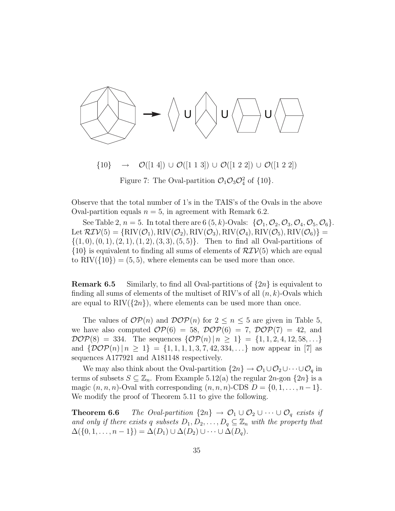

Figure 7: The Oval-partition  $\mathcal{O}_1\mathcal{O}_3\mathcal{O}_4^2$  of  $\{10\}$ .

Observe that the total number of 1's in the TAIS's of the Ovals in the above Oval-partition equals  $n = 5$ , in agreement with Remark 6.2.

See Table 2,  $n = 5$ . In total there are 6  $(5, k)$ -Ovals:  $\{O_1, O_2, O_3, O_4, O_5, O_6\}$ . Let  $\mathcal{RIV}(5) = \{ RIV(\mathcal{O}_1), RIV(\mathcal{O}_2), RIV(\mathcal{O}_3), RIV(\mathcal{O}_4), RIV(\mathcal{O}_5), RIV(\mathcal{O}_6) \}$  $\{(1,0), (0,1), (2,1), (1,2), (3,3), (5,5)\}.$  Then to find all Oval-partitions of  $\{10\}$  is equivalent to finding all sums of elements of  $\mathcal{RIV}(5)$  which are equal to  $\text{RIV}(\{10\}) = (5, 5)$ , where elements can be used more than once.

**Remark 6.5** Similarly, to find all Oval-partitions of  $\{2n\}$  is equivalent to finding all sums of elements of the multiset of RIV's of all (*n, k*)-Ovals which are equal to  $\text{RIV}(\{2n\})$ , where elements can be used more than once.

The values of  $OP(n)$  and  $DOP(n)$  for  $2 \leq n \leq 5$  are given in Table 5, we have also computed  $\mathcal{OP}(6) = 58$ ,  $\mathcal{DOP}(6) = 7$ ,  $\mathcal{DOP}(7) = 42$ , and  $DOP(8) = 334$ . The sequences  $\{OP(n) | n \geq 1\} = \{1, 1, 2, 4, 12, 58, ...\}$ and  $\{\mathcal{DOP}(n) | n \geq 1\} = \{1, 1, 1, 1, 3, 7, 42, 334, ...\}$  now appear in [7] as sequences A177921 and A181148 respectively.

We may also think about the Oval-partition  $\{2n\}\rightarrow \mathcal{O}_1\cup\mathcal{O}_2\cup\cdots\cup\mathcal{O}_q$  in terms of subsets  $S \subseteq \mathbb{Z}_n$ . From Example 5.12(a) the regular  $2n$ -gon  $\{2n\}$  is a magic  $(n, n, n)$ -Oval with corresponding  $(n, n, n)$ -CDS  $D = \{0, 1, \ldots, n-1\}.$ We modify the proof of Theorem 5.11 to give the following.

**Theorem 6.6** *The Oval-partition*  $\{2n\} \rightarrow \mathcal{O}_1 \cup \mathcal{O}_2 \cup \cdots \cup \mathcal{O}_q$  *exists if and only if there exists q subsets*  $D_1, D_2, \ldots, D_q \subseteq \mathbb{Z}_n$  *with the property that*  $\Delta(\{0,1,\ldots,n-1\}) = \Delta(D_1) \cup \Delta(D_2) \cup \cdots \cup \Delta(D_q).$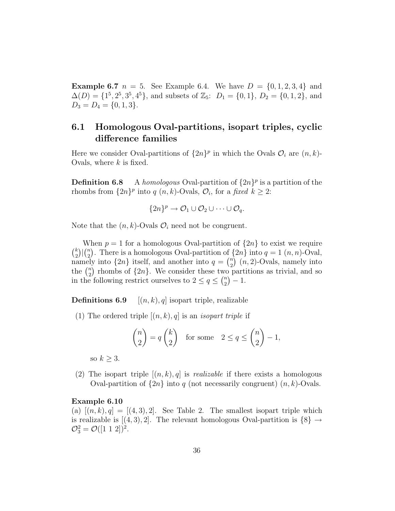**Example 6.7**  $n = 5$ . See Example 6.4. We have  $D = \{0, 1, 2, 3, 4\}$  and  $\Delta(D) = \{1^5, 2^5, 3^5, 4^5\}$ , and subsets of  $\mathbb{Z}_5$ :  $D_1 = \{0, 1\}$ ,  $D_2 = \{0, 1, 2\}$ , and  $D_3 = D_4 = \{0, 1, 3\}.$ 

# **6.1 Homologous Oval-partitions, isopart triples, cyclic difference families**

Here we consider Oval-partitions of  $\{2n\}^p$  in which the Ovals  $\mathcal{O}_i$  are  $(n, k)$ -Ovals, where *k* is fixed.

**Definition 6.8** A *homologous* Oval-partition of  $\{2n\}^p$  is a partition of the rhombs from  $\{2n\}^p$  into *q*  $(n, k)$ -Ovals,  $\mathcal{O}_i$ , for a *fixed*  $k \geq 2$ :

$$
\{2n\}^p \to \mathcal{O}_1 \cup \mathcal{O}_2 \cup \cdots \cup \mathcal{O}_q.
$$

Note that the  $(n, k)$ -Ovals  $\mathcal{O}_i$  need not be congruent.

When  $p = 1$  for a homologous Oval-partition of  $\{2n\}$  to exist we require  $\mu$ 2  $\sum_{n=1}^{\infty}$ 2 There is a homologous Oval-partition of  $\{2n\}$  into  $q = 1(n, n)$ -Oval, namely into  $\{2n\}$  itself, and another into  $q = \binom{n}{2}$   $(n, 2)$ -Ovals, namely into the  $\binom{n}{2}$ rhombs of  $\{2n\}$ . We consider these two partitions as trivial, and so in the following restrict ourselves to  $2 \le q \le {n \choose 2}$  $\big) - 1.$ 

**Definitions 6.9**  $[(n, k), q]$  isopart triple, realizable

(1) The ordered triple  $[(n, k), q]$  is an *isopart triple* if

$$
\binom{n}{2} = q \binom{k}{2} \quad \text{for some} \quad 2 \le q \le \binom{n}{2} - 1,
$$

so  $k \geq 3$ .

(2) The isopart triple  $[(n, k), q]$  is *realizable* if there exists a homologous Oval-partition of  $\{2n\}$  into *q* (not necessarily congruent)  $(n, k)$ -Ovals.

#### **Example 6.10**

(a)  $[(n, k), q] = [(4, 3), 2]$ . See Table 2. The smallest isopart triple which is realizable is  $[(4,3),2]$ . The relevant homologous Oval-partition is  $\{8\} \rightarrow$  $\mathcal{O}_3^2 = \mathcal{O}([1\ 1\ 2])^2.$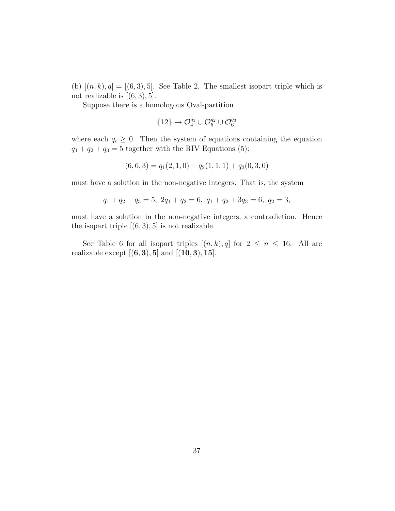(b)  $[(n, k), q] = [(6, 3), 5]$ . See Table 2. The smallest isopart triple which is not realizable is  $[(6, 3), 5]$ .

Suppose there is a homologous Oval-partition

$$
\{12\} \to \mathcal{O}_4^{q_1} \cup \mathcal{O}_5^{q_2} \cup \mathcal{O}_6^{q_3}
$$

where each  $q_i \geq 0$ . Then the system of equations containing the equation  $q_1 + q_2 + q_3 = 5$  together with the RIV Equations (5):

$$
(6,6,3) = q_1(2,1,0) + q_2(1,1,1) + q_3(0,3,0)
$$

must have a solution in the non-negative integers. That is, the system

$$
q_1 + q_2 + q_3 = 5, \ 2q_1 + q_2 = 6, \ q_1 + q_2 + 3q_3 = 6, \ q_2 = 3,
$$

must have a solution in the non-negative integers, a contradiction. Hence the isopart triple  $[(6,3),5]$  is not realizable.

See Table 6 for all isopart triples  $[(n, k), q]$  for  $2 \leq n \leq 16$ . All are realizable except [(**6***,* **3**)*,* **5**] and [(**10***,* **3**)*,* **15**].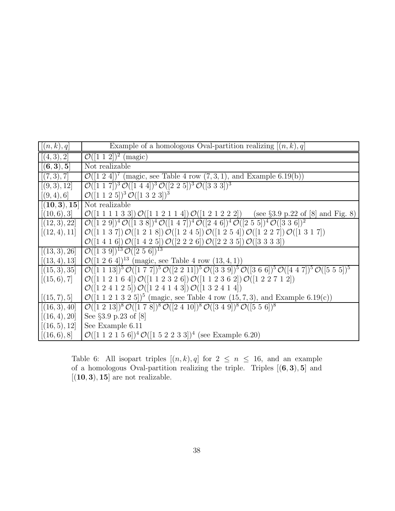| [(n,k),q]     | Example of a homologous Oval-partition realizing $[(n, k), q]$                                                                                                                               |
|---------------|----------------------------------------------------------------------------------------------------------------------------------------------------------------------------------------------|
| [(4,3),2]     | $\mathcal{O}([1\ 1\ 2])^2$ (magic)                                                                                                                                                           |
| [(6,3),5]     | Not realizable                                                                                                                                                                               |
| [(7,3),7]     | $\mathcal{O}([1\ 2\ 4])^7$ (magic, see Table 4 row $(7,3,1)$ , and Example 6.19(b))                                                                                                          |
| [(9,3),12]    | $\mathcal{O}([1\ 1\ 7])^3\mathcal{O}([1\ 4\ 4])^3\mathcal{O}([2\ 2\ 5])^3\mathcal{O}([3\ 3\ 3])^3$                                                                                           |
| [(9,4),6]     | $\mathcal{O}([1\ 1\ 2\ 5])^3\mathcal{O}([1\ 3\ 2\ 3])^3$                                                                                                                                     |
| [(10,3),15]   | Not realizable                                                                                                                                                                               |
| [(10,6),3]    | $\mathcal{O}([1\ 1\ 1\ 1\ 3\ 3])\mathcal{O}([1\ 1\ 2\ 1\ 1\ 4])\mathcal{O}([1\ 2\ 1\ 2\ 2\ 2])$ (see §3.9 p.22 of [8] and Fig. 8)                                                            |
| [(12,3),22]   | $\mathcal{O}([1\ 2\ 9])^4\mathcal{O}([1\ 3\ 8])^4\mathcal{O}([1\ 4\ 7])^4\mathcal{O}([2\ 4\ 6])^4\mathcal{O}([2\ 5\ 5])^4\mathcal{O}([3\ 3\ 6])^2$                                           |
| [(12, 4), 11] | $\mathcal{O}([1\ 1\ 3\ 7])\mathcal{O}([1\ 2\ 1\ 8])\mathcal{O}([1\ 2\ 4\ 5])\mathcal{O}([1\ 2\ 5\ 4])\mathcal{O}([1\ 2\ 2\ 7])\mathcal{O}([1\ 3\ 1\ 7])$                                     |
|               | $\mathcal{O}([1\ 4\ 1\ 6])\mathcal{O}([1\ 4\ 2\ 5])\mathcal{O}([2\ 2\ 2\ 6])\mathcal{O}([2\ 2\ 3\ 5])\mathcal{O}([3\ 3\ 3\ 3])$                                                              |
| [(13,3),26]   | $\overline{\mathcal{O}([1\ 3\ 9])^{13}}\mathcal{O}([2\ 5\ 6])^{13}$                                                                                                                          |
| [(13, 4), 13] | $\mathcal{O}([1 2 6 4])^{13}$ (magic, see Table 4 row $(13, 4, 1)$ )                                                                                                                         |
| [(15,3),35]   | $\mathcal{O}([1\ 1\ 1\ 3])^5\ \mathcal{O}([1\ 7\ 7])^5\ \mathcal{O}([2\ 2\ 1\ 1])^5\ \mathcal{O}([3\ 3\ 9])^5\ \mathcal{O}([3\ 6\ 6])^5\ \mathcal{O}([4\ 4\ 7])^5\ \mathcal{O}([5\ 5\ 5])^5$ |
| [(15,6),7]    | $\mathcal{O}([1\ 1\ 2\ 1\ 6\ 4])\mathcal{O}([1\ 1\ 2\ 3\ 2\ 6])\mathcal{O}([1\ 1\ 2\ 3\ 6\ 2])\mathcal{O}([1\ 2\ 2\ 7\ 1\ 2])$                                                               |
|               | $\mathcal{O}([1\ 2\ 4\ 1\ 2\ 5])\mathcal{O}([1\ 2\ 4\ 1\ 4\ 3])\mathcal{O}([1\ 3\ 2\ 4\ 1\ 4])$                                                                                              |
| [(15,7),5]    | $\mathcal{O}([1\ 1\ 2\ 1\ 3\ 2\ 5])^5$ (magic, see Table 4 row (15, 7, 3), and Example 6.19(c))                                                                                              |
| [(16,3),40]   | $\mathcal{O}([1\ 2\ 13])^8\,\mathcal{O}([1\ 7\ 8])^8\,\mathcal{O}([2\ 4\ 10])^8\,\mathcal{O}([3\ 4\ 9])^8\,\mathcal{O}([5\ 5\ 6])^8$                                                         |
| [(16, 4), 20] | See $\S 3.9$ p.23 of $[8]$                                                                                                                                                                   |
| [(16,5),12]   | See Example 6.11                                                                                                                                                                             |
| [(16,6),8]    | $\mathcal{O}([1\ 1\ 2\ 1\ 5\ 6])^4\mathcal{O}([1\ 5\ 2\ 2\ 3\ 3])^4$ (see Example 6.20)                                                                                                      |

Table 6: All isopart triples  $[(n, k), q]$  for  $2 \leq n \leq 16$ , and an example of a homologous Oval-partition realizing the triple. Triples [(**6***,* **3**)*,* **5**] and  $[(10, 3), 15]$  are not realizable.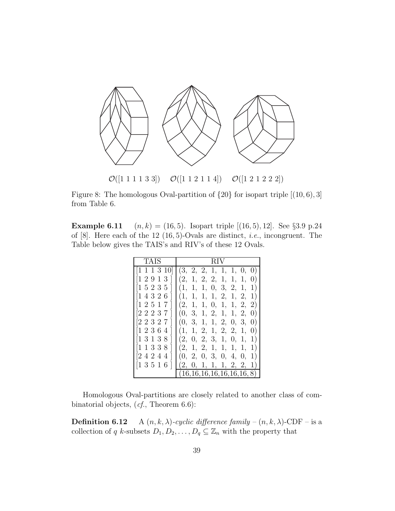

Figure 8: The homologous Oval-partition of {20} for isopart triple [(10*,* 6)*,* 3] from Table 6.

**Example 6.11**  $(n, k) = (16, 5)$ . Isopart triple  $[(16, 5), 12]$ . See §3.9 p.24 of [8]. Here each of the 12 (16*,* 5)-Ovals are distinct, *i.e.*, incongruent. The Table below gives the TAIS's and RIV's of these 12 Ovals.

| TAIS                                 | R I V                                            |
|--------------------------------------|--------------------------------------------------|
| $[1\;1\;1\;3\;10]$                   | (3, 2, 2, 1, 1, 1, 0, 0)                         |
| [1 2 9 1 3                           | (2, 1, 2, 2, 1, 1,<br>1,<br>$\left( 0\right)$    |
| $[1\;5\;2\;3\;5\;]$                  | 0, 3, 2, 1,<br>(1,<br>1,<br>1,<br>1)             |
| [14326                               | 1, 2, 1, 2,<br>(1,<br>1)<br>1,<br>1,             |
| [12517                               | (2, 1,<br>1, 2,<br>1,<br>0, 1,<br>2)             |
| 22237                                | 1, 2, 1, 1, 2,<br>(0, 3,<br>$\left( 0\right)$    |
| [22327                               | 3, 1, 1, 2, 0, 3,<br>(0, 0)<br>$\left( 0\right)$ |
| [12364                               | 1, 2, 1, 2, 2, 1,<br>(1,<br>$\left( 0\right)$    |
| $[1\;3\;1\;3\;8]$                    | (2,<br>0, 2, 3, 1, 0, 1,<br>1)                   |
| $\left\lceil 1 \right\rceil$<br>1338 | (2, 1, 2, 1,<br>1, 1,<br>1,<br>1)                |
| 2424<br>$\overline{4}$               | (0, 2, 0, 3, 0, 4, 0,                            |
| $[1\;3\;5\;1\;6\;]$                  | 2, 0, 1, 1, 1, 2, 2,<br>1)                       |
|                                      | (16,16,16,16,16,16,16,8)                         |

Homologous Oval-partitions are closely related to another class of combinatorial objects, (*cf.*, Theorem 6.6):

**Definition 6.12** A  $(n, k, \lambda)$ -cyclic difference family –  $(n, k, \lambda)$ -CDF – is a collection of *q k*-subsets  $D_1, D_2, \ldots, D_q \subseteq \mathbb{Z}_n$  with the property that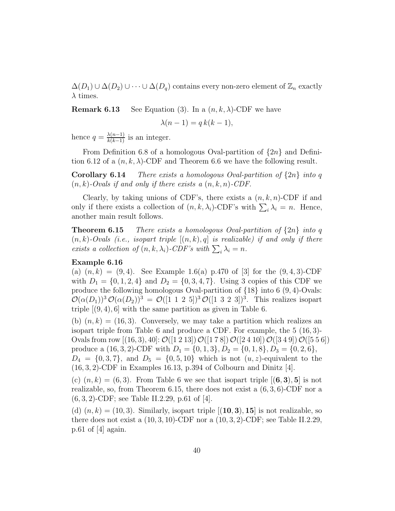$\Delta(D_1) \cup \Delta(D_2) \cup \cdots \cup \Delta(D_q)$  contains every non-zero element of  $\mathbb{Z}_n$  exactly *λ* times.

**Remark 6.13** See Equation (3). In a  $(n, k, \lambda)$ -CDF we have

$$
\lambda(n-1) = q k(k-1),
$$

hence  $q = \frac{\lambda(n-1)}{k(k-1)}$  is an integer.

From Definition 6.8 of a homologous Oval-partition of {2*n*} and Definition 6.12 of a  $(n, k, \lambda)$ -CDF and Theorem 6.6 we have the following result.

**Corollary 6.14** *There exists a homologous Oval-partition of* {2*n*} *into q* (*n, k*)*-Ovals if and only if there exists a* (*n, k, n*)*-CDF.*

Clearly, by taking unions of CDF's, there exists a  $(n, k, n)$ -CDF if and only if there exists a collection of  $(n, k, \lambda_i)$ -CDF's with  $\sum_i \lambda_i = n$ . Hence, another main result follows.

**Theorem 6.15** *There exists a homologous Oval-partition of* {2*n*} *into q*  $(n, k)$ -Ovals (*i.e., isopart triple*  $[(n, k), q]$  *is realizable) if and only if there* exists a collection of  $(n, k, \lambda_i)$ -CDF's with  $\sum_i \lambda_i = n$ .

#### **Example 6.16**

(a)  $(n, k) = (9, 4)$ . See Example 1.6(a) p.470 of [3] for the  $(9, 4, 3)$ -CDF with  $D_1 = \{0, 1, 2, 4\}$  and  $D_2 = \{0, 3, 4, 7\}$ . Using 3 copies of this CDF we produce the following homologous Oval-partition of {18} into 6 (9*,* 4)-Ovals:  $\mathcal{O}(\alpha(D_1))^3 \mathcal{O}(\alpha(D_2))^3 = \mathcal{O}([1\ 1\ 2\ 5])^3 \mathcal{O}([1\ 3\ 2\ 3])^3$ . This realizes isopart triple  $[(9, 4), 6]$  with the same partition as given in Table 6.

(b)  $(n, k) = (16, 3)$ . Conversely, we may take a partition which realizes an isopart triple from Table 6 and produce a CDF. For example, the 5 (16*,* 3)- Ovals from row  $[(16,3),40]$ :  $\mathcal{O}([1\ 2\ 13])$   $\mathcal{O}([1\ 7\ 8])$   $\mathcal{O}([2\ 4\ 10])$   $\mathcal{O}([3\ 4\ 9])$   $\mathcal{O}([5\ 5\ 6])$ produce a  $(16, 3, 2)$ -CDF with  $D_1 = \{0, 1, 3\}, D_2 = \{0, 1, 8\}, D_3 = \{0, 2, 6\},$  $D_4 = \{0, 3, 7\}$ , and  $D_5 = \{0, 5, 10\}$  which is not  $(u, z)$ -equivalent to the (16*,* 3*,* 2)-CDF in Examples 16.13, p.394 of Colbourn and Dinitz [4].

(c)  $(n, k) = (6, 3)$ . From Table 6 we see that isopart triple  $[(6, 3), 5]$  is not realizable, so, from Theorem 6.15, there does not exist a (6*,* 3*,* 6)-CDF nor a (6*,* 3*,* 2)-CDF; see Table II.2.29, p.61 of [4].

(d)  $(n, k) = (10, 3)$ . Similarly, isopart triple  $[(10, 3), 15]$  is not realizable, so there does not exist a (10*,* 3*,* 10)-CDF nor a (10*,* 3*,* 2)-CDF; see Table II.2.29, p.61 of [4] again.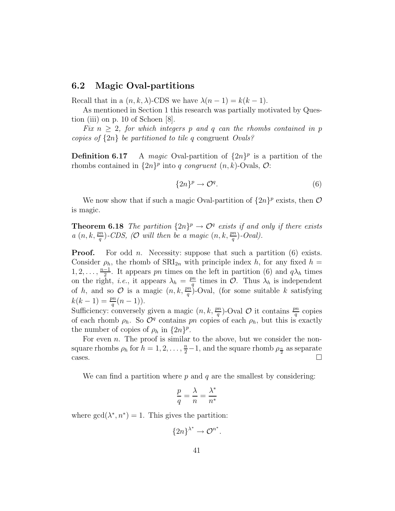### **6.2 Magic Oval-partitions**

Recall that in a  $(n, k, \lambda)$ -CDS we have  $\lambda(n-1) = k(k-1)$ .

As mentioned in Section 1 this research was partially motivated by Question (iii) on p. 10 of Schoen [8].

*Fix*  $n \geq 2$ *, for which integers p and q can the rhombs contained in p copies of* {2*n*} *be partitioned to tile q* congruent *Ovals?*

**Definition 6.17** A *magic* Oval-partition of  $\{2n\}^p$  is a partition of the rhombs contained in  $\{2n\}^p$  into *q* congruent  $(n, k)$ -Ovals,  $\mathcal{O}$ :

$$
\{2n\}^p \to \mathcal{O}^q. \tag{6}
$$

We now show that if such a magic Oval-partition of  $\{2n\}^p$  exists, then  $\mathcal O$ is magic.

**Theorem 6.18** *The partition*  $\{2n\}^p \rightarrow \mathcal{O}^q$  *exists if and only if there exists a*  $(n, k, \frac{pn}{q})$ -CDS, (O will then be a magic  $(n, k, \frac{pn}{q})$ -Oval).

**Proof.** For odd *n*. Necessity: suppose that such a partition (6) exists. Consider  $\rho_h$ , the rhomb of  $\text{SRI}_{2n}$  with principle index *h*, for any fixed *h* = 1, 2, ...,  $\frac{n-1}{2}$ . It appears *pn* times on the left in partition (6) and  $q\lambda_h$  times on the right, *i.e.*, it appears  $\lambda_h = \frac{pn}{q}$  times in  $\mathcal{O}$ . Thus  $\lambda_h$  is independent of *h*, and so  $\mathcal{O}$  is a magic  $(n, k, \frac{pn}{q})$ -Oval, (for some suitable *k* satisfying  $k(k-1) = \frac{pn}{q}(n-1).$ 

Sufficiency: conversely given a magic  $(n, k, \frac{pn}{q})$ -Oval  $\mathcal O$  it contains  $\frac{pn}{q}$  copies of each rhomb  $\rho_h$ . So  $\mathcal{O}^q$  contains *pn* copies of each  $\rho_h$ , but this is exactly the number of copies of  $\rho_h$  in  $\{2n\}^p$ .

For even *n*. The proof is similar to the above, but we consider the nonsquare rhombs  $\rho_h$  for  $h = 1, 2, \ldots, \frac{n}{2} - 1$ , and the square rhomb  $\rho_{\frac{n}{2}}$  as separate cases.  $\Box$ 

We can find a partition where *p* and *q* are the smallest by considering:

$$
\frac{p}{q} = \frac{\lambda}{n} = \frac{\lambda^*}{n^*}
$$

where  $gcd(\lambda^*, n^*) = 1$ . This gives the partition:

$$
\{2n\}^{\lambda^*} \to \mathcal{O}^{n^*}.
$$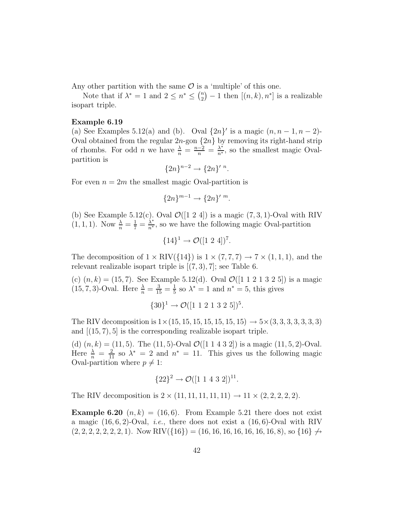Any other partition with the same  $\mathcal O$  is a 'multiple' of this one.

Note that if  $\lambda^* = 1$  and  $2 \leq n^* \leq {n \choose 2}$  $(-1)$  then  $[(n, k), n^*]$  is a realizable isopart triple.

#### **Example 6.19**

(a) See Examples 5.12(a) and (b). Oval  $\{2n\}$  is a magic  $(n, n-1, n-2)$ -Oval obtained from the regular  $2n$ -gon  $\{2n\}$  by removing its right-hand strip of rhombs. For odd *n* we have  $\frac{\lambda}{n} = \frac{n-2}{n} = \frac{\lambda^*}{n^*}$ , so the smallest magic Ovalpartition is

$$
{2n}^{n-2} \to {2n}^{n}.
$$

For even  $n = 2m$  the smallest magic Oval-partition is

$$
\{2n\}^{m-1} \to \{2n\}^{\prime m}.
$$

(b) See Example 5.12(c). Oval  $\mathcal{O}([1 2 4])$  is a magic  $(7, 3, 1)$ -Oval with RIV  $(1, 1, 1)$ . Now  $\frac{\lambda}{n} = \frac{1}{7} = \frac{\lambda^*}{n^*}$ , so we have the following magic Oval-partition

 ${14}^1 \rightarrow \mathcal{O}([1\ 2\ 4])^7$ .

The decomposition of  $1 \times RIV({14})$  is  $1 \times (7, 7, 7) \rightarrow 7 \times (1, 1, 1)$ , and the relevant realizable isopart triple is [(7*,* 3)*,* 7]; see Table 6.

(c)  $(n, k) = (15, 7)$ . See Example 5.12(d). Oval  $\mathcal{O}([1 \ 1 \ 2 \ 1 \ 3 \ 2 \ 5])$  is a magic  $(15, 7, 3)$ -Oval. Here  $\frac{\lambda}{n} = \frac{3}{15} = \frac{1}{5}$  so  $\lambda^* = 1$  and  $n^* = 5$ , this gives

$$
{30}^1 \rightarrow \mathcal{O}([1\ 1\ 2\ 1\ 3\ 2\ 5])^5.
$$

The RIV decomposition is  $1 \times (15, 15, 15, 15, 15, 15, 15) \rightarrow 5 \times (3, 3, 3, 3, 3, 3)$ and [(15*,* 7)*,* 5] is the corresponding realizable isopart triple.

(d)  $(n, k) = (11, 5)$ . The  $(11, 5)$ -Oval  $\mathcal{O}([1 \ 1 \ 4 \ 3 \ 2])$  is a magic  $(11, 5, 2)$ -Oval. Here  $\frac{\lambda}{n} = \frac{2}{11}$  so  $\lambda^* = 2$  and  $n^* = 11$ . This gives us the following magic Oval-partition where  $p \neq 1$ :

$$
{22}^2 \rightarrow \mathcal{O}([1\ 1\ 4\ 3\ 2])^{11}.
$$

The RIV decomposition is  $2 \times (11, 11, 11, 11, 11) \rightarrow 11 \times (2, 2, 2, 2, 2)$ .

**Example 6.20**  $(n, k) = (16, 6)$ . From Example 5.21 there does not exist a magic (16*,* 6*,* 2)-Oval, *i.e.*, there does not exist a (16*,* 6)-Oval with RIV  $(2, 2, 2, 2, 2, 2, 1)$ . Now RIV $({16})$  = (16, 16, 16, 16, 16, 16, 16, 8), so  ${16} \leftrightarrow$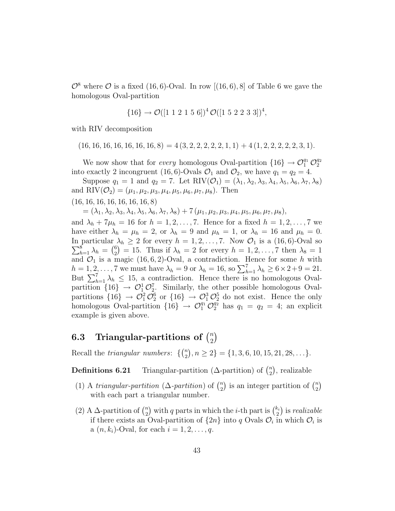$\mathcal{O}^8$  where  $\mathcal O$  is a fixed (16,6)-Oval. In row [(16,6), 8] of Table 6 we gave the homologous Oval-partition

$$
{16} \rightarrow \mathcal{O}([1\ 1\ 2\ 1\ 5\ 6])^4 \mathcal{O}([1\ 5\ 2\ 2\ 3\ 3])^4
$$
,

with RIV decomposition

 $(16, 16, 16, 16, 16, 16, 16, 8) = 4(3, 2, 2, 2, 2, 2, 1, 1) + 4(1, 2, 2, 2, 2, 2, 3, 1).$ 

We now show that for *every* homologous Oval-partition  $\{16\} \rightarrow \mathcal{O}_1^{q_1} \mathcal{O}_2^{q_2}$ into exactly 2 incongruent (16, 6)-Ovals  $\mathcal{O}_1$  and  $\mathcal{O}_2$ , we have  $q_1 = q_2 = 4$ .

Suppose  $q_1 = 1$  and  $q_2 = 7$ . Let  $\text{RIV}(\mathcal{O}_1) = (\lambda_1, \lambda_2, \lambda_3, \lambda_4, \lambda_5, \lambda_6, \lambda_7, \lambda_8)$ and RIV $(\mathcal{O}_2)=(\mu_1, \mu_2, \mu_3, \mu_4, \mu_5, \mu_6, \mu_7, \mu_8)$ . Then (16*,* 16*,* 16*,* 16*,* 16*,* 16*,* 16*,* 8)

 $= (\lambda_1, \lambda_2, \lambda_3, \lambda_4, \lambda_5, \lambda_6, \lambda_7, \lambda_8) + 7(\mu_1, \mu_2, \mu_3, \mu_4, \mu_5, \mu_6, \mu_7, \mu_8),$ 

and  $\lambda_h + 7\mu_h = 16$  for  $h = 1, 2, ..., 7$ . Hence for a fixed  $h = 1, 2, ..., 7$  we have either  $\lambda_h = \mu_h = 2$ , or  $\lambda_h = 9$  and  $\mu_h = 1$ , or  $\lambda_h = 16$  and  $\mu_h = 0$ .  $\sum_{h=1}^{8} \lambda_h = \binom{6}{2} = 15$ . Thus if  $\lambda_h = 2$  for every  $h = 1, 2, ..., 7$  then  $\lambda_8 = 1$ In particular  $\lambda_h \geq 2$  for every  $h = 1, 2, ..., 7$ . Now  $\mathcal{O}_1$  is a (16*,* 6)-Oval so and  $\mathcal{O}_1$  is a magic (16,6,2)-Oval, a contradiction. Hence for some *h* with  $h = 1, 2, \ldots, 7$  we must have  $\lambda_h = 9$  or  $\lambda_h = 16$ , so  $\sum_{h=1}^{7} \lambda_h \ge 6 \times 2 + 9 = 21$ . But  $\sum_{h=1}^{7} \lambda_h \leq 15$ , a contradiction. Hence there is no homologous Ovalpartition  $\{16\} \rightarrow \mathcal{O}_1^1 \mathcal{O}_2^7$ . Similarly, the other possible homologous Ovalpartitions  $\{16\} \rightarrow \mathcal{O}_1^2 \mathcal{O}_2^6$  or  $\{16\} \rightarrow \mathcal{O}_1^3 \mathcal{O}_2^5$  do not exist. Hence the only homologous Oval-partition  $\{16\} \rightarrow \mathcal{O}_1^{q_1} \mathcal{O}_2^{q_2}$  has  $q_1 = q_2 = 4$ ; an explicit example is given above.

#### 6.3 Triangular-partitions of  $\binom{n}{2}$  $\overline{ }$

Recall the *triangular numbers*:  $\{ \binom{n}{2} \}$ 2  $, n \ge 2$ } = {1*,* 3*,* 6*,* 10*,* 15*,* 21*,* 28*,...*}.

**Definitions 6.21** Triangular-partition ( $\Delta$ -partition) of  $\binom{n}{2}$ , realizable

- (1) A *triangular-partition* ( $\Delta$ -*partition*) of  $\binom{n}{2}$ ) is an integer partition of  $\binom{n}{2}$  $\overline{ }$ with each part a triangular number.
- (2) A  $\Delta$ -partition of  $\binom{n}{2}$ ) with *q* parts in which the *i*-th part is  $\binom{k_i}{2}$  is *realizable* if there exists an Oval-partition of  $\{2n\}$  into q Ovals  $\mathcal{O}_i$  in which  $\mathcal{O}_i$  is a  $(n, k_i)$ -Oval, for each  $i = 1, 2, ..., q$ .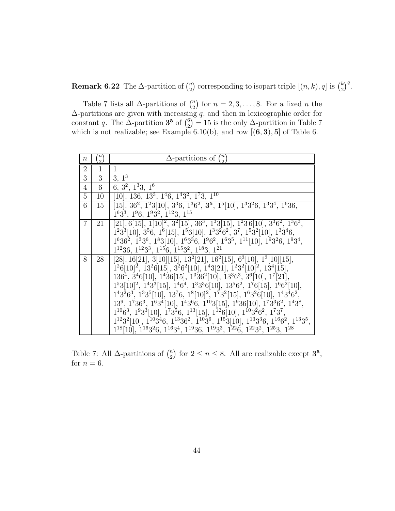**Remark 6.22** The  $\Delta$ -partition of  $\binom{n}{2}$ ) corresponding to isopart triple  $[(n, k), q]$  is  $\binom{k}{2}$  $\big)^q$ .

Table 7 lists all  $\Delta$ -partitions of  $\binom{n}{2}$  for  $n = 2, 3, ..., 8$ . For a fixed *n* the ∆-partitions are given with increasing *q*, and then in lexicographic order for constant *q*. The  $\Delta$ -partition **3<sup>5</sup>** of  $\binom{6}{2}$  $= 15$  is the only  $\Delta$ -partition in Table 7 which is not realizable; see Example 6.10(b), and row  $[(6,3),5]$  of Table 6.

| $\boldsymbol{n}$ | $\frac{n}{2}$ | $\Delta$ -partitions of $\binom{n}{2}$                                                                                                                                                                                             |
|------------------|---------------|------------------------------------------------------------------------------------------------------------------------------------------------------------------------------------------------------------------------------------|
| $\overline{2}$   | 1             | $\mathbf{1}$                                                                                                                                                                                                                       |
| 3                | 3             | $3, 1^3$                                                                                                                                                                                                                           |
| 4                | 6             | $6, 3^2, 1^33, 1^6$                                                                                                                                                                                                                |
| 5                | 10            | $[10]$ , 136, 13 <sup>3</sup> , 1 <sup>4</sup> 6, 1 <sup>4</sup> 3 <sup>2</sup> , 1 <sup>7</sup> 3, 1 <sup>10</sup>                                                                                                                |
| 6                | 15            | $[15]$ , 36 <sup>2</sup> , 1 <sup>2</sup> 3[10], 3 <sup>3</sup> 6, 1 <sup>3</sup> 6 <sup>2</sup> , <b>3<sup>5</sup></b> , 1 <sup>5</sup> [10], 1 <sup>3</sup> 3 <sup>2</sup> 6, 1 <sup>3</sup> 3 <sup>4</sup> , 1 <sup>6</sup> 36, |
|                  |               | $1^63^3$ , $1^96$ , $1^93^2$ , $1^{12}3$ , $1^{15}$                                                                                                                                                                                |
| 7                | 21            | $[21], 6[15], 1[10]2, 32[15], 363, 133[15], 1236[10], 3362, 1363$                                                                                                                                                                  |
|                  |               | $1233[10], 356, 16[15], 156[10], 133262, 37, 1532[10], 13346,$                                                                                                                                                                     |
|                  |               | $1^636^2$ , $1^33^6$ , $1^83[10]$ , $1^63^36$ , $1^96^2$ , $1^63^5$ , $1^{11}[10]$ , $1^93^26$ , $1^93^4$ ,                                                                                                                        |
|                  |               | $1^{12}36, 1^{12}3^3, 1^{15}6, 1^{15}3^2, 1^{18}3, 1^{21}$                                                                                                                                                                         |
| 8                | 28            | [28], 16[21], 3[10][15], 13 <sup>2</sup> [21], 16 <sup>2</sup> [15], 6 <sup>3</sup> [10], 1 <sup>3</sup> [10][15],                                                                                                                 |
|                  |               | $1^26[10]^2$ , $13^26[15]$ , $3^26^2[10]$ , $1^43[21]$ , $1^23^2[10]^2$ , $13^4[15]$ ,                                                                                                                                             |
|                  |               | $1364$ , $346[10]$ , $1436[15]$ , $13362[10]$ , $13363$ , $36[10]$ , $17[21]$ ,                                                                                                                                                    |
|                  |               | $1^53[10]^2$ , $1^43^3[15]$ , $1^46^4$ , $1^33^36[10]$ , $13^56^2$ , $1^76[15]$ , $1^66^2[10]$ ,                                                                                                                                   |
|                  |               | $1^43^26^3$ , $1^33^5[10]$ , $13^76$ , $1^8[10]^2$ , $1^73^2[15]$ , $1^63^26[10]$ , $1^43^46^2$ ,                                                                                                                                  |
|                  |               | $139$ , $17363$ , $1634[10]$ , $14366$ , $1103[15]$ , $1936[10]$ , $173362$ , $1438$ ,                                                                                                                                             |
|                  |               | $1^{10}6^3$ , $1^93^3[10]$ , $1^73^56$ , $1^{13}[15]$ , $1^{12}6[10]$ , $1^{10}3^26^2$ , $1^73^7$ ,                                                                                                                                |
|                  |               | $1^{12}3^2[10]$ , $1^{10}3^46$ , $1^{13}36^2$ , $1^{10}3^6$ , $1^{15}3[10]$ , $1^{13}3^36$ , $1^{16}6^2$ , $1^{13}3^5$ ,                                                                                                           |
|                  |               | $1^{18}[10]$ , $1^{16}3^26$ , $1^{16}3^4$ , $1^{19}36$ , $1^{19}3^3$ , $1^{22}6$ , $1^{22}3^2$ , $1^{25}3$ , $1^{28}$                                                                                                              |

Table 7: All  $\Delta$ -partitions of  $\binom{n}{2}$ for  $2 \le n \le 8$ . All are realizable except  $3^5$ , for  $n = 6$ .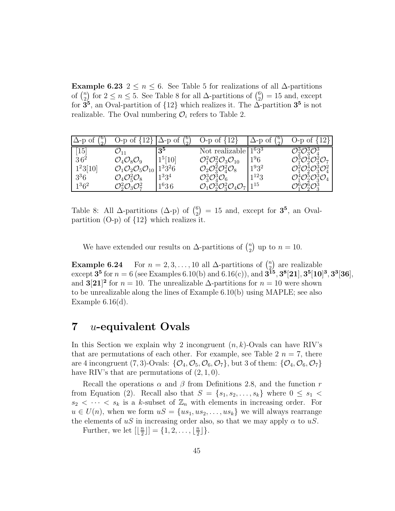**Example 6.23** 2  $\leq n \leq 6$ . See Table 5 for realizations of all  $\Delta$ -partitions of  $\binom{n}{2}$ for  $2 \le n \le 5$ . See Table 8 for all  $\Delta$ -partitions of  $\binom{6}{2}$  $= 15$  and, except for  $\mathbf{3}^5$ , an Oval-partition of  $\{12\}$  which realizes it. The  $\tilde{\Delta}$ -partition  $\mathbf{3}^5$  is not realizable. The Oval numbering  $\mathcal{O}_i$  refers to Table 2.

| Δ-p ot            | O-p of $\{12\}$                                           | $\Delta$ -p of      | O-p of $\{12\}$                                                         | $\Delta$ -p of<br>$\mathcal{D}_{\mathcal{L}}$ | O-p of $\{12\}$                                                   |
|-------------------|-----------------------------------------------------------|---------------------|-------------------------------------------------------------------------|-----------------------------------------------|-------------------------------------------------------------------|
| $\left[15\right]$ |                                                           | $3^5$               | Not realizable                                                          | $11^63^3$                                     | $\mathcal{O}_2^3 \mathcal{O}_3^3 \mathcal{O}_4^3$                 |
| 36 <sup>2</sup>   | $\mathcal{O}_4\mathcal{O}_8\mathcal{O}_9$                 | 1 <sup>5</sup> [10] | $\mathcal{O}_1^2\mathcal{O}_2^2\mathcal{O}_3\mathcal{O}_{10}$           | 1 <sup>9</sup> 6                              | $\mathcal{O}_1^3 \mathcal{O}_2^4 \mathcal{O}_3^2 \mathcal{O}_7$   |
| $1^23[10]$        | $\mathcal{O}_1\mathcal{O}_2\mathcal{O}_5\mathcal{O}_{10}$ | $1^3 3^2 6$         | $\mathcal{O}_2\mathcal{O}_3^2\mathcal{O}_4^2\mathcal{O}_8$              | $1^{9}3^2$                                    | $\mathcal{O}_1^2 \mathcal{O}_2^4 \mathcal{O}_3^3 \mathcal{O}_4^2$ |
| $3^36$            | $\mathcal{O}_4 \mathcal{O}_5^2 \mathcal{O}_8$             | $1^33^4$            | $\mathcal{O}_3^3 \mathcal{O}_4^3 \mathcal{O}_6$                         | $1^{12}3$                                     | $\mathcal{O}_1^4 \mathcal{O}_2^5 \mathcal{O}_3^3 \mathcal{O}_4$   |
| $1^3 6^2$         | $\mathcal{O}_2^2\mathcal{O}_3\mathcal{O}_7^2$             | $1^{6}36$           | $\mathcal{O}_1\mathcal{O}_2^3\mathcal{O}_3^2\mathcal{O}_4\mathcal{O}_7$ | 115                                           | $\mathcal{O}_1^6 \mathcal{O}_2^6 \mathcal{O}_3^3$                 |

Table 8: All  $\Delta$ -partitions  $(\Delta - p)$  of  $\binom{6}{2} = 15$  and, except for  $\mathbf{3^5}$ , an Ovalpartition (O-p) of {12} which realizes it.

We have extended our results on  $\Delta$ -partitions of  $\binom{n}{2}$ ) up to  $n = 10$ .

**Example 6.24** For  $n = 2, 3, ..., 10$  all  $\Delta$ -partitions of  $\binom{n}{2}$  are realizable  $\text{except 35 for } n = 6 \text{ (see Examples 6.10(b) and 6.16(c)), and } \textbf{315, 38[21]}, \textbf{35[10]^3, 33[36]},$ and **3**[21]<sup>2</sup> for  $n = 10$ . The unrealizable  $\Delta$ -partitions for  $n = 10$  were shown to be unrealizable along the lines of Example 6.10(b) using MAPLE; see also Example  $6.16(d)$ .

# **7** *u***-equivalent Ovals**

In this Section we explain why 2 incongruent (*n, k*)-Ovals can have RIV's that are permutations of each other. For example, see Table  $2 n = 7$ , there are 4 incongruent (7, 3)-Ovals:  $\{\mathcal{O}_4, \mathcal{O}_5, \mathcal{O}_6, \mathcal{O}_7\}$ , but 3 of them:  $\{\mathcal{O}_4, \mathcal{O}_6, \mathcal{O}_7\}$ have RIV's that are permutations of (2*,* 1*,* 0).

Recall the operations  $\alpha$  and  $\beta$  from Definitions 2.8, and the function *r* from Equation (2). Recall also that  $S = \{s_1, s_2, \ldots, s_k\}$  where  $0 \leq s_1 <$  $s_2 < \cdots < s_k$  is a *k*-subset of  $\mathbb{Z}_n$  with elements in increasing order. For  $u \in U(n)$ , when we form  $uS = \{us_1, us_2, \ldots, us_k\}$  we will always rearrange the elements of  $uS$  in increasing order also, so that we may apply  $\alpha$  to  $uS$ .

Further, we let  $\left[\left\lfloor \frac{n}{2} \right\rfloor\right] = \{1, 2, \ldots, \left\lfloor \frac{n}{2} \right\rfloor\}.$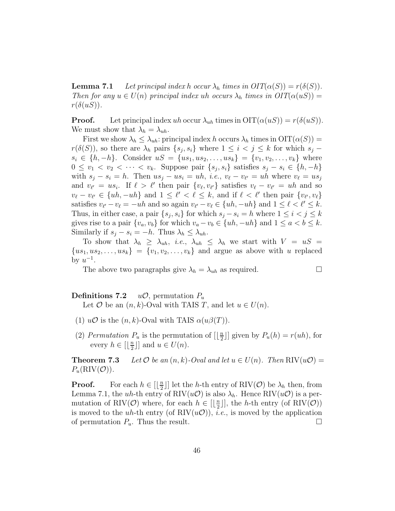**Lemma 7.1** *Let principal index h occur*  $\lambda_h$  *times in OIT*( $\alpha(S)$ ) =  $r(\delta(S))$ *. Then for any*  $u \in U(n)$  *principal index uh occurs*  $\lambda_h$  *times in*  $OIT(\alpha(uS))$  $r(\delta(uS))$ .

**Proof.** Let principal index *uh* occur  $\lambda_{uh}$  times in  $\text{OIT}(\alpha(uS)) = r(\delta(uS))$ . We must show that  $\lambda_h = \lambda_{uh}$ .

First we show  $\lambda_h \leq \lambda_{uh}$ : principal index *h* occurs  $\lambda_h$  times in  $\text{OIT}(\alpha(S))$  = *r*( $\delta(S)$ ), so there are  $\lambda_h$  pairs  $\{s_j, s_i\}$  where  $1 \leq i < j \leq k$  for which  $s_j$  −  $s_i \in \{h, -h\}$ . Consider  $uS = \{us_1, us_2, \ldots, us_k\} = \{v_1, v_2, \ldots, v_k\}$  where 0 ≤  $v_1$  <  $v_2$  <  $\cdots$  <  $v_k$ . Suppose pair  $\{s_i, s_i\}$  satisfies  $s_j - s_i \in \{h, -h\}$ with  $s_j - s_i = h$ . Then  $us_j - us_i = uh$ , *i.e.*,  $v_\ell - v_{\ell'} = uh$  where  $v_\ell = us_j$ and  $v_{\ell'} = u s_i$ . If  $\ell > \ell'$  then pair  $\{v_{\ell}, v_{\ell'}\}$  satisfies  $v_{\ell} - v_{\ell'} = u h$  and so  $v_{\ell} - v_{\ell'} \in \{uh, -uh\}$  and  $1 \leq \ell' < \ell \leq k$ , and if  $\ell < \ell'$  then pair  $\{v_{\ell'}, v_{\ell}\}$ satisfies  $v_{\ell} - v_{\ell} = -uh$  and so again  $v_{\ell} - v_{\ell} \in \{uh, -uh\}$  and  $1 \leq \ell < \ell' \leq k$ . Thus, in either case, a pair  $\{s_j, s_i\}$  for which  $s_j - s_i = h$  where  $1 \leq i < j \leq k$ gives rise to a pair  $\{v_a, v_b\}$  for which  $v_a - v_b \in \{uh, -uh\}$  and  $1 \le a < b \le k$ . Similarly if  $s_j - s_i = -h$ . Thus  $\lambda_h \leq \lambda_{uh}$ .

To show that  $\lambda_h \geq \lambda_{uh}$ , *i.e.*,  $\lambda_{uh} \leq \lambda_h$  we start with  $V = uS =$  ${u s_1, u s_2, \ldots, u s_k} = {v_1, v_2, \ldots, v_k}$  and argue as above with *u* replaced by  $u^{-1}$ .

The above two paragraphs give  $\lambda_h = \lambda_{uh}$  as required.

**Definitions 7.2** *u* $\mathcal{O}$ , permutation  $P_u$ 

Let  $\mathcal{O}$  be an  $(n, k)$ -Oval with TAIS *T*, and let  $u \in U(n)$ .

- (1)  $u\mathcal{O}$  is the  $(n, k)$ -Oval with TAIS  $\alpha(u\beta(T))$ .
- (2) *Permutation*  $P_u$  is the permutation of  $\left[\frac{n}{2}\right]$  given by  $P_u(h) = r(uh)$ , for every  $h \in \left[\lfloor \frac{n}{2} \rfloor\right]$  and  $u \in U(n)$ .

**Theorem 7.3** *Let*  $\mathcal{O}$  *be an*  $(n, k)$ *-Oval and let*  $u \in U(n)$ *. Then*  $\text{RIV}(u\mathcal{O})$  =  $P_u(RIV(\mathcal{O}))$ .

**Proof.** For each  $h \in [\lfloor \frac{n}{2} \rfloor]$  let the *h*-th entry of RIV( $\mathcal{O}$ ) be  $\lambda_h$  then, from Lemma 7.1, the *uh*-th entry of RIV $(u\mathcal{O})$  is also  $\lambda_h$ . Hence RIV $(u\mathcal{O})$  is a permutation of RIV( $\mathcal{O}$ ) where, for each  $h \in [\lfloor \frac{n}{2} \rfloor]$ , the *h*-th entry (of RIV( $\mathcal{O}$ )) is moved to the *uh*-th entry (of  $\text{RIV}(u\mathcal{O})$ ), *i.e.*, is moved by the application of permutation  $P_u$ . Thus the result.  $\Box$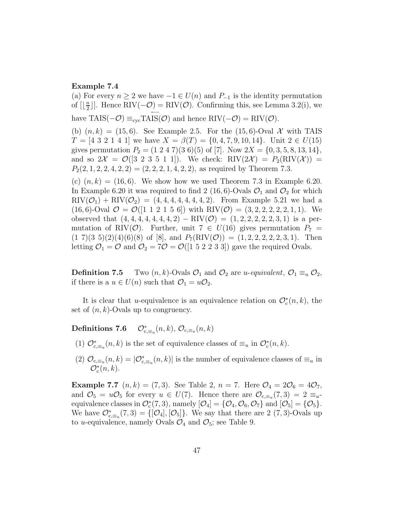#### **Example 7.4**

(a) For every  $n \geq 2$  we have  $-1 \in U(n)$  and  $P_{-1}$  is the identity permutation of  $[\lfloor \frac{n}{2} \rfloor]$ . Hence RIV( $-\mathcal{O}$ ) = RIV( $\mathcal{O}$ ). Confirming this, see Lemma 3.2(i), we have  $\text{TAIS}(-\mathcal{O}) \equiv_{\text{cyc}} \text{TAIS}(\mathcal{O})$  and hence  $\text{RIV}(-\mathcal{O}) = \text{RIV}(\mathcal{O})$ . (b)  $(n, k) = (15, 6)$ . See Example 2.5. For the  $(15, 6)$ -Oval X with TAIS  $T = [4 \ 3 \ 2 \ 1 \ 4 \ 1]$  we have  $X = \beta(T) = \{0, 4, 7, 9, 10, 14\}$ . Unit  $2 \in U(15)$ gives permutation  $P_2 = (1\ 2\ 4\ 7)(3\ 6)(5)$  of [7]. Now  $2X = \{0, 3, 5, 8, 13, 14\},\$ and so  $2\mathcal{X} = \mathcal{O}([3 \ 2 \ 3 \ 5 \ 1 \ 1])$ . We check: RIV $(2\mathcal{X}) = P_2(RIV(\mathcal{X}))$  $P_2(2, 1, 2, 2, 4, 2, 2) = (2, 2, 2, 1, 4, 2, 2)$ , as required by Theorem 7.3. (c)  $(n, k) = (16, 6)$ . We show how we used Theorem 7.3 in Example 6.20. In Example 6.20 it was required to find 2 (16, 6)-Ovals  $\mathcal{O}_1$  and  $\mathcal{O}_2$  for which  $\text{RIV}(\mathcal{O}_1) + \text{RIV}(\mathcal{O}_2) = (4, 4, 4, 4, 4, 4, 4, 2).$  From Example 5.21 we had a  $(16, 6)$ -Oval  $\mathcal{O} = \mathcal{O}([1 \ 1 \ 2 \ 1 \ 5 \ 6])$  with RIV $(\mathcal{O}) = (3, 2, 2, 2, 2, 2, 1, 1)$ . We observed that  $(4, 4, 4, 4, 4, 4, 4, 2) - RIV(\mathcal{O}) = (1, 2, 2, 2, 2, 3, 1)$  is a per-

mutation of RIV( $\mathcal{O}$ ). Further, unit 7  $\in U(16)$  gives permutation  $P_7$  =  $(1\ 7)(3\ 5)(2)(4)(6)(8)$  of [8], and  $P_7(RIV(\mathcal{O})) = (1, 2, 2, 2, 2, 3, 1)$ . Then letting  $\mathcal{O}_1 = \mathcal{O}$  and  $\mathcal{O}_2 = 7\mathcal{O} = \mathcal{O}([1 5 2 2 3 3])$  gave the required Ovals.

**Definition 7.5** Two  $(n, k)$ -Ovals  $\mathcal{O}_1$  and  $\mathcal{O}_2$  are *u-equivalent*,  $\mathcal{O}_1 \equiv_u \mathcal{O}_2$ , if there is a  $u \in U(n)$  such that  $\mathcal{O}_1 = u\mathcal{O}_2$ .

It is clear that *u*-equivalence is an equivalence relation on  $\mathcal{O}_c^*(n, k)$ , the set of (*n, k*)-Ovals up to congruency.

Definitions 7.6  $\mathcal{O}_{c,\equiv_u}^*(n,k), \mathcal{O}_{c,\equiv_u}(n,k)$ 

- (1)  $\mathcal{O}_{c,\equiv_u}^*(n,k)$  is the set of equivalence classes of  $\equiv_u$  in  $\mathcal{O}_c^*(n,k)$ .
- (2)  $\mathcal{O}_{c,\equiv_u}(n,k) = |\mathcal{O}_{c,\equiv_u}^*(n,k)|$  is the number of equivalence classes of  $\equiv_u$  in  $\mathcal{O}_c^*(n,k)$ .

**Example 7.7**  $(n, k) = (7, 3)$ . See Table 2,  $n = 7$ . Here  $\mathcal{O}_4 = 2\mathcal{O}_6 = 4\mathcal{O}_7$ , and  $\mathcal{O}_5 = u\mathcal{O}_5$  for every  $u \in U(7)$ . Hence there are  $\mathcal{O}_{c,\equiv u}(7,3) = 2 \equiv_u$ equivalence classes in  $\mathcal{O}_c^*(7,3)$ , namely  $[\mathcal{O}_4] = \{ \mathcal{O}_4, \mathcal{O}_6, \mathcal{O}_7 \}$  and  $[\mathcal{O}_5] = \{ \mathcal{O}_5 \}.$ We have  $\mathcal{O}_{c,\equiv_u}^*(7,3) = \{[\mathcal{O}_4], [\mathcal{O}_5]\}$ . We say that there are 2 (7, 3)-Ovals up to *u*-equivalence, namely Ovals  $\mathcal{O}_4$  and  $\mathcal{O}_5$ ; see Table 9.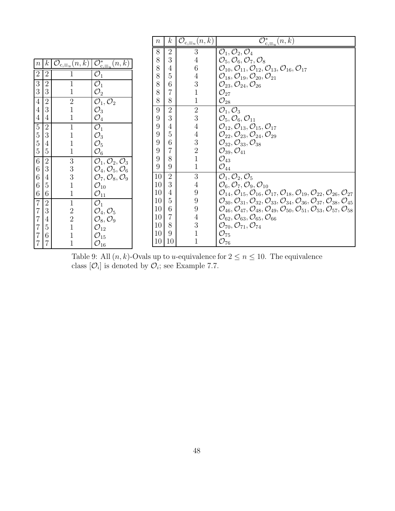|                                       |                 |                                                |                                                           | $\,n$ | $\boldsymbol{k}$ | $\mathcal{O}_{c,\equiv_u}(n,k)$ | $\mathcal{O}_{c,\equiv_u}^*(n,k)$                                                                                                                                  |
|---------------------------------------|-----------------|------------------------------------------------|-----------------------------------------------------------|-------|------------------|---------------------------------|--------------------------------------------------------------------------------------------------------------------------------------------------------------------|
|                                       |                 |                                                |                                                           | 8     | 2                | 3                               | $\mathcal{O}_1, \mathcal{O}_2, \mathcal{O}_4$                                                                                                                      |
| $\boldsymbol{n}$                      | $\vert k \vert$ | $\mathcal{O}_{c,\equiv_u}(n,k)$                | $\overline{\mathcal{O}}_{\mathrm{c},\equiv_{u}}^{*}(n,k)$ | 8     | 3                |                                 | $\mathcal{O}_5, \mathcal{O}_6, \mathcal{O}_7, \mathcal{O}_8$                                                                                                       |
|                                       |                 |                                                |                                                           | 8     | 4                | $6\phantom{.}6$                 | $\mathcal{O}_{10}, \mathcal{O}_{11}, \mathcal{O}_{12}, \mathcal{O}_{13}, \mathcal{O}_{16}, \mathcal{O}_{17}$                                                       |
| $\sqrt{2}$                            | $\overline{2}$  |                                                | $\mathcal{O}_1$                                           | 8     | 5                | $\overline{4}$                  | $\mathcal{O}_{18}, \mathcal{O}_{19}, \mathcal{O}_{20}, \mathcal{O}_{21}$                                                                                           |
| $\overline{3}$                        | $\overline{2}$  | 1                                              | $\mathcal{O}_1$                                           | 8     | 6                | 3                               | $\mathcal{O}_{23}, \mathcal{O}_{24}, \mathcal{O}_{26}$                                                                                                             |
| $\sqrt{3}$                            | 3               |                                                | $\mathcal{O}_2$                                           | 8     | 7                |                                 | $\mathcal{O}_{27}$                                                                                                                                                 |
| $\sqrt{4}$                            | $\sqrt{2}$      | $\sqrt{2}$                                     | $\mathcal{O}_1, \mathcal{O}_2$                            | 8     | 8                |                                 | $\mathcal{O}_{28}$                                                                                                                                                 |
| $\overline{4}$                        | 3               | $\overline{1}$                                 | $\mathcal{O}_3$                                           | 9     | $\overline{2}$   | $\overline{2}$                  | $\overline{\mathcal{O}_1,\mathcal{O}_3}$                                                                                                                           |
| $\overline{4}$                        | 4               |                                                | $\mathcal{O}_4$                                           | 9     | 3                | $\overline{3}$                  | $\mathcal{O}_5, \mathcal{O}_6, \mathcal{O}_{11}$                                                                                                                   |
| $\overline{5}$                        | $\overline{2}$  | $\mathbf{1}$                                   | $\mathcal{O}_1$                                           | 9     | 4                | $\overline{4}$                  | $\mathcal{O}_{12}, \mathcal{O}_{13}, \mathcal{O}_{15}, \mathcal{O}_{17}$                                                                                           |
|                                       | 3               |                                                | $\mathcal{O}_3$                                           | 9     | 5                | $\overline{4}$                  | $\mathcal{O}_{22}, \mathcal{O}_{23}, \mathcal{O}_{24}, \mathcal{O}_{29}$                                                                                           |
| $\begin{array}{c} 5 \\ 5 \end{array}$ | 4               |                                                | $\mathcal{O}_5$                                           | 9     | 6                | 3                               | $O_{32}, O_{33}, O_{38}$                                                                                                                                           |
| $\mathbf 5$                           | 5               |                                                | $\mathcal{O}_6$                                           | 9     |                  | $\overline{2}$                  | $O_{39}, O_{41}$                                                                                                                                                   |
| $6\overline{6}$                       | $\overline{2}$  | $\sqrt{3}$                                     | $\overline{\mathcal{O}_1,\mathcal{O}_2,\mathcal{O}_3}$    | 9     | 8                |                                 | $\mathcal{O}_{43}$                                                                                                                                                 |
| $6\,$                                 | 3               | 3                                              | $\mathcal{O}_4, \mathcal{O}_5, \mathcal{O}_6$             | 9     | 9                | $\mathbf{1}$                    | $\mathcal{O}_{44}$                                                                                                                                                 |
| $\,6\,$                               | 4               | $\begin{smallmatrix} 3 \\ 1 \end{smallmatrix}$ | $\mathcal{O}_7, \mathcal{O}_8, \mathcal{O}_9$             | 10    | $\overline{2}$   | $\overline{3}$                  | $\mathcal{O}_1, \mathcal{O}_2, \mathcal{O}_5$                                                                                                                      |
| $\sqrt{6}$                            | 5               |                                                | $\mathcal{O}_{10}$                                        | 10    | 3                | 4                               | $\mathcal{O}_6, \mathcal{O}_7, \mathcal{O}_9, \mathcal{O}_{10}$                                                                                                    |
| $\,6\,$                               | 6               |                                                | $\mathcal{O}_{11}$                                        | 10    | 4                | 9                               | $\mathcal{O}_{14}, \mathcal{O}_{15}, \mathcal{O}_{16}, \mathcal{O}_{17}, \mathcal{O}_{18}, \mathcal{O}_{19}, \mathcal{O}_{22}, \mathcal{O}_{26}, \mathcal{O}_{27}$ |
| $\overline{7}$                        | $\overline{2}$  | $\mathbf{1}$                                   | $\mathcal{O}_1$                                           | 10    | 5                | 9                               | $\mathcal{O}_{30}, \mathcal{O}_{31}, \mathcal{O}_{32}, \mathcal{O}_{33}, \mathcal{O}_{34}, \mathcal{O}_{36}, \mathcal{O}_{37}, \mathcal{O}_{38}, \mathcal{O}_{45}$ |
| $\overline{7}$                        | 3               |                                                | $\mathcal{O}_4, \mathcal{O}_5$                            | 10    | 6                | 9                               | $\mathcal{O}_{46}, \mathcal{O}_{47}, \mathcal{O}_{48}, \mathcal{O}_{49}, \mathcal{O}_{50}, \mathcal{O}_{51}, \mathcal{O}_{53}, \mathcal{O}_{57}, \mathcal{O}_{58}$ |
| $\overline{7}$                        | 4               | $\frac{2}{2}$                                  | $\mathcal{O}_8, \mathcal{O}_9$                            | 10    | 7                | $\overline{4}$                  | $\mathcal{O}_{62}, \mathcal{O}_{63}, \mathcal{O}_{65}, \mathcal{O}_{66}$                                                                                           |
| $\overline{7}$                        | $\overline{5}$  |                                                | $\mathcal{O}_{12}$                                        | 10    | 8                | $\mathfrak{Z}$                  | $\mathcal{O}_{70}, \mathcal{O}_{71}, \mathcal{O}_{74}$                                                                                                             |
|                                       | 6               |                                                | $\mathcal{O}_{15}$                                        | 10    | 9                |                                 | $\mathcal{O}_{75}$                                                                                                                                                 |
| $\overline{7}$                        | 7               | $\mathbf{1}$                                   | $\mathcal{O}_{16}$                                        | 10    | 10               |                                 | $\mathcal{O}_{76}$                                                                                                                                                 |

Г

Table 9: All  $(n, k)$ -Ovals up to *u*-equivalence for  $2 \le n \le 10$ . The equivalence class  $[\mathcal{O}_i]$  is denoted by  $\mathcal{O}_i$ ; see Example 7.7.